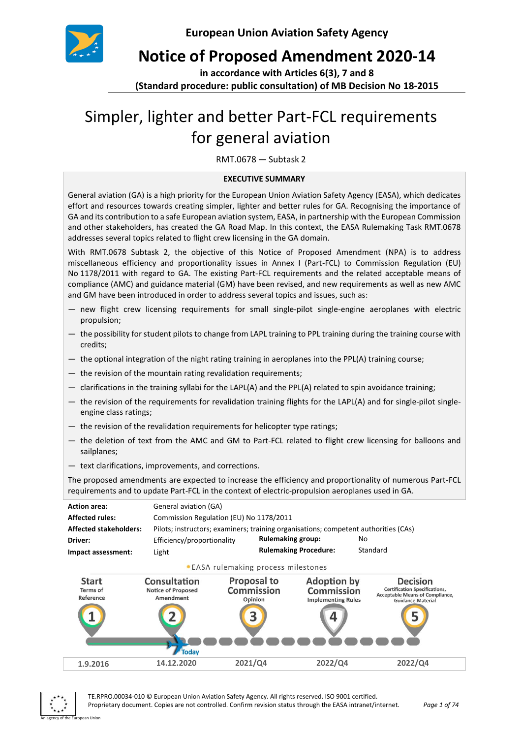

**Notice of Proposed Amendment 2020-14**

**in accordance with Articles 6(3), 7 and 8** 

**(Standard procedure: public consultation) of MB Decision No 18-2015**

# Simpler, lighter and better Part-FCL requirements for general aviation

RMT.0678 — Subtask 2

#### **EXECUTIVE SUMMARY**

General aviation (GA) is a high priority for the European Union Aviation Safety Agency (EASA), which dedicates effort and resources towards creating simpler, lighter and better rules for GA. Recognising the importance of GA and its contribution to a safe European aviation system, EASA, in partnership with the European Commission and other stakeholders, has created the GA Road Map. In this context, the EASA Rulemaking Task RMT.0678 addresses several topics related to flight crew licensing in the GA domain.

With RMT.0678 Subtask 2, the objective of this Notice of Proposed Amendment (NPA) is to address miscellaneous efficiency and proportionality issues in Annex I (Part-FCL) to Commission Regulation (EU) No 1178/2011 with regard to GA. The existing Part-FCL requirements and the related acceptable means of compliance (AMC) and guidance material (GM) have been revised, and new requirements as well as new AMC and GM have been introduced in order to address several topics and issues, such as:

- new flight crew licensing requirements for small single-pilot single-engine aeroplanes with electric propulsion;
- the possibility for student pilots to change from LAPL training to PPL training during the training course with credits;
- the optional integration of the night rating training in aeroplanes into the PPL(A) training course;
- the revision of the mountain rating revalidation requirements;
- clarifications in the training syllabi for the LAPL(A) and the PPL(A) related to spin avoidance training;
- the revision of the requirements for revalidation training flights for the LAPL(A) and for single-pilot singleengine class ratings;
- the revision of the revalidation requirements for helicopter type ratings;
- the deletion of text from the AMC and GM to Part-FCL related to flight crew licensing for balloons and sailplanes;
- text clarifications, improvements, and corrections.

The proposed amendments are expected to increase the efficiency and proportionality of numerous Part-FCL requirements and to update Part-FCL in the context of electric-propulsion aeroplanes used in GA.





TE.RPRO.00034-010 © European Union Aviation Safety Agency. All rights reserved. ISO 9001 certified. Proprietary document. Copies are not controlled. Confirm revision status through the EASA intranet/internet. *Page 1 of 74*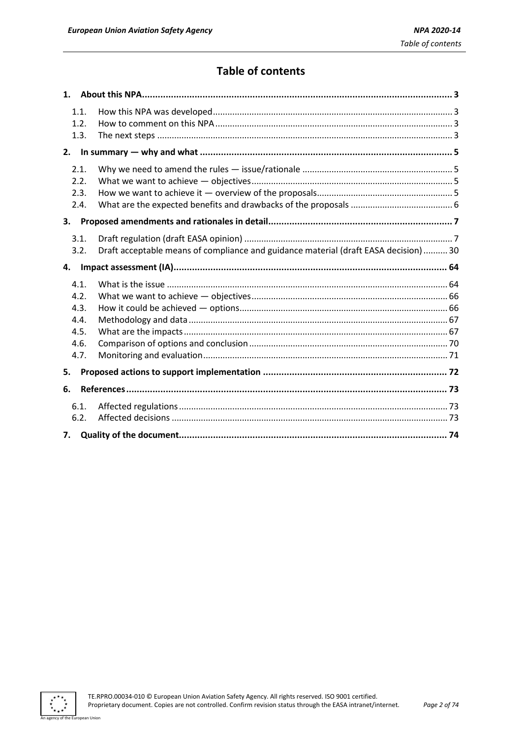### **Table of contents**

| 1.1.<br>1.2.<br>1.3.                                 |                                                                                      |
|------------------------------------------------------|--------------------------------------------------------------------------------------|
| 2.                                                   |                                                                                      |
| 2.1.<br>2.2.<br>2.3.<br>2.4.                         |                                                                                      |
| 3.                                                   |                                                                                      |
| 3.1.<br>3.2.                                         | Draft acceptable means of compliance and guidance material (draft EASA decision)  30 |
| 4.                                                   |                                                                                      |
| 4.1.<br>4.2.<br>4.3.<br>4.4.<br>4.5.<br>4.6.<br>4.7. |                                                                                      |
| 5.                                                   |                                                                                      |
| 6.                                                   |                                                                                      |
| 6.1.<br>6.2.                                         |                                                                                      |
| 7.                                                   |                                                                                      |

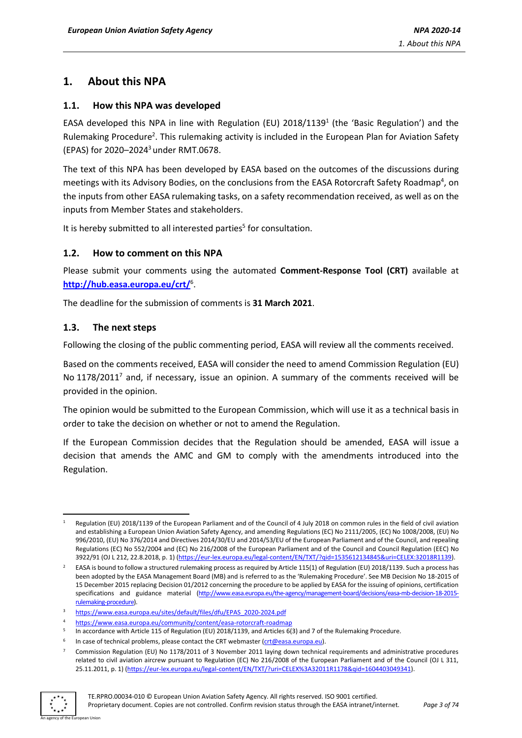### <span id="page-2-0"></span>**1. About this NPA**

#### <span id="page-2-1"></span>**1.1. How this NPA was developed**

EASA developed this NPA in line with Regulation (EU)  $2018/1139<sup>1</sup>$  (the 'Basic Regulation') and the Rulemaking Procedure<sup>2</sup>. This rulemaking activity is included in the European Plan for Aviation Safety (EPAS) for 2020–2024 <sup>3</sup> under RMT.0678.

The text of this NPA has been developed by EASA based on the outcomes of the discussions during meetings with its Advisory Bodies, on the conclusions from the EASA Rotorcraft Safety Roadmap<sup>4</sup>, on the inputs from other EASA rulemaking tasks, on a safety recommendation received, as well as on the inputs from Member States and stakeholders.

It is hereby submitted to all interested parties<sup>5</sup> for consultation.

#### <span id="page-2-2"></span>**1.2. How to comment on this NPA**

Please submit your comments using the automated **Comment-Response Tool (CRT)** available at **<http://hub.easa.europa.eu/crt/>**<sup>6</sup> .

The deadline for the submission of comments is **31 March 2021**.

#### <span id="page-2-3"></span>**1.3. The next steps**

Following the closing of the public commenting period, EASA will review all the comments received.

Based on the comments received, EASA will consider the need to amend Commission Regulation (EU) No 1178/2011<sup>7</sup> and, if necessary, issue an opinion. A summary of the comments received will be provided in the opinion.

The opinion would be submitted to the European Commission, which will use it as a technical basis in order to take the decision on whether or not to amend the Regulation.

If the European Commission decides that the Regulation should be amended, EASA will issue a decision that amends the AMC and GM to comply with the amendments introduced into the Regulation.

 $7$  Commission Regulation (EU) No 1178/2011 of 3 November 2011 laying down technical requirements and administrative procedures related to civil aviation aircrew pursuant to Regulation (EC) No 216/2008 of the European Parliament and of the Council (OJ L 311, 25.11.2011, p. 1) [\(https://eur-lex.europa.eu/legal-content/EN/TXT/?uri=CELEX%3A32011R1178&qid=1604403049341\)](https://eur-lex.europa.eu/legal-content/EN/TXT/?uri=CELEX%3A32011R1178&qid=1604403049341).



Regulation (EU) 2018/1139 of the European Parliament and of the Council of 4 July 2018 on common rules in the field of civil aviation and establishing a European Union Aviation Safety Agency, and amending Regulations (EC) No 2111/2005, (EC) No 1008/2008, (EU) No 996/2010, (EU) No 376/2014 and Directives 2014/30/EU and 2014/53/EU of the European Parliament and of the Council, and repealing Regulations (EC) No 552/2004 and (EC) No 216/2008 of the European Parliament and of the Council and Council Regulation (EEC) No 3922/91 (OJ L 212, 22.8.2018, p. 1) [\(https://eur-lex.europa.eu/legal-content/EN/TXT/?qid=1535612134845&uri=CELEX:32018R1139\)](https://eur-lex.europa.eu/legal-content/EN/TXT/?qid=1535612134845&uri=CELEX:32018R1139).

<sup>2</sup> EASA is bound to follow a structured rulemaking process as required by Article 115(1) of Regulation (EU) 2018/1139. Such a process has been adopted by the EASA Management Board (MB) and is referred to as the 'Rulemaking Procedure'. See MB Decision No 18-2015 of 15 December 2015 replacing Decision 01/2012 concerning the procedure to be applied by EASA for the issuing of opinions, certification specifications and guidance material [\(http://www.easa.europa.eu/the-agency/management-board/decisions/easa-mb-decision-18-2015](http://www.easa.europa.eu/the-agency/management-board/decisions/easa-mb-decision-18-2015-rulemaking-procedure) [rulemaking-procedure\).](http://www.easa.europa.eu/the-agency/management-board/decisions/easa-mb-decision-18-2015-rulemaking-procedure)

<sup>3</sup> [https://www.easa.europa.eu/sites/default/files/dfu/EPAS\\_2020-2024.pdf](https://www.easa.europa.eu/sites/default/files/dfu/EPAS_2020-2024.pdf)

<sup>4</sup> <https://www.easa.europa.eu/community/content/easa-rotorcraft-roadmap>

<sup>5</sup> In accordance with Article 115 of Regulation (EU) 2018/1139, and Articles 6(3) and 7 of the Rulemaking Procedure.

<sup>6</sup> In case of technical problems, please contact the CRT webmaster [\(crt@easa.europa.eu\)](mailto:crt@easa.europa.eu).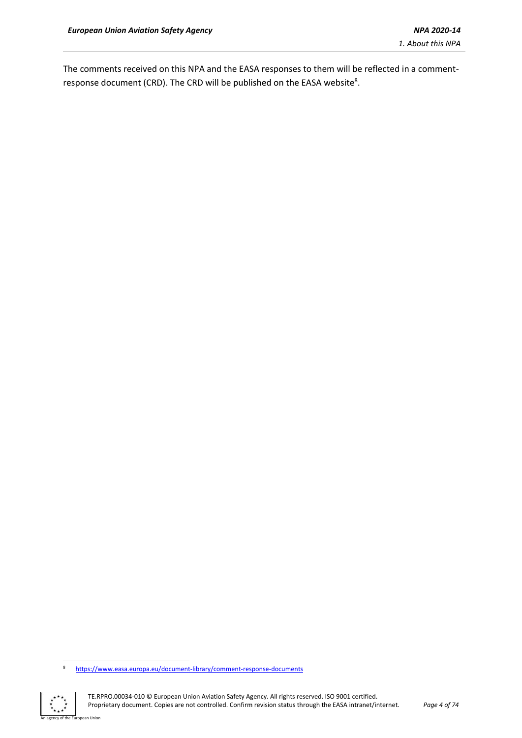The comments received on this NPA and the EASA responses to them will be reflected in a commentresponse document (CRD). The CRD will be published on the EASA website<sup>8</sup>.

<sup>8</sup> <https://www.easa.europa.eu/document-library/comment-response-documents>



an Union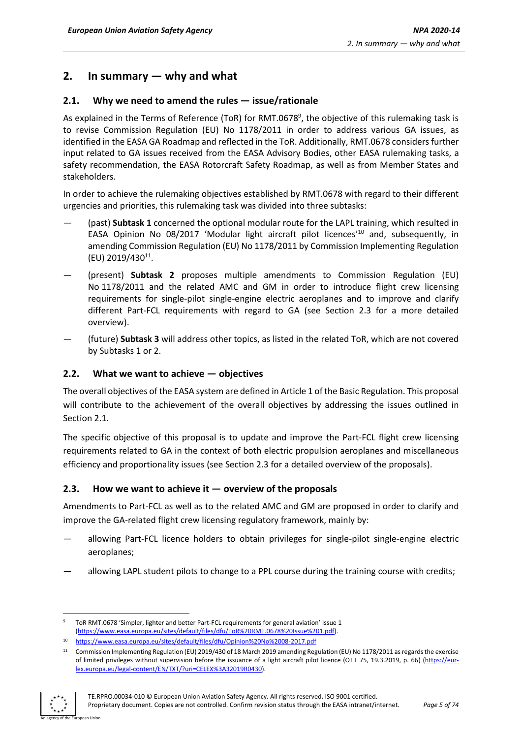### <span id="page-4-0"></span>**2. In summary — why and what**

#### <span id="page-4-1"></span>**2.1. Why we need to amend the rules — issue/rationale**

As explained in the Terms of Reference (ToR) for RMT.0678<sup>9</sup>, the objective of this rulemaking task is to revise Commission Regulation (EU) No 1178/2011 in order to address various GA issues, as identified in the EASA GA Roadmap and reflected in the ToR. Additionally, RMT.0678 considers further input related to GA issues received from the EASA Advisory Bodies, other EASA rulemaking tasks, a safety recommendation, the EASA Rotorcraft Safety Roadmap, as well as from Member States and stakeholders.

In order to achieve the rulemaking objectives established by RMT.0678 with regard to their different urgencies and priorities, this rulemaking task was divided into three subtasks:

- (past) **Subtask 1** concerned the optional modular route for the LAPL training, which resulted in EASA Opinion No 08/2017 'Modular light aircraft pilot licences'<sup>10</sup> and, subsequently, in amending Commission Regulation (EU) No 1178/2011 by Commission Implementing Regulation (EU) 2019/430<sup>11</sup>.
- (present) **Subtask 2** proposes multiple amendments to Commission Regulation (EU) No 1178/2011 and the related AMC and GM in order to introduce flight crew licensing requirements for single-pilot single-engine electric aeroplanes and to improve and clarify different Part-FCL requirements with regard to GA (see Section 2.3 for a more detailed overview).
- (future) **Subtask 3** will address other topics, as listed in the related ToR, which are not covered by Subtasks 1 or 2.

#### <span id="page-4-2"></span>**2.2. What we want to achieve — objectives**

The overall objectives of the EASA system are defined in Article 1 of the Basic Regulation. This proposal will contribute to the achievement of the overall objectives by addressing the issues outlined in Section 2.1.

The specific objective of this proposal is to update and improve the Part-FCL flight crew licensing requirements related to GA in the context of both electric propulsion aeroplanes and miscellaneous efficiency and proportionality issues (see Section 2.3 for a detailed overview of the proposals).

#### <span id="page-4-3"></span>**2.3. How we want to achieve it — overview of the proposals**

Amendments to Part-FCL as well as to the related AMC and GM are proposed in order to clarify and improve the GA-related flight crew licensing regulatory framework, mainly by:

- allowing Part-FCL licence holders to obtain privileges for single-pilot single-engine electric aeroplanes;
- allowing LAPL student pilots to change to a PPL course during the training course with credits;

<sup>&</sup>lt;sup>11</sup> Commission Implementing Regulation (EU) 2019/430 of 18 March 2019 amending Regulation (EU) No 1178/2011 as regards the exercise of limited privileges without supervision before the issuance of a light aircraft pilot licence (OJ L 75, 19.3.2019, p. 66) [\(https://eur](https://eur-lex.europa.eu/legal-content/EN/TXT/?uri=CELEX%3A32019R0430)[lex.europa.eu/legal-content/EN/TXT/?uri=CELEX%3A32019R0430\)](https://eur-lex.europa.eu/legal-content/EN/TXT/?uri=CELEX%3A32019R0430).



<sup>9</sup> ToR RMT.0678 'Simpler, lighter and better Part-FCL requirements for general aviation' Issue 1 [\(https://www.easa.europa.eu/sites/default/files/dfu/ToR%20RMT.0678%20Issue%201.pdf\).](https://www.easa.europa.eu/sites/default/files/dfu/ToR%20RMT.0678%20Issue%201.pdf)

<sup>10</sup> <https://www.easa.europa.eu/sites/default/files/dfu/Opinion%20No%2008-2017.pdf>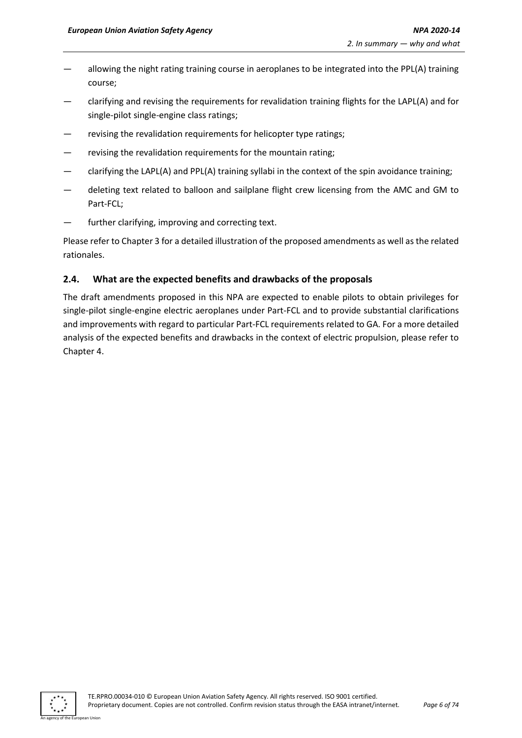- allowing the night rating training course in aeroplanes to be integrated into the PPL(A) training course;
- clarifying and revising the requirements for revalidation training flights for the LAPL(A) and for single-pilot single-engine class ratings;
- revising the revalidation requirements for helicopter type ratings;
- revising the revalidation requirements for the mountain rating;
- clarifying the LAPL(A) and PPL(A) training syllabi in the context of the spin avoidance training;
- deleting text related to balloon and sailplane flight crew licensing from the AMC and GM to Part-FCL;
- further clarifying, improving and correcting text.

Please refer to Chapter 3 for a detailed illustration of the proposed amendments as well as the related rationales.

#### <span id="page-5-0"></span>**2.4. What are the expected benefits and drawbacks of the proposals**

The draft amendments proposed in this NPA are expected to enable pilots to obtain privileges for single-pilot single-engine electric aeroplanes under Part-FCL and to provide substantial clarifications and improvements with regard to particular Part-FCL requirements related to GA. For a more detailed analysis of the expected benefits and drawbacks in the context of electric propulsion, please refer to Chapter 4.

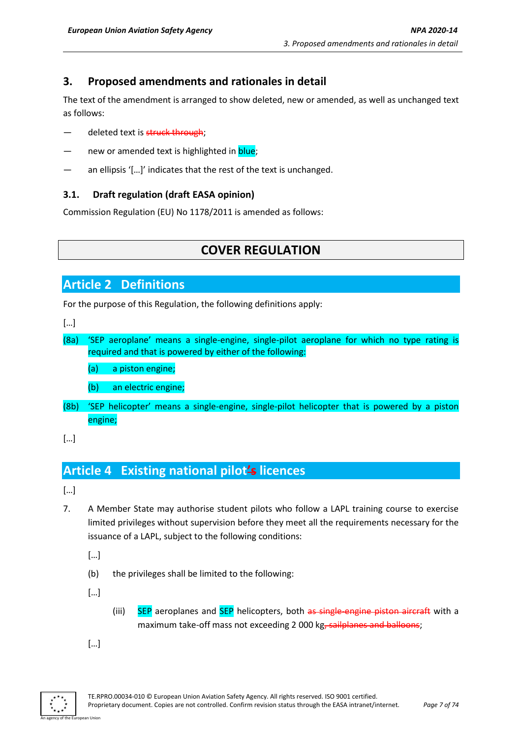### <span id="page-6-0"></span>**3. Proposed amendments and rationales in detail**

The text of the amendment is arranged to show deleted, new or amended, as well as unchanged text as follows:

- deleted text is struck through;
- new or amended text is highlighted in blue;
- an ellipsis '[...]' indicates that the rest of the text is unchanged.

#### <span id="page-6-1"></span>**3.1. Draft regulation (draft EASA opinion)**

Commission Regulation (EU) No 1178/2011 is amended as follows:

## **COVER REGULATION**

### **Article 2 Definitions**

For the purpose of this Regulation, the following definitions apply:

[…]

(8a) 'SEP aeroplane' means a single-engine, single-pilot aeroplane for which no type rating is required and that is powered by either of the following:

(a) a piston engine;

(b) an electric engine;

(8b) 'SEP helicopter' means a single-engine, single-pilot helicopter that is powered by a piston engine;

[…]

## **Article 4 Existing national pilot's licences**

[…]

7. A Member State may authorise student pilots who follow a LAPL training course to exercise limited privileges without supervision before they meet all the requirements necessary for the issuance of a LAPL, subject to the following conditions:

[…]

(b) the privileges shall be limited to the following:

 $[...]$ 

(iii) SEP aeroplanes and SEP helicopters, both as single-engine piston aircraft with a maximum take-off mass not exceeding 2 000 kg, sailplanes and balloons;

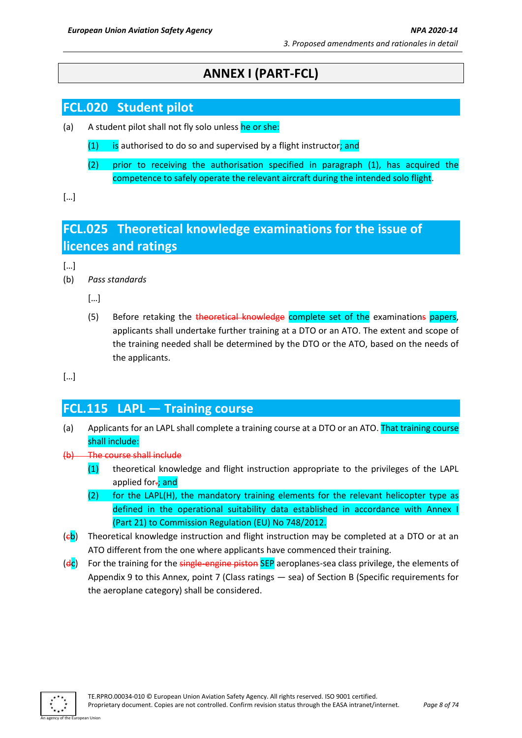## **ANNEX I (PART-FCL)**

## **FCL.020 Student pilot**

- (a) A student pilot shall not fly solo unless he or she:
	- $(1)$  is authorised to do so and supervised by a flight instructor; and
	- (2) prior to receiving the authorisation specified in paragraph (1), has acquired the competence to safely operate the relevant aircraft during the intended solo flight.

[…]

## **FCL.025 Theoretical knowledge examinations for the issue of licences and ratings**

[…]

(b) *Pass standards*

 $[...]$ 

(5) Before retaking the theoretical knowledge complete set of the examinations papers, applicants shall undertake further training at a DTO or an ATO. The extent and scope of the training needed shall be determined by the DTO or the ATO, based on the needs of the applicants.

[…]

## **FCL.115 LAPL — Training course**

- (a) Applicants for an LAPL shall complete a training course at a DTO or an ATO. That training course shall include:
- (b) The course shall include
	- (1) theoretical knowledge and flight instruction appropriate to the privileges of the LAPL applied for-; and
	- (2) for the LAPL(H), the mandatory training elements for the relevant helicopter type as defined in the operational suitability data established in accordance with Annex I (Part 21) to Commission Regulation (EU) No 748/2012.
- $(eb)$  Theoretical knowledge instruction and flight instruction may be completed at a DTO or at an ATO different from the one where applicants have commenced their training.
- $(d_c)$  For the training for the single-engine piston SEP aeroplanes-sea class privilege, the elements of Appendix 9 to this Annex, point 7 (Class ratings — sea) of Section B (Specific requirements for the aeroplane category) shall be considered.

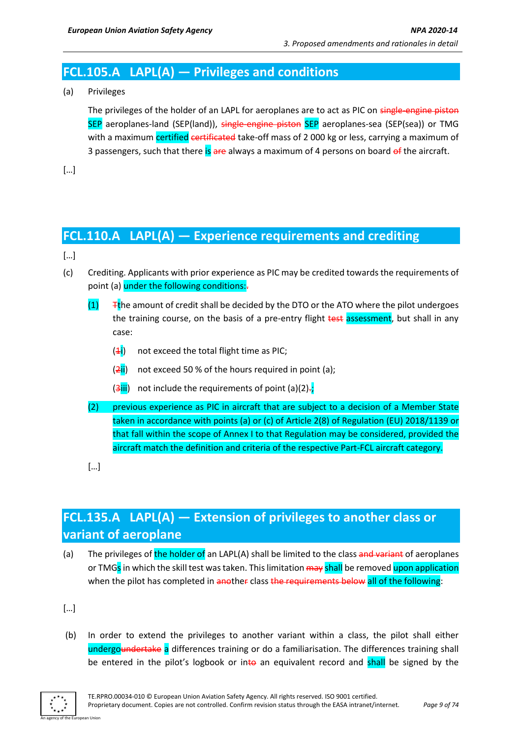## **FCL.105.A LAPL(A) — Privileges and conditions**

(a) Privileges

The privileges of the holder of an LAPL for aeroplanes are to act as PIC on single-engine piston SEP aeroplanes-land (SEP(land)), single-engine piston SEP aeroplanes-sea (SEP(sea)) or TMG with a maximum certified certificated take-off mass of 2000 kg or less, carrying a maximum of 3 passengers, such that there is are always a maximum of 4 persons on board of the aircraft.

[…]

### **FCL.110.A LAPL(A) — Experience requirements and crediting**

[…]

- (c) Crediting. Applicants with prior experience as PIC may be credited towards the requirements of point (a) under the following conditions:-
	- $(1)$  Tthe amount of credit shall be decided by the DTO or the ATO where the pilot undergoes the training course, on the basis of a pre-entry flight test assessment, but shall in any case:
		- $(4i)$  not exceed the total flight time as PIC;
		- $(2ii)$  not exceed 50 % of the hours required in point (a);
		- $(3iii)$  not include the requirements of point  $(a)(2)$ .
	- (2) previous experience as PIC in aircraft that are subject to a decision of a Member State taken in accordance with points (a) or (c) of Article 2(8) of Regulation (EU) 2018/1139 or that fall within the scope of Annex I to that Regulation may be considered, provided the aircraft match the definition and criteria of the respective Part-FCL aircraft category.
	- […]

## **FCL.135.A LAPL(A) — Extension of privileges to another class or variant of aeroplane**

(a) The privileges of the holder of an LAPL(A) shall be limited to the class and variant of aeroplanes or TMGs in which the skill test was taken. This limitation may shall be removed upon application when the pilot has completed in another class the requirements below all of the following:

[…]

(b) In order to extend the privileges to another variant within a class, the pilot shall either undergoundertake a differences training or do a familiarisation. The differences training shall be entered in the pilot's logbook or into an equivalent record and shall be signed by the

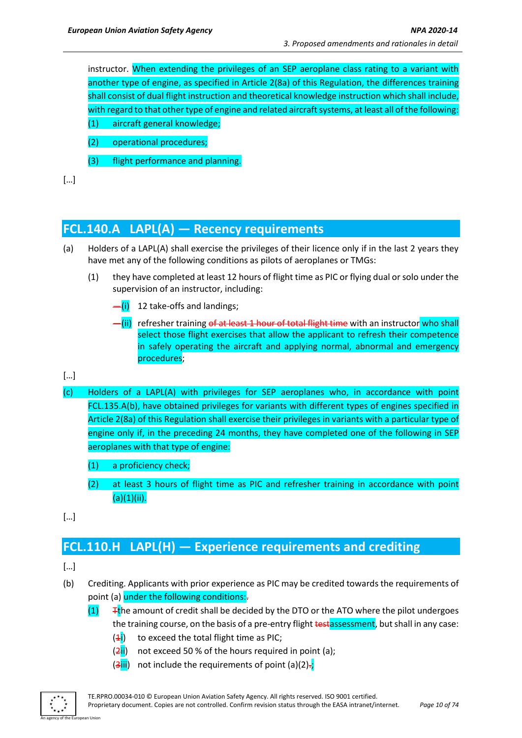instructor. When extending the privileges of an SEP aeroplane class rating to a variant with another type of engine, as specified in Article 2(8a) of this Regulation, the differences training shall consist of dual flight instruction and theoretical knowledge instruction which shall include, with regard to that other type of engine and related aircraft systems, at least all of the following: (1) aircraft general knowledge;

- (2) operational procedures;
- (3) flight performance and planning.

[…]

## **FCL.140.A LAPL(A) — Recency requirements**

- (a) Holders of a LAPL(A) shall exercise the privileges of their licence only if in the last 2 years they have met any of the following conditions as pilots of aeroplanes or TMGs:
	- (1) they have completed at least 12 hours of flight time as PIC or flying dual or solo under the supervision of an instructor, including:
		- $\frac{1}{\sqrt{1}}$  12 take-offs and landings;
		- -(ii) refresher training <del>of at least 1 hour of total flight time</del> with an instructor who shall select those flight exercises that allow the applicant to refresh their competence in safely operating the aircraft and applying normal, abnormal and emergency procedures;

#### […]

- (c) Holders of a LAPL(A) with privileges for SEP aeroplanes who, in accordance with point FCL.135.A(b), have obtained privileges for variants with different types of engines specified in Article 2(8a) of this Regulation shall exercise their privileges in variants with a particular type of engine only if, in the preceding 24 months, they have completed one of the following in SEP aeroplanes with that type of engine:
	- (1) a proficiency check;
	- (2) at least 3 hours of flight time as PIC and refresher training in accordance with point  $(a)(1)(ii).$
- […]

## **FCL.110.H LAPL(H) — Experience requirements and crediting**

- (b) Crediting. Applicants with prior experience as PIC may be credited towards the requirements of point (a) under the following conditions:-
	- $(1)$  Tthe amount of credit shall be decided by the DTO or the ATO where the pilot undergoes the training course, on the basis of a pre-entry flight testassessment, but shall in any case:
		- $(4i)$  to exceed the total flight time as PIC;
		- $(2ii)$  not exceed 50 % of the hours required in point (a);
		- $(3iii)$  not include the requirements of point  $(a)(2)$ .

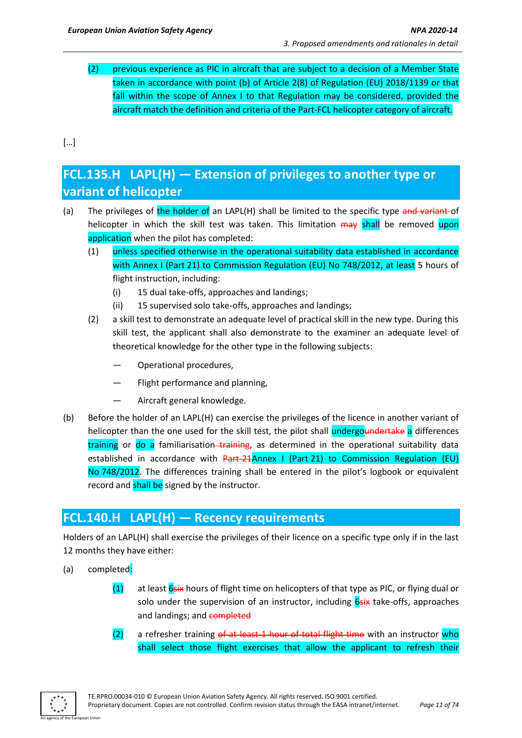(2) previous experience as PIC in aircraft that are subject to a decision of a Member State taken in accordance with point (b) of Article 2(8) of Regulation (EU) 2018/1139 or that fall within the scope of Annex I to that Regulation may be considered, provided the aircraft match the definition and criteria of the Part-FCL helicopter category of aircraft.

[…]

## **FCL.135.H LAPL(H) — Extension of privileges to another type or variant of helicopter**

- (a) The privileges of the holder of an LAPL(H) shall be limited to the specific type and variant of helicopter in which the skill test was taken. This limitation may shall be removed upon application when the pilot has completed:
	- (1) unless specified otherwise in the operational suitability data established in accordance with Annex I (Part 21) to Commission Regulation (EU) No 748/2012, at least 5 hours of flight instruction, including:
		- (i) 15 dual take-offs, approaches and landings;
		- (ii) 15 supervised solo take-offs, approaches and landings;
	- (2) a skill test to demonstrate an adequate level of practical skill in the new type. During this skill test, the applicant shall also demonstrate to the examiner an adequate level of theoretical knowledge for the other type in the following subjects:
		- Operational procedures,
		- Flight performance and planning,
		- Aircraft general knowledge.
- (b) Before the holder of an LAPL(H) can exercise the privileges of the licence in another variant of helicopter than the one used for the skill test, the pilot shall undergoundertake a differences training or do a familiarisation–training, as determined in the operational suitability data established in accordance with Part-21Annex I (Part 21) to Commission Regulation (EU) No 748/2012. The differences training shall be entered in the pilot's logbook or equivalent record and shall be signed by the instructor.

## **FCL.140.H LAPL(H) — Recency requirements**

Holders of an LAPL(H) shall exercise the privileges of their licence on a specific type only if in the last 12 months they have either:

- (a) completed:
	- (1) at least  $6s$ ix hours of flight time on helicopters of that type as PIC, or flying dual or solo under the supervision of an instructor, including  $6s$ ix take-offs, approaches and landings; and completed
	- $(2)$  a refresher training of at least 1 hour of total flight time with an instructor who shall select those flight exercises that allow the applicant to refresh their

An agency of the European Union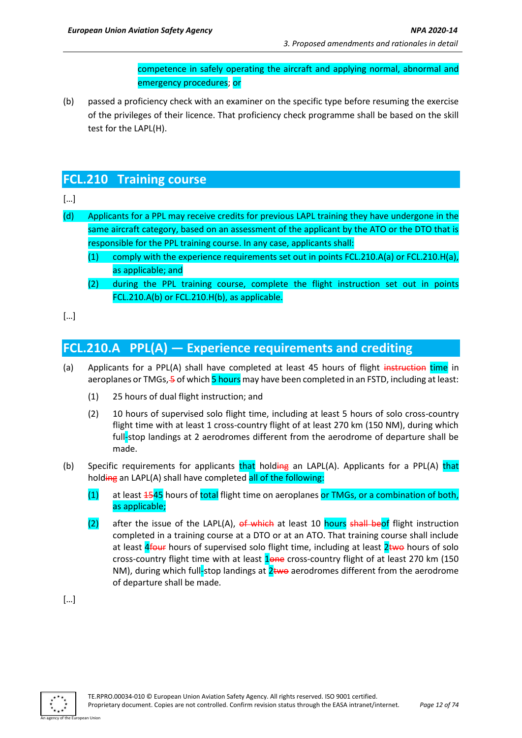competence in safely operating the aircraft and applying normal, abnormal and emergency procedures; or

(b) passed a proficiency check with an examiner on the specific type before resuming the exercise of the privileges of their licence. That proficiency check programme shall be based on the skill test for the LAPL(H).

## **FCL.210 Training course**

#### […]

- (d) Applicants for a PPL may receive credits for previous LAPL training they have undergone in the same aircraft category, based on an assessment of the applicant by the ATO or the DTO that is responsible for the PPL training course. In any case, applicants shall:
	- (1) comply with the experience requirements set out in points FCL.210.A(a) or FCL.210.H(a), as applicable; and
	- (2) during the PPL training course, complete the flight instruction set out in points FCL.210.A(b) or FCL.210.H(b), as applicable.
- […]

## **FCL.210.A PPL(A) — Experience requirements and crediting**

- (a) Applicants for a PPL(A) shall have completed at least 45 hours of flight instruction time in aeroplanes or TMGs, 5 of which 5 hours may have been completed in an FSTD, including at least:
	- (1) 25 hours of dual flight instruction; and
	- (2) 10 hours of supervised solo flight time, including at least 5 hours of solo cross-country flight time with at least 1 cross-country flight of at least 270 km (150 NM), during which full-stop landings at 2 aerodromes different from the aerodrome of departure shall be made.
- (b) Specific requirements for applicants that holding an LAPL(A). Applicants for a PPL(A) that holding an LAPL(A) shall have completed all of the following:
	- $(1)$  at least  $4545$  hours of total flight time on aeroplanes or TMGs, or a combination of both, as applicable;
	- (2) after the issue of the LAPL(A), of which at least 10 hours shall beof flight instruction completed in a training course at a DTO or at an ATO. That training course shall include at least  $4$  fours of supervised solo flight time, including at least  $2$  two hours of solo cross-country flight time with at least 1one cross-country flight of at least 270 km (150 NM), during which full-stop landings at  $2$ two aerodromes different from the aerodrome of departure shall be made.

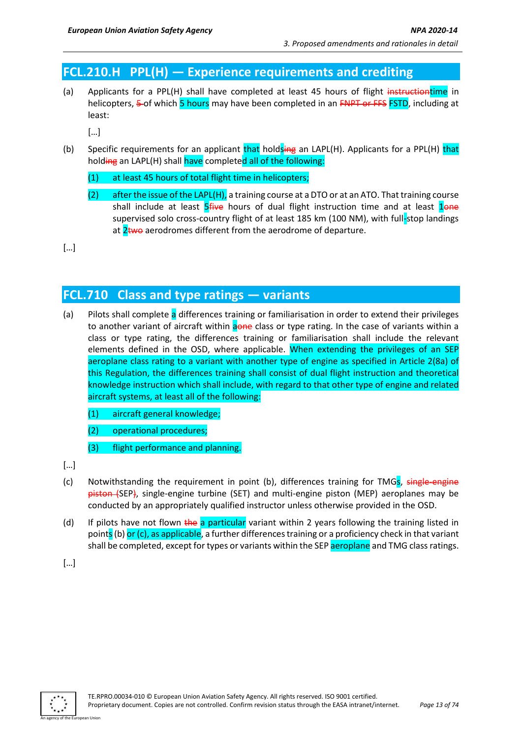## **FCL.210.H PPL(H) — Experience requirements and crediting**

(a) Applicants for a PPL(H) shall have completed at least 45 hours of flight instructiontime in helicopters, 5-of which 5 hours may have been completed in an FNPT or FFS FSTD, including at least:

[…]

- (b) Specific requirements for an applicant that holdsing an LAPL(H). Applicants for a PPL(H) that holding an LAPL(H) shall have completed all of the following:
	- (1) at least 45 hours of total flight time in helicopters;
	- (2) after the issue of the LAPL(H), a training course at a DTO or at an ATO. That training course shall include at least  $5$  five hours of dual flight instruction time and at least  $1$ supervised solo cross-country flight of at least 185 km (100 NM), with full-stop landings at  $2$ two aerodromes different from the aerodrome of departure.

[…]

### **FCL.710 Class and type ratings — variants**

- (a) Pilots shall complete a differences training or familiarisation in order to extend their privileges to another variant of aircraft within aone class or type rating. In the case of variants within a class or type rating, the differences training or familiarisation shall include the relevant elements defined in the OSD, where applicable. When extending the privileges of an SEP aeroplane class rating to a variant with another type of engine as specified in Article 2(8a) of this Regulation, the differences training shall consist of dual flight instruction and theoretical knowledge instruction which shall include, with regard to that other type of engine and related aircraft systems, at least all of the following:
	- (1) aircraft general knowledge;
	- (2) operational procedures;
	- (3) flight performance and planning.
- […]
- (c) Notwithstanding the requirement in point (b), differences training for TMG<sub>S</sub>, single-engine piston (SEP), single-engine turbine (SET) and multi-engine piston (MEP) aeroplanes may be conducted by an appropriately qualified instructor unless otherwise provided in the OSD.
- (d) If pilots have not flown the a particular variant within 2 years following the training listed in points (b) or (c), as applicable, a further differences training or a proficiency check in that variant shall be completed, except for types or variants within the SEP aeroplane and TMG class ratings.

 $[...]$ 

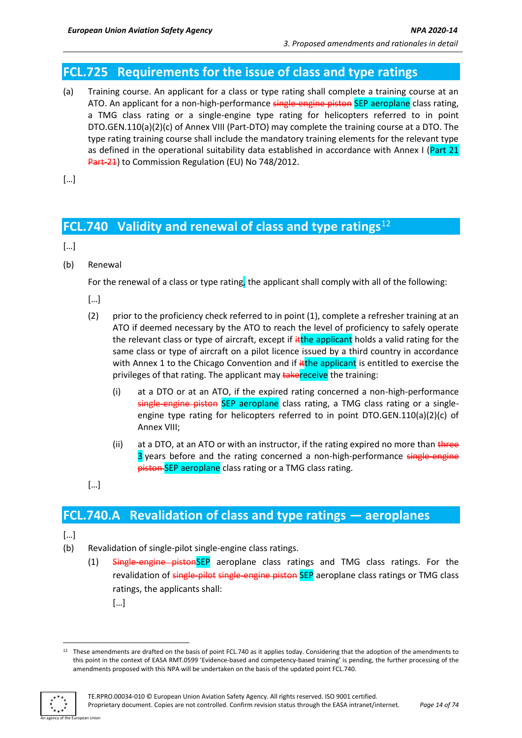## **FCL.725 Requirements for the issue of class and type ratings**

(a) Training course. An applicant for a class or type rating shall complete a training course at an ATO. An applicant for a non-high-performance single-engine piston SEP aeroplane class rating, a TMG class rating or a single-engine type rating for helicopters referred to in point DTO.GEN.110(a)(2)(c) of Annex VIII (Part-DTO) may complete the training course at a DTO. The type rating training course shall include the mandatory training elements for the relevant type as defined in the operational suitability data established in accordance with Annex I (Part 21 Part-21) to Commission Regulation (EU) No 748/2012.

 $[...]$ 

## **FCL.740 Validity and renewal of class and type ratings**<sup>12</sup>

 $[...]$ 

(b) Renewal

For the renewal of a class or type rating, the applicant shall comply with all of the following:

[…]

- (2) prior to the proficiency check referred to in point (1), complete a refresher training at an ATO if deemed necessary by the ATO to reach the level of proficiency to safely operate the relevant class or type of aircraft, except if ithe applicant holds a valid rating for the same class or type of aircraft on a pilot licence issued by a third country in accordance with Annex 1 to the Chicago Convention and if  $\frac{d}{dt}$ the applicant is entitled to exercise the privileges of that rating. The applicant may takereceive the training:
	- (i) at a DTO or at an ATO, if the expired rating concerned a non-high-performance single-engine piston SEP aeroplane class rating, a TMG class rating or a singleengine type rating for helicopters referred to in point DTO.GEN.110(a)(2)(c) of Annex VIII;
	- (ii) at a DTO, at an ATO or with an instructor, if the rating expired no more than  $t$  three 3 years before and the rating concerned a non-high-performance single-engine piston SEP aeroplane class rating or a TMG class rating.
- […]

### **FCL.740.A Revalidation of class and type ratings — aeroplanes**

- (b) Revalidation of single-pilot single-engine class ratings.
	- (1) Single-engine pistonSEP aeroplane class ratings and TMG class ratings. For the revalidation of single-pilot single-engine-piston SEP aeroplane class ratings or TMG class ratings, the applicants shall:
		- […]

 $12$  These amendments are drafted on the basis of point FCL.740 as it applies today. Considering that the adoption of the amendments to this point in the context of EASA RMT.0599 'Evidence-based and competency-based training' is pending, the further processing of the amendments proposed with this NPA will be undertaken on the basis of the updated point FCL.740.

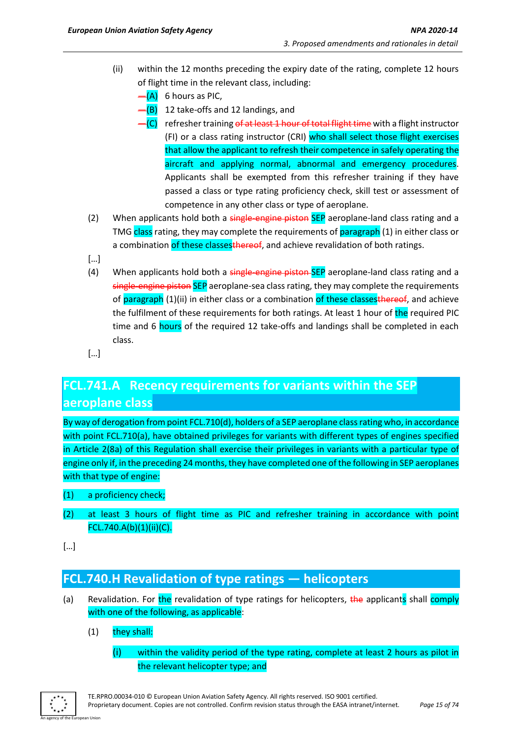- (ii) within the 12 months preceding the expiry date of the rating, complete 12 hours of flight time in the relevant class, including:
	- $-$ (A) 6 hours as PIC,
	- -(B) 12 take-offs and 12 landings, and
	- -(C) refresher training of at least 1 hour of total flight time with a flight instructor (FI) or a class rating instructor (CRI) who shall select those flight exercises that allow the applicant to refresh their competence in safely operating the aircraft and applying normal, abnormal and emergency procedures. Applicants shall be exempted from this refresher training if they have passed a class or type rating proficiency check, skill test or assessment of competence in any other class or type of aeroplane.
- (2) When applicants hold both a single-engine piston SEP aeroplane-land class rating and a TMG class rating, they may complete the requirements of paragraph (1) in either class or a combination of these classes thereof, and achieve revalidation of both ratings.
- $\lceil \dots \rceil$
- (4) When applicants hold both a single-engine-piston-SEP aeroplane-land class rating and a single-engine piston SEP aeroplane-sea class rating, they may complete the requirements of paragraph (1)(ii) in either class or a combination of these classesthereof, and achieve the fulfilment of these requirements for both ratings. At least 1 hour of the required PIC time and 6 hours of the required 12 take-offs and landings shall be completed in each class.
- […]

## **FCL.741.A Recency requirements for variants within the SEP aeroplane class**

By way of derogation from point FCL.710(d), holders of a SEP aeroplane class rating who, in accordance with point FCL.710(a), have obtained privileges for variants with different types of engines specified in Article 2(8a) of this Regulation shall exercise their privileges in variants with a particular type of engine only if, in the preceding 24 months, they have completed one of the following in SEP aeroplanes with that type of engine:

- (1) a proficiency check;
- (2) at least 3 hours of flight time as PIC and refresher training in accordance with point FCL.740.A(b)(1)(ii)(C).

[…]

## **FCL.740.H Revalidation of type ratings — helicopters**

- (a) Revalidation. For the revalidation of type ratings for helicopters, the applicants shall comply with one of the following, as applicable:
	- (1) they shall:
		- (i) within the validity period of the type rating, complete at least 2 hours as pilot in the relevant helicopter type; and

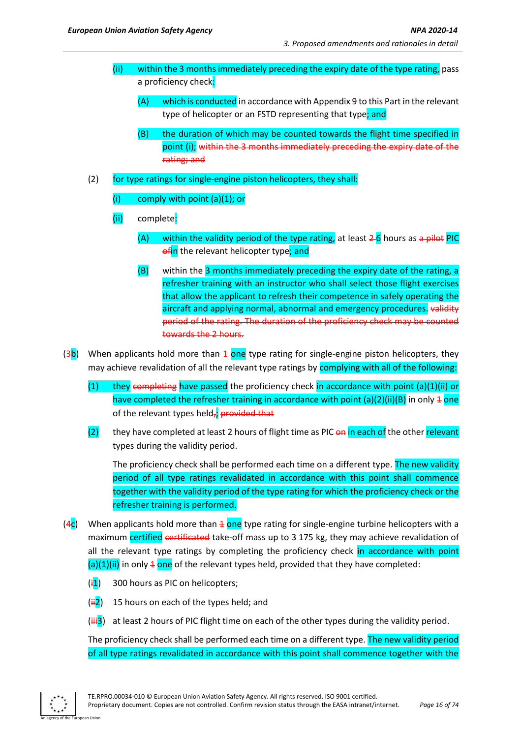- (ii) within the 3 months immediately preceding the expiry date of the type rating, pass a proficiency check:
	- $(A)$  which is conducted in accordance with Appendix 9 to this Part in the relevant type of helicopter or an FSTD representing that type; and
	- (B) the duration of which may be counted towards the flight time specified in point (i); within the 3 months immediately preceding the expiry date of the rating; and
- (2) for type ratings for single-engine piston helicopters, they shall:
	- (i) comply with point (a)(1); or
	- (ii) complete:
		- (A) within the validity period of the type rating, at least  $2-6$  hours as a pilot PIC ofin the relevant helicopter type; and
		- (B) within the 3 months immediately preceding the expiry date of the rating, a refresher training with an instructor who shall select those flight exercises that allow the applicant to refresh their competence in safely operating the aircraft and applying normal, abnormal and emergency procedures. validity period of the rating. The duration of the proficiency check may be counted towards the 2 hours.
- $(3b)$  When applicants hold more than  $\pm$  one type rating for single-engine piston helicopters, they may achieve revalidation of all the relevant type ratings by complying with all of the following:
	- (1) they completing have passed the proficiency check in accordance with point (a)(1)(ii) or have completed the refresher training in accordance with point (a)(2)(ii)(B) in only  $4$  one of the relevant types held, provided that
	- $(2)$  they have completed at least 2 hours of flight time as PIC  $\theta$ n in each of the other relevant types during the validity period.

The proficiency check shall be performed each time on a different type. The new validity period of all type ratings revalidated in accordance with this point shall commence together with the validity period of the type rating for which the proficiency check or the refresher training is performed.

- ( $4c$ ) When applicants hold more than  $\frac{1}{2}$  one type rating for single-engine turbine helicopters with a maximum certified certificated take-off mass up to 3 175 kg, they may achieve revalidation of all the relevant type ratings by completing the proficiency check in accordance with point  $(a)(1)(ii)$  in only  $\frac{1}{2}$  one of the relevant types held, provided that they have completed:
	- $(i1)$  300 hours as PIC on helicopters:
	- $(i\frac{1}{2})$  15 hours on each of the types held; and
	- ( $\frac{1}{113}$ ) at least 2 hours of PIC flight time on each of the other types during the validity period.

The proficiency check shall be performed each time on a different type. The new validity period of all type ratings revalidated in accordance with this point shall commence together with the

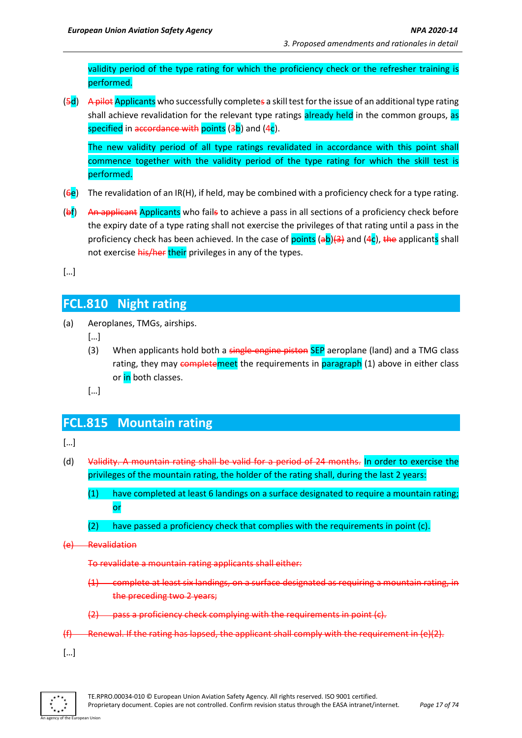validity period of the type rating for which the proficiency check or the refresher training is performed.

(5d) A pilot Applicants who successfully completes a skill test for the issue of an additional type rating shall achieve revalidation for the relevant type ratings already held in the common groups, as specified in accordance with points  $(3b)$  and  $(4c)$ .

The new validity period of all type ratings revalidated in accordance with this point shall commence together with the validity period of the type rating for which the skill test is performed.

- ( $\overline{6e}$ ) The revalidation of an IR(H), if held, may be combined with a proficiency check for a type rating.
- (b) An applicant Applicants who fails to achieve a pass in all sections of a proficiency check before the expiry date of a type rating shall not exercise the privileges of that rating until a pass in the proficiency check has been achieved. In the case of points (ab)(3) and (4c), the applicants shall not exercise his/her their privileges in any of the types.

[…]

## **FCL.810 Night rating**

- (a) Aeroplanes, TMGs, airships.
	- […]
	- (3) When applicants hold both a single-engine piston SEP aeroplane (land) and a TMG class rating, they may completemeet the requirements in paragraph (1) above in either class or in both classes.
	- […]

### **FCL.815 Mountain rating**

[…]

- (d) Validity. A mountain rating shall be valid for a period of 24 months. In order to exercise the privileges of the mountain rating, the holder of the rating shall, during the last 2 years:
	- (1) have completed at least 6 landings on a surface designated to require a mountain rating; or
	- (2) have passed a proficiency check that complies with the requirements in point (c).
- (e) Revalidation

To revalidate a mountain rating applicants shall either:

- (1) complete at least six landings, on a surface designated as requiring a mountain rating, in the preceding two 2 years;
- (2) pass a proficiency check complying with the requirements in point (c).
- $(f)$  Renewal. If the rating has lapsed, the applicant shall comply with the requirement in  $(e)(2)$ .
- […]

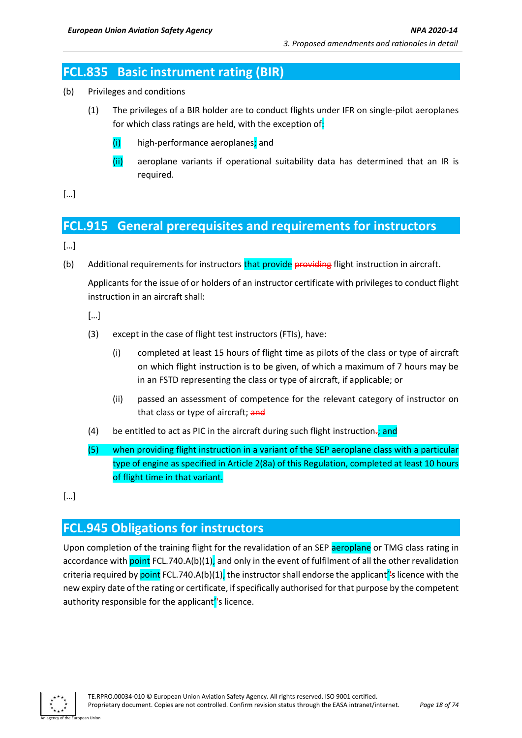## **FCL.835 Basic instrument rating (BIR)**

- (b) Privileges and conditions
	- (1) The privileges of a BIR holder are to conduct flights under IFR on single-pilot aeroplanes for which class ratings are held, with the exception of:
		- (i) high-performance aeroplanes; and
		- (ii) aeroplane variants if operational suitability data has determined that an IR is required.

[…]

## **FCL.915 General prerequisites and requirements for instructors**

[…]

(b) Additional requirements for instructors that provide providing flight instruction in aircraft.

Applicants for the issue of or holders of an instructor certificate with privileges to conduct flight instruction in an aircraft shall:

- […]
- (3) except in the case of flight test instructors (FTIs), have:
	- (i) completed at least 15 hours of flight time as pilots of the class or type of aircraft on which flight instruction is to be given, of which a maximum of 7 hours may be in an FSTD representing the class or type of aircraft, if applicable; or
	- (ii) passed an assessment of competence for the relevant category of instructor on that class or type of aircraft; and
- (4) be entitled to act as PIC in the aircraft during such flight instruction $\frac{1}{x}$  and
- (5) when providing flight instruction in a variant of the SEP aeroplane class with a particular type of engine as specified in Article 2(8a) of this Regulation, completed at least 10 hours of flight time in that variant.
- $[...]$

## **FCL.945 Obligations for instructors**

Upon completion of the training flight for the revalidation of an SEP aeroplane or TMG class rating in accordance with point FCL.740.A(b)(1), and only in the event of fulfilment of all the other revalidation criteria required by point FCL.740.A(b)(1), the instructor shall endorse the applicant's licence with the new expiry date of the rating or certificate, if specifically authorised for that purpose by the competent authority responsible for the applicant<sup>''</sup>s licence.

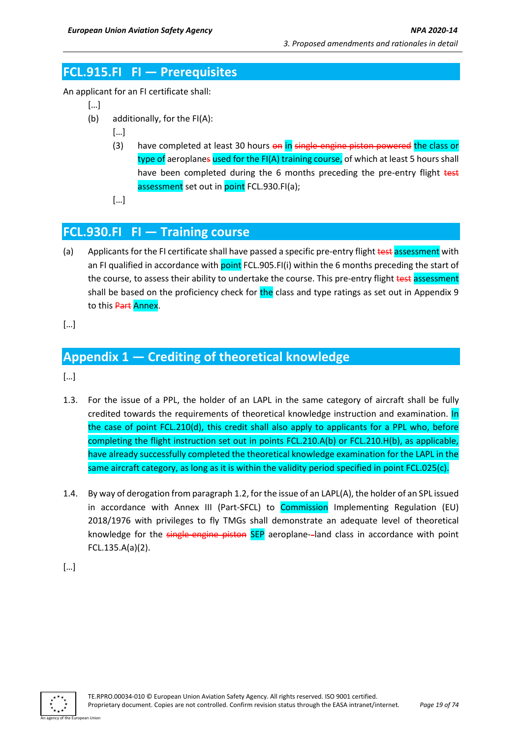## **FCL.915.FI FI — Prerequisites**

An applicant for an FI certificate shall:

- […]
- (b) additionally, for the FI(A):
	- […]
	- (3) have completed at least 30 hours on in single-engine-piston powered the class or type of aeroplanes used for the FI(A) training course, of which at least 5 hours shall have been completed during the 6 months preceding the pre-entry flight test assessment set out in point FCL.930.FI(a);
	- […]

## **FCL.930.FI FI — Training course**

- (a) Applicants for the FI certificate shall have passed a specific pre-entry flight test assessment with an FI qualified in accordance with point FCL.905.FI(i) within the 6 months preceding the start of the course, to assess their ability to undertake the course. This pre-entry flight test assessment shall be based on the proficiency check for the class and type ratings as set out in Appendix 9 to this Part Annex.
- […]

## **Appendix 1 — Crediting of theoretical knowledge**

[…]

- 1.3. For the issue of a PPL, the holder of an LAPL in the same category of aircraft shall be fully credited towards the requirements of theoretical knowledge instruction and examination. In the case of point FCL.210(d), this credit shall also apply to applicants for a PPL who, before completing the flight instruction set out in points FCL.210.A(b) or FCL.210.H(b), as applicable, have already successfully completed the theoretical knowledge examination for the LAPL in the same aircraft category, as long as it is within the validity period specified in point FCL.025(c).
- 1.4. By way of derogation from paragraph 1.2, for the issue of an LAPL(A), the holder of an SPL issued in accordance with Annex III (Part-SFCL) to Commission Implementing Regulation (EU) 2018/1976 with privileges to fly TMGs shall demonstrate an adequate level of theoretical knowledge for the single-engine piston SEP aeroplane-land class in accordance with point FCL.135.A(a)(2).

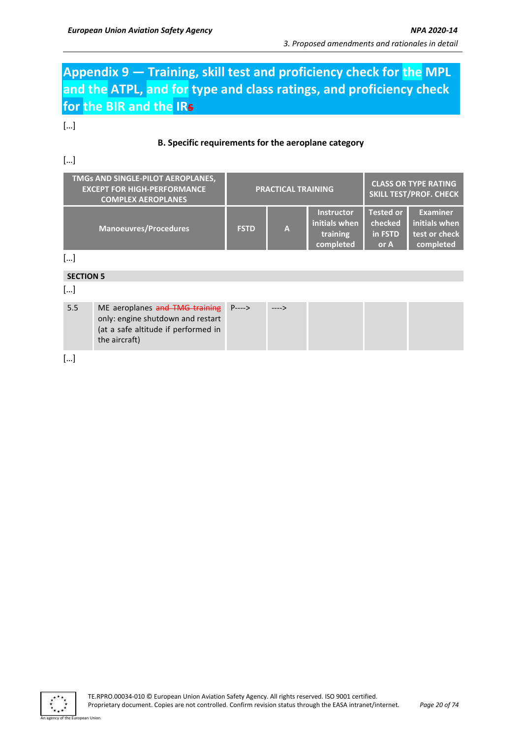## **Appendix 9 — Training, skill test and proficiency check for the MPL and the ATPL, and for type and class ratings, and proficiency check for the BIR and the IRs**

[…]

#### **B. Specific requirements for the aeroplane category**

#### […]

| TMGs AND SINGLE-PILOT AEROPLANES,<br><b>EXCEPT FOR HIGH-PERFORMANCE</b><br><b>COMPLEX AEROPLANES</b> | <b>PRACTICAL TRAINING</b> |              | <b>CLASS OR TYPE RATING</b><br><b>SKILL TEST/PROF. CHECK</b> |                                                |                                                                |
|------------------------------------------------------------------------------------------------------|---------------------------|--------------|--------------------------------------------------------------|------------------------------------------------|----------------------------------------------------------------|
| <b>Manoeuvres/Procedures</b>                                                                         | <b>FSTD</b>               | $\mathbf{A}$ | <b>Instructor</b><br>initials when<br>training<br>completed  | <b>Tested or</b><br>checked<br>in FSTD<br>or A | <b>Examiner</b><br>initials when<br>test or check<br>completed |

[…]

#### **SECTION 5**

[…]

| 5.5 | ME aeroplanes and TMG training P----><br>only: engine shutdown and restart | $---$ > |  |  |
|-----|----------------------------------------------------------------------------|---------|--|--|
|     | (at a safe altitude if performed in<br>the aircraft)                       |         |  |  |

[…]



n Hoio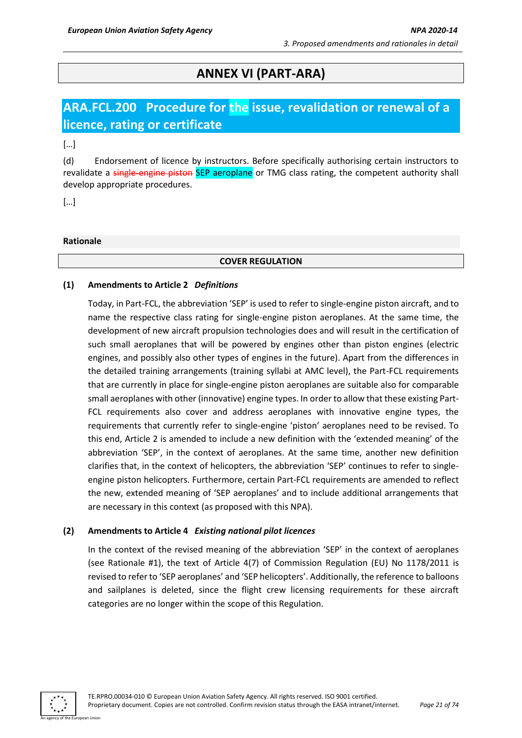## **ANNEX VI (PART-ARA)**

## **ARA.FCL.200 Procedure for the issue, revalidation or renewal of a licence, rating or certificate**

[…]

(d) Endorsement of licence by instructors. Before specifically authorising certain instructors to revalidate a single-engine piston SEP aeroplane or TMG class rating, the competent authority shall develop appropriate procedures.

[…]

#### **Rationale**

#### **COVER REGULATION**

#### **(1) Amendments to Article 2** *Definitions*

Today, in Part-FCL, the abbreviation 'SEP' is used to refer to single-engine piston aircraft, and to name the respective class rating for single-engine piston aeroplanes. At the same time, the development of new aircraft propulsion technologies does and will result in the certification of such small aeroplanes that will be powered by engines other than piston engines (electric engines, and possibly also other types of engines in the future). Apart from the differences in the detailed training arrangements (training syllabi at AMC level), the Part-FCL requirements that are currently in place for single-engine piston aeroplanes are suitable also for comparable small aeroplanes with other (innovative) engine types. In order to allow that these existing Part-FCL requirements also cover and address aeroplanes with innovative engine types, the requirements that currently refer to single-engine 'piston' aeroplanes need to be revised. To this end, Article 2 is amended to include a new definition with the 'extended meaning' of the abbreviation 'SEP', in the context of aeroplanes. At the same time, another new definition clarifies that, in the context of helicopters, the abbreviation 'SEP' continues to refer to singleengine piston helicopters. Furthermore, certain Part-FCL requirements are amended to reflect the new, extended meaning of 'SEP aeroplanes' and to include additional arrangements that are necessary in this context (as proposed with this NPA).

#### **(2) Amendments to Article 4** *Existing national pilot licences*

In the context of the revised meaning of the abbreviation 'SEP' in the context of aeroplanes (see Rationale #1), the text of Article 4(7) of Commission Regulation (EU) No 1178/2011 is revised to refer to 'SEP aeroplanes' and 'SEP helicopters'. Additionally, the reference to balloons and sailplanes is deleted, since the flight crew licensing requirements for these aircraft categories are no longer within the scope of this Regulation.

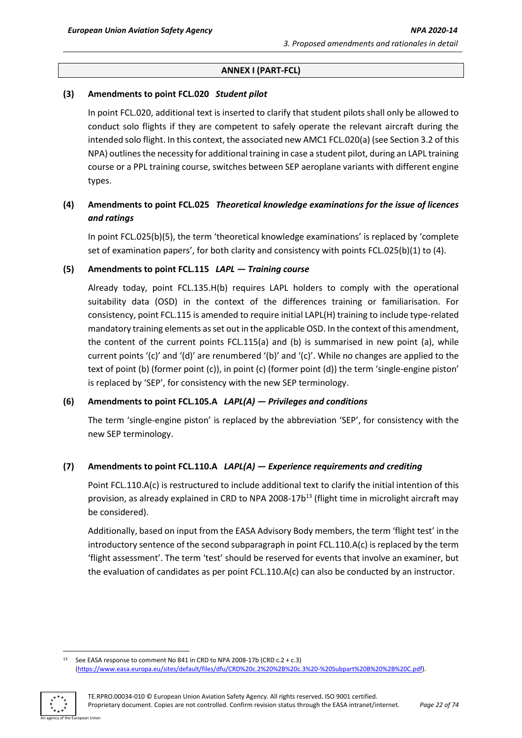#### **ANNEX I (PART-FCL)**

#### **(3) Amendments to point FCL.020** *Student pilot*

In point FCL.020, additional text is inserted to clarify that student pilots shall only be allowed to conduct solo flights if they are competent to safely operate the relevant aircraft during the intended solo flight. In this context, the associated new AMC1 FCL.020(a) (see Section 3.2 of this NPA) outlines the necessity for additional training in case a student pilot, during an LAPL training course or a PPL training course, switches between SEP aeroplane variants with different engine types.

#### **(4) Amendments to point FCL.025** *Theoretical knowledge examinations for the issue of licences and ratings*

In point FCL.025(b)(5), the term 'theoretical knowledge examinations' is replaced by 'complete set of examination papers', for both clarity and consistency with points FCL.025(b)(1) to (4).

#### **(5) Amendments to point FCL.115** *LAPL — Training course*

Already today, point FCL.135.H(b) requires LAPL holders to comply with the operational suitability data (OSD) in the context of the differences training or familiarisation. For consistency, point FCL.115 is amended to require initial LAPL(H) training to include type-related mandatory training elements as set out in the applicable OSD. In the context of this amendment, the content of the current points FCL.115(a) and (b) is summarised in new point (a), while current points '(c)' and '(d)' are renumbered '(b)' and '(c)'. While no changes are applied to the text of point (b) (former point (c)), in point (c) (former point (d)) the term 'single-engine piston' is replaced by 'SEP', for consistency with the new SEP terminology.

#### **(6) Amendments to point FCL.105.A** *LAPL(A) — Privileges and conditions*

The term 'single-engine piston' is replaced by the abbreviation 'SEP', for consistency with the new SEP terminology.

#### **(7) Amendments to point FCL.110.A** *LAPL(A) — Experience requirements and crediting*

Point FCL.110.A(c) is restructured to include additional text to clarify the initial intention of this provision, as already explained in CRD to NPA 2008-17b<sup>13</sup> (flight time in microlight aircraft may be considered).

Additionally, based on input from the EASA Advisory Body members, the term 'flight test' in the introductory sentence of the second subparagraph in point FCL.110.A(c) is replaced by the term 'flight assessment'. The term 'test' should be reserved for events that involve an examiner, but the evaluation of candidates as per point FCL.110.A(c) can also be conducted by an instructor.

<sup>&</sup>lt;sup>13</sup> See EASA response to comment No 841 in CRD to NPA 2008-17b (CRD c.2 + c.3) [\(https://www.easa.europa.eu/sites/default/files/dfu/CRD%20c.2%20%2B%20c.3%20-%20Subpart%20B%20%2B%20C.pdf\)](https://www.easa.europa.eu/sites/default/files/dfu/CRD%20c.2%20%2B%20c.3%20-%20Subpart%20B%20%2B%20C.pdf).

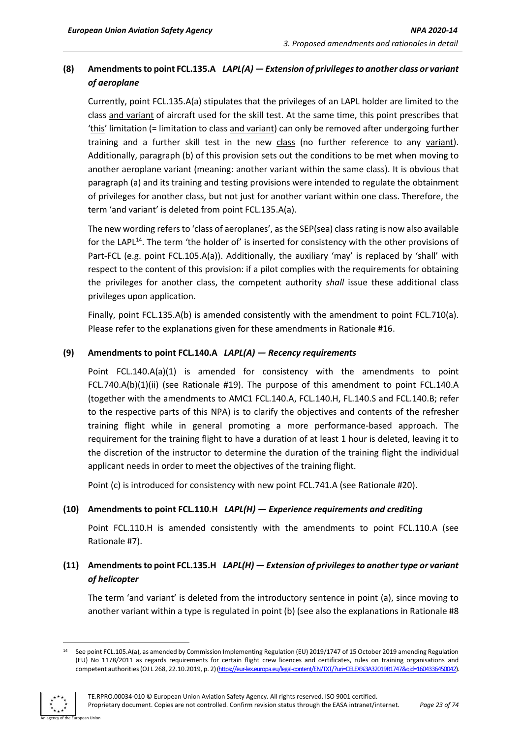### **(8) Amendments to point FCL.135.A** *LAPL(A) — Extension of privileges to another class or variant of aeroplane*

Currently, point FCL.135.A(a) stipulates that the privileges of an LAPL holder are limited to the class and variant of aircraft used for the skill test. At the same time, this point prescribes that 'this' limitation (= limitation to class and variant) can only be removed after undergoing further training and a further skill test in the new class (no further reference to any variant). Additionally, paragraph (b) of this provision sets out the conditions to be met when moving to another aeroplane variant (meaning: another variant within the same class). It is obvious that paragraph (a) and its training and testing provisions were intended to regulate the obtainment of privileges for another class, but not just for another variant within one class. Therefore, the term 'and variant' is deleted from point FCL.135.A(a).

The new wording refers to 'class of aeroplanes', as the SEP(sea) class rating is now also available for the LAPL<sup>14</sup>. The term 'the holder of' is inserted for consistency with the other provisions of Part-FCL (e.g. point FCL.105.A(a)). Additionally, the auxiliary 'may' is replaced by 'shall' with respect to the content of this provision: if a pilot complies with the requirements for obtaining the privileges for another class, the competent authority *shall* issue these additional class privileges upon application.

Finally, point FCL.135.A(b) is amended consistently with the amendment to point FCL.710(a). Please refer to the explanations given for these amendments in Rationale #16.

#### **(9) Amendments to point FCL.140.A** *LAPL(A) — Recency requirements*

Point FCL.140.A(a)(1) is amended for consistency with the amendments to point FCL.740.A(b)(1)(ii) (see Rationale #19). The purpose of this amendment to point FCL.140.A (together with the amendments to AMC1 FCL.140.A, FCL.140.H, FL.140.S and FCL.140.B; refer to the respective parts of this NPA) is to clarify the objectives and contents of the refresher training flight while in general promoting a more performance-based approach. The requirement for the training flight to have a duration of at least 1 hour is deleted, leaving it to the discretion of the instructor to determine the duration of the training flight the individual applicant needs in order to meet the objectives of the training flight.

Point (c) is introduced for consistency with new point FCL.741.A (see Rationale #20).

#### **(10) Amendments to point FCL.110.H** *LAPL(H) — Experience requirements and crediting*

Point FCL.110.H is amended consistently with the amendments to point FCL.110.A (see Rationale #7).

#### **(11) Amendments to point FCL.135.H** *LAPL(H) — Extension of privileges to another type or variant of helicopter*

The term 'and variant' is deleted from the introductory sentence in point (a), since moving to another variant within a type is regulated in point (b) (see also the explanations in Rationale #8

<sup>&</sup>lt;sup>14</sup> See point FCL.105.A(a), as amended by Commission Implementing Regulation (EU) 2019/1747 of 15 October 2019 amending Regulation (EU) No 1178/2011 as regards requirements for certain flight crew licences and certificates, rules on training organisations and competent authorities (OJ L 268, 22.10.2019, p. 2)[\(https://eur-lex.europa.eu/legal-content/EN/TXT/?uri=CELEX%3A32019R1747&qid=1604336450042\).](https://eur-lex.europa.eu/legal-content/EN/TXT/?uri=CELEX%3A32019R1747&qid=1604336450042)

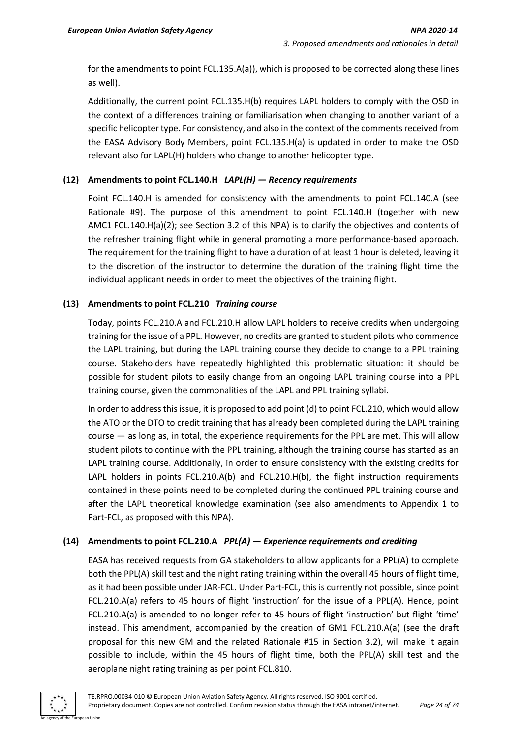for the amendments to point FCL.135.A(a)), which is proposed to be corrected along these lines as well).

Additionally, the current point FCL.135.H(b) requires LAPL holders to comply with the OSD in the context of a differences training or familiarisation when changing to another variant of a specific helicopter type. For consistency, and also in the context of the comments received from the EASA Advisory Body Members, point FCL.135.H(a) is updated in order to make the OSD relevant also for LAPL(H) holders who change to another helicopter type.

#### **(12) Amendments to point FCL.140.H** *LAPL(H) — Recency requirements*

Point FCL.140.H is amended for consistency with the amendments to point FCL.140.A (see Rationale #9). The purpose of this amendment to point FCL.140.H (together with new AMC1 FCL.140.H(a)(2); see Section 3.2 of this NPA) is to clarify the objectives and contents of the refresher training flight while in general promoting a more performance-based approach. The requirement for the training flight to have a duration of at least 1 hour is deleted, leaving it to the discretion of the instructor to determine the duration of the training flight time the individual applicant needs in order to meet the objectives of the training flight.

#### **(13) Amendments to point FCL.210** *Training course*

Today, points FCL.210.A and FCL.210.H allow LAPL holders to receive credits when undergoing training for the issue of a PPL. However, no credits are granted to student pilots who commence the LAPL training, but during the LAPL training course they decide to change to a PPL training course. Stakeholders have repeatedly highlighted this problematic situation: it should be possible for student pilots to easily change from an ongoing LAPL training course into a PPL training course, given the commonalities of the LAPL and PPL training syllabi.

In order to address this issue, it is proposed to add point (d) to point FCL.210, which would allow the ATO or the DTO to credit training that has already been completed during the LAPL training course — as long as, in total, the experience requirements for the PPL are met. This will allow student pilots to continue with the PPL training, although the training course has started as an LAPL training course. Additionally, in order to ensure consistency with the existing credits for LAPL holders in points FCL.210.A(b) and FCL.210.H(b), the flight instruction requirements contained in these points need to be completed during the continued PPL training course and after the LAPL theoretical knowledge examination (see also amendments to Appendix 1 to Part-FCL, as proposed with this NPA).

#### **(14) Amendments to point FCL.210.A** *PPL(A) — Experience requirements and crediting*

EASA has received requests from GA stakeholders to allow applicants for a PPL(A) to complete both the PPL(A) skill test and the night rating training within the overall 45 hours of flight time, as it had been possible under JAR-FCL. Under Part-FCL, this is currently not possible, since point FCL.210.A(a) refers to 45 hours of flight 'instruction' for the issue of a PPL(A). Hence, point FCL.210.A(a) is amended to no longer refer to 45 hours of flight 'instruction' but flight 'time' instead. This amendment, accompanied by the creation of GM1 FCL.210.A(a) (see the draft proposal for this new GM and the related Rationale #15 in Section 3.2), will make it again possible to include, within the 45 hours of flight time, both the PPL(A) skill test and the aeroplane night rating training as per point FCL.810.

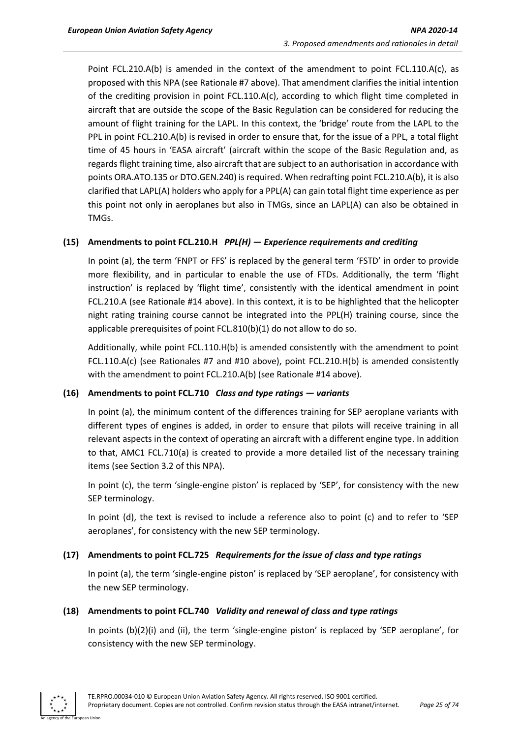Point FCL.210.A(b) is amended in the context of the amendment to point FCL.110.A(c), as proposed with this NPA (see Rationale #7 above). That amendment clarifies the initial intention of the crediting provision in point FCL.110.A(c), according to which flight time completed in aircraft that are outside the scope of the Basic Regulation can be considered for reducing the amount of flight training for the LAPL. In this context, the 'bridge' route from the LAPL to the PPL in point FCL.210.A(b) is revised in order to ensure that, for the issue of a PPL, a total flight time of 45 hours in 'EASA aircraft' (aircraft within the scope of the Basic Regulation and, as regards flight training time, also aircraft that are subject to an authorisation in accordance with points ORA.ATO.135 or DTO.GEN.240) is required. When redrafting point FCL.210.A(b), it is also clarified that LAPL(A) holders who apply for a PPL(A) can gain total flight time experience as per this point not only in aeroplanes but also in TMGs, since an LAPL(A) can also be obtained in TMGs.

#### **(15) Amendments to point FCL.210.H** *PPL(H) — Experience requirements and crediting*

In point (a), the term 'FNPT or FFS' is replaced by the general term 'FSTD' in order to provide more flexibility, and in particular to enable the use of FTDs. Additionally, the term 'flight instruction' is replaced by 'flight time', consistently with the identical amendment in point FCL.210.A (see Rationale #14 above). In this context, it is to be highlighted that the helicopter night rating training course cannot be integrated into the PPL(H) training course, since the applicable prerequisites of point FCL.810(b)(1) do not allow to do so.

Additionally, while point FCL.110.H(b) is amended consistently with the amendment to point FCL.110.A(c) (see Rationales #7 and #10 above), point FCL.210.H(b) is amended consistently with the amendment to point FCL.210.A(b) (see Rationale #14 above).

#### **(16) Amendments to point FCL.710** *Class and type ratings — variants*

In point (a), the minimum content of the differences training for SEP aeroplane variants with different types of engines is added, in order to ensure that pilots will receive training in all relevant aspects in the context of operating an aircraft with a different engine type. In addition to that, AMC1 FCL.710(a) is created to provide a more detailed list of the necessary training items (see Section 3.2 of this NPA).

In point (c), the term 'single-engine piston' is replaced by 'SEP', for consistency with the new SEP terminology.

In point (d), the text is revised to include a reference also to point (c) and to refer to 'SEP aeroplanes', for consistency with the new SEP terminology.

#### **(17) Amendments to point FCL.725** *Requirements for the issue of class and type ratings*

In point (a), the term 'single-engine piston' is replaced by 'SEP aeroplane', for consistency with the new SEP terminology.

#### **(18) Amendments to point FCL.740** *Validity and renewal of class and type ratings*

In points (b)(2)(i) and (ii), the term 'single-engine piston' is replaced by 'SEP aeroplane', for consistency with the new SEP terminology.

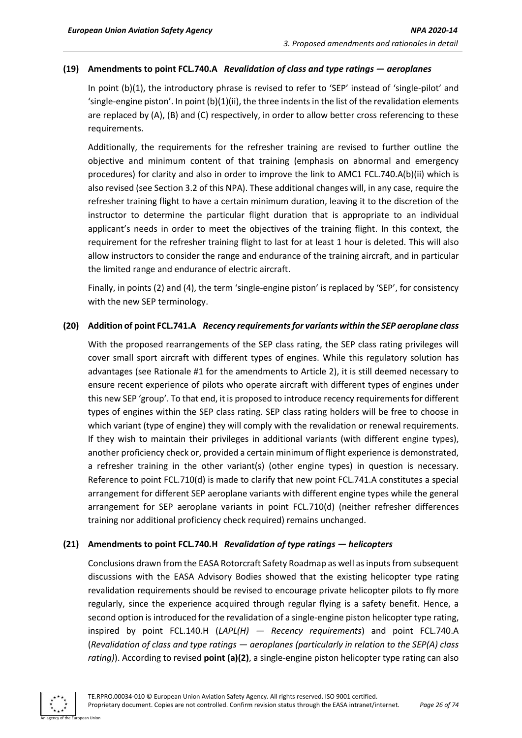#### **(19) Amendments to point FCL.740.A** *Revalidation of class and type ratings — aeroplanes*

In point (b)(1), the introductory phrase is revised to refer to 'SEP' instead of 'single-pilot' and 'single-engine piston'. In point (b)(1)(ii), the three indentsin the list of the revalidation elements are replaced by (A), (B) and (C) respectively, in order to allow better cross referencing to these requirements.

Additionally, the requirements for the refresher training are revised to further outline the objective and minimum content of that training (emphasis on abnormal and emergency procedures) for clarity and also in order to improve the link to AMC1 FCL.740.A(b)(ii) which is also revised (see Section 3.2 of this NPA). These additional changes will, in any case, require the refresher training flight to have a certain minimum duration, leaving it to the discretion of the instructor to determine the particular flight duration that is appropriate to an individual applicant's needs in order to meet the objectives of the training flight. In this context, the requirement for the refresher training flight to last for at least 1 hour is deleted. This will also allow instructors to consider the range and endurance of the training aircraft, and in particular the limited range and endurance of electric aircraft.

Finally, in points (2) and (4), the term 'single-engine piston' is replaced by 'SEP', for consistency with the new SEP terminology.

#### **(20) Addition of point FCL.741.A** *Recency requirements for variants within the SEP aeroplane class*

With the proposed rearrangements of the SEP class rating, the SEP class rating privileges will cover small sport aircraft with different types of engines. While this regulatory solution has advantages (see Rationale #1 for the amendments to Article 2), it is still deemed necessary to ensure recent experience of pilots who operate aircraft with different types of engines under this new SEP 'group'. To that end, it is proposed to introduce recency requirements for different types of engines within the SEP class rating. SEP class rating holders will be free to choose in which variant (type of engine) they will comply with the revalidation or renewal requirements. If they wish to maintain their privileges in additional variants (with different engine types), another proficiency check or, provided a certain minimum of flight experience is demonstrated, a refresher training in the other variant(s) (other engine types) in question is necessary. Reference to point FCL.710(d) is made to clarify that new point FCL.741.A constitutes a special arrangement for different SEP aeroplane variants with different engine types while the general arrangement for SEP aeroplane variants in point FCL.710(d) (neither refresher differences training nor additional proficiency check required) remains unchanged.

#### **(21) Amendments to point FCL.740.H** *Revalidation of type ratings — helicopters*

Conclusions drawn from the EASA Rotorcraft Safety Roadmap as well as inputs from subsequent discussions with the EASA Advisory Bodies showed that the existing helicopter type rating revalidation requirements should be revised to encourage private helicopter pilots to fly more regularly, since the experience acquired through regular flying is a safety benefit. Hence, a second option is introduced for the revalidation of a single-engine piston helicopter type rating, inspired by point FCL.140.H (*LAPL(H) — Recency requirements*) and point FCL.740.A (*Revalidation of class and type ratings — aeroplanes (particularly in relation to the SEP(A) class rating)*). According to revised **point (a)(2)**, a single-engine piston helicopter type rating can also

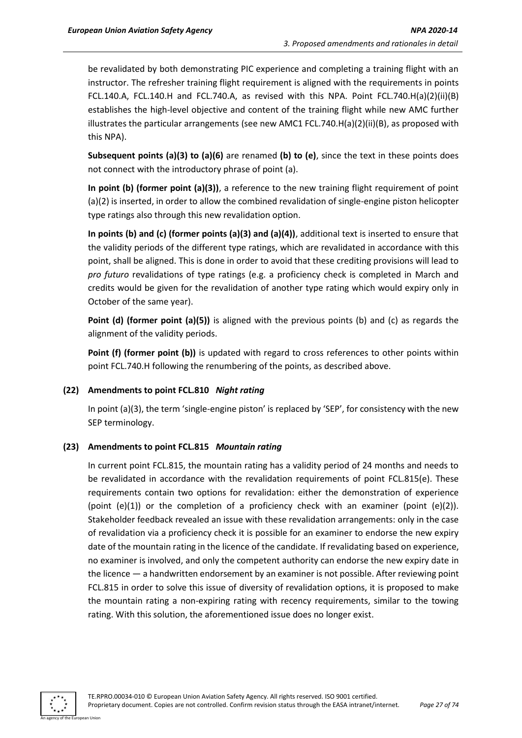be revalidated by both demonstrating PIC experience and completing a training flight with an instructor. The refresher training flight requirement is aligned with the requirements in points FCL.140.A, FCL.140.H and FCL.740.A, as revised with this NPA. Point FCL.740.H(a)(2)(ii)(B) establishes the high-level objective and content of the training flight while new AMC further illustrates the particular arrangements (see new AMC1 FCL.740.H(a)(2)(ii)(B), as proposed with this NPA).

**Subsequent points (a)(3) to (a)(6)** are renamed **(b) to (e)**, since the text in these points does not connect with the introductory phrase of point (a).

**In point (b) (former point (a)(3))**, a reference to the new training flight requirement of point (a)(2) is inserted, in order to allow the combined revalidation of single-engine piston helicopter type ratings also through this new revalidation option.

**In points (b) and (c) (former points (a)(3) and (a)(4))**, additional text is inserted to ensure that the validity periods of the different type ratings, which are revalidated in accordance with this point, shall be aligned. This is done in order to avoid that these crediting provisions will lead to *pro futuro* revalidations of type ratings (e.g. a proficiency check is completed in March and credits would be given for the revalidation of another type rating which would expiry only in October of the same year).

**Point (d) (former point (a)(5))** is aligned with the previous points (b) and (c) as regards the alignment of the validity periods.

Point (f) (former point (b)) is updated with regard to cross references to other points within point FCL.740.H following the renumbering of the points, as described above.

#### **(22) Amendments to point FCL.810** *Night rating*

In point (a)(3), the term 'single-engine piston' is replaced by 'SEP', for consistency with the new SEP terminology.

#### **(23) Amendments to point FCL.815** *Mountain rating*

In current point FCL.815, the mountain rating has a validity period of 24 months and needs to be revalidated in accordance with the revalidation requirements of point FCL.815(e). These requirements contain two options for revalidation: either the demonstration of experience (point  $(e)(1)$ ) or the completion of a proficiency check with an examiner (point  $(e)(2)$ ). Stakeholder feedback revealed an issue with these revalidation arrangements: only in the case of revalidation via a proficiency check it is possible for an examiner to endorse the new expiry date of the mountain rating in the licence of the candidate. If revalidating based on experience, no examiner is involved, and only the competent authority can endorse the new expiry date in the licence — a handwritten endorsement by an examiner is not possible. After reviewing point FCL.815 in order to solve this issue of diversity of revalidation options, it is proposed to make the mountain rating a non-expiring rating with recency requirements, similar to the towing rating. With this solution, the aforementioned issue does no longer exist.

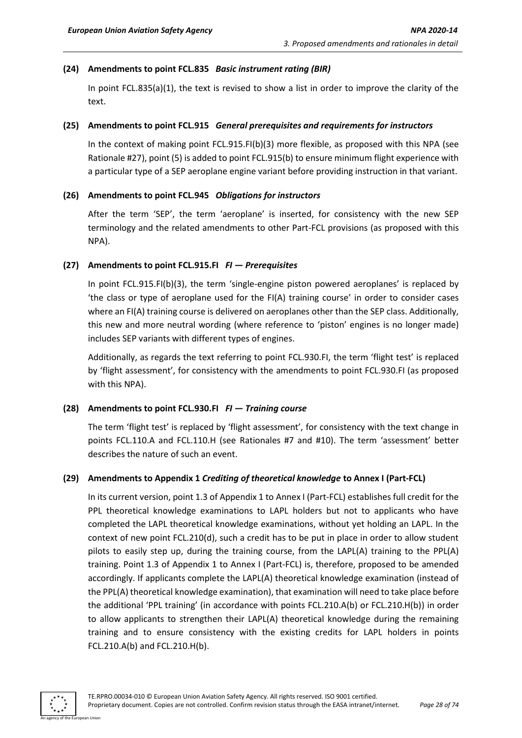#### **(24) Amendments to point FCL.835** *Basic instrument rating (BIR)*

In point FCL.835(a)(1), the text is revised to show a list in order to improve the clarity of the text.

#### **(25) Amendments to point FCL.915** *General prerequisites and requirements for instructors*

In the context of making point FCL.915.FI(b)(3) more flexible, as proposed with this NPA (see Rationale #27), point (5) is added to point FCL.915(b) to ensure minimum flight experience with a particular type of a SEP aeroplane engine variant before providing instruction in that variant.

#### **(26) Amendments to point FCL.945** *Obligations for instructors*

After the term 'SEP', the term 'aeroplane' is inserted, for consistency with the new SEP terminology and the related amendments to other Part-FCL provisions (as proposed with this NPA).

#### **(27) Amendments to point FCL.915.FI** *FI — Prerequisites*

In point FCL.915.FI(b)(3), the term 'single-engine piston powered aeroplanes' is replaced by 'the class or type of aeroplane used for the FI(A) training course' in order to consider cases where an FI(A) training course is delivered on aeroplanes other than the SEP class. Additionally, this new and more neutral wording (where reference to 'piston' engines is no longer made) includes SEP variants with different types of engines.

Additionally, as regards the text referring to point FCL.930.FI, the term 'flight test' is replaced by 'flight assessment', for consistency with the amendments to point FCL.930.FI (as proposed with this NPA).

#### **(28) Amendments to point FCL.930.FI** *FI — Training course*

The term 'flight test' is replaced by 'flight assessment', for consistency with the text change in points FCL.110.A and FCL.110.H (see Rationales #7 and #10). The term 'assessment' better describes the nature of such an event.

#### **(29) Amendments to Appendix 1** *Crediting of theoretical knowledge* **to Annex I (Part-FCL)**

In its current version, point 1.3 of Appendix 1 to Annex I (Part-FCL) establishes full credit for the PPL theoretical knowledge examinations to LAPL holders but not to applicants who have completed the LAPL theoretical knowledge examinations, without yet holding an LAPL. In the context of new point FCL.210(d), such a credit has to be put in place in order to allow student pilots to easily step up, during the training course, from the LAPL(A) training to the PPL(A) training. Point 1.3 of Appendix 1 to Annex I (Part-FCL) is, therefore, proposed to be amended accordingly. If applicants complete the LAPL(A) theoretical knowledge examination (instead of the PPL(A) theoretical knowledge examination), that examination will need to take place before the additional 'PPL training' (in accordance with points FCL.210.A(b) or FCL.210.H(b)) in order to allow applicants to strengthen their LAPL(A) theoretical knowledge during the remaining training and to ensure consistency with the existing credits for LAPL holders in points FCL.210.A(b) and FCL.210.H(b).

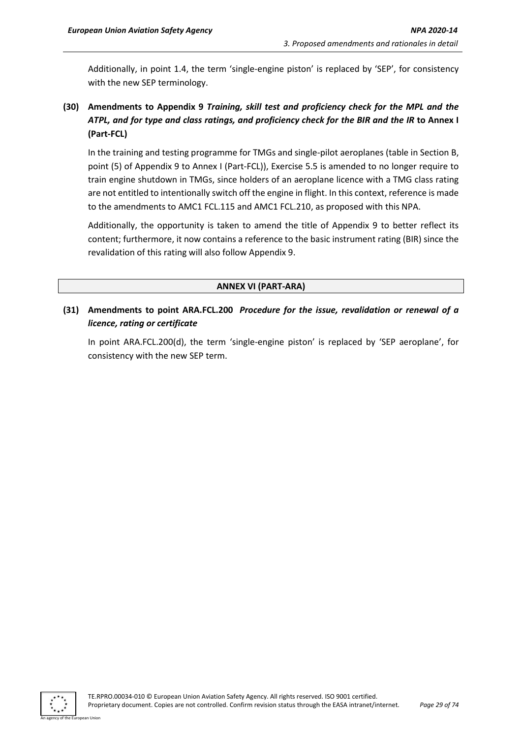Additionally, in point 1.4, the term 'single-engine piston' is replaced by 'SEP', for consistency with the new SEP terminology.

### **(30) Amendments to Appendix 9** *Training, skill test and proficiency check for the MPL and the ATPL, and for type and class ratings, and proficiency check for the BIR and the IR* **to Annex I (Part-FCL)**

In the training and testing programme for TMGs and single-pilot aeroplanes (table in Section B, point (5) of Appendix 9 to Annex I (Part-FCL)), Exercise 5.5 is amended to no longer require to train engine shutdown in TMGs, since holders of an aeroplane licence with a TMG class rating are not entitled to intentionally switch off the engine in flight. In this context, reference is made to the amendments to AMC1 FCL.115 and AMC1 FCL.210, as proposed with this NPA.

Additionally, the opportunity is taken to amend the title of Appendix 9 to better reflect its content; furthermore, it now contains a reference to the basic instrument rating (BIR) since the revalidation of this rating will also follow Appendix 9.

#### **ANNEX VI (PART-ARA)**

#### **(31) Amendments to point ARA.FCL.200** *Procedure for the issue, revalidation or renewal of a licence, rating or certificate*

In point ARA.FCL.200(d), the term 'single-engine piston' is replaced by 'SEP aeroplane', for consistency with the new SEP term.

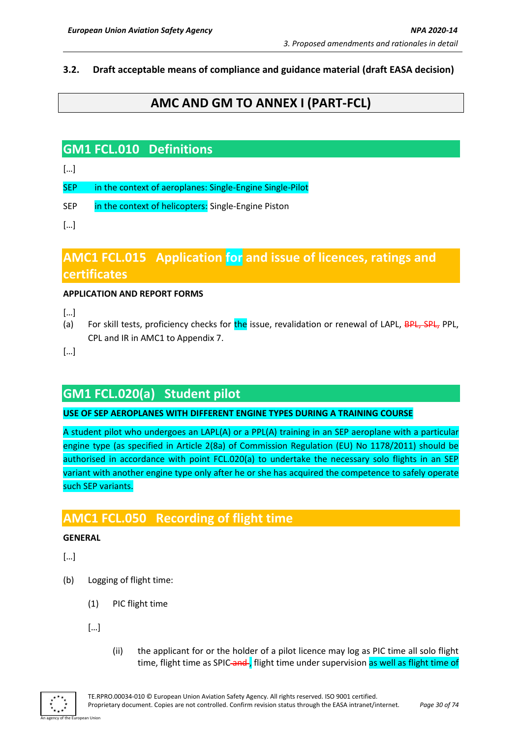#### <span id="page-29-0"></span>**3.2. Draft acceptable means of compliance and guidance material (draft EASA decision)**

## **AMC AND GM TO ANNEX I (PART-FCL)**

## **GM1 FCL.010 Definitions**

[…]

SEP in the context of aeroplanes: Single-Engine Single-Pilot

SEP in the context of helicopters: Single-Engine Piston

[…]

## **AMC1 FCL.015 Application for and issue of licences, ratings and certificates**

#### **APPLICATION AND REPORT FORMS**

[…]

(a) For skill tests, proficiency checks for the issue, revalidation or renewal of LAPL, BPL, SPL, PPL, CPL and IR in AMC1 to Appendix 7.

[…]

## **GM1 FCL.020(a) Student pilot**

#### **USE OF SEP AEROPLANES WITH DIFFERENT ENGINE TYPES DURING A TRAINING COURSE**

A student pilot who undergoes an LAPL(A) or a PPL(A) training in an SEP aeroplane with a particular engine type (as specified in Article 2(8a) of Commission Regulation (EU) No 1178/2011) should be authorised in accordance with point FCL.020(a) to undertake the necessary solo flights in an SEP variant with another engine type only after he or she has acquired the competence to safely operate such SEP variants.

## **AMC1 FCL.050 Recording of flight time**

#### **GENERAL**

- (b) Logging of flight time:
	- (1) PIC flight time
	- […]
- (ii) the applicant for or the holder of a pilot licence may log as PIC time all solo flight time, flight time as SPIC and , flight time under supervision as well as flight time of

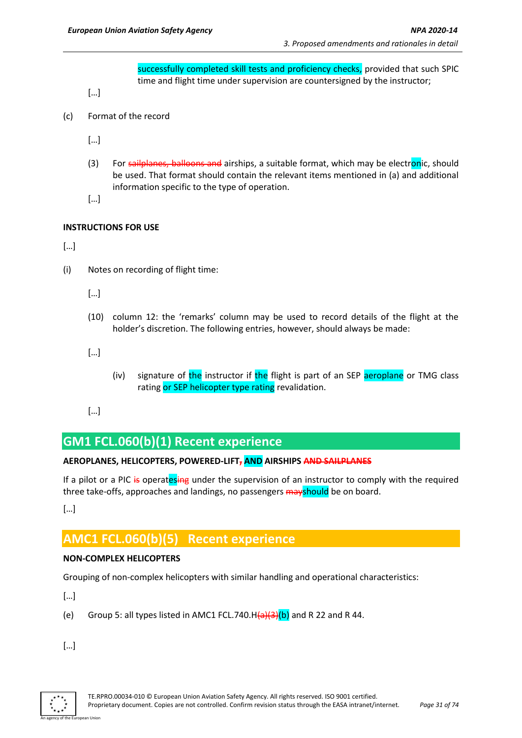successfully completed skill tests and proficiency checks, provided that such SPIC time and flight time under supervision are countersigned by the instructor;

[…]

(c) Format of the record

[…]

(3) For sailplanes, balloons and airships, a suitable format, which may be electronic, should be used. That format should contain the relevant items mentioned in (a) and additional information specific to the type of operation.

[…]

#### **INSTRUCTIONS FOR USE**

 $[...]$ 

(i) Notes on recording of flight time:

[…]

(10) column 12: the 'remarks' column may be used to record details of the flight at the holder's discretion. The following entries, however, should always be made:

[…]

- (iv) signature of the instructor if the flight is part of an SEP aeroplane or TMG class rating or SEP helicopter type rating revalidation.
- $[...]$

## **GM1 FCL.060(b)(1) Recent experience**

#### **AEROPLANES, HELICOPTERS, POWERED-LIFT, AND AIRSHIPS AND SAILPLANES**

If a pilot or a PIC is operatesing under the supervision of an instructor to comply with the required three take-offs, approaches and landings, no passengers mayshould be on board.

[…]

## **AMC1 FCL.060(b)(5) Recent experience**

#### **NON-COMPLEX HELICOPTERS**

Grouping of non-complex helicopters with similar handling and operational characteristics:

[…]

(e) Group 5: all types listed in AMC1 FCL.740.H $(a)(3)(b)$  and R 22 and R 44.

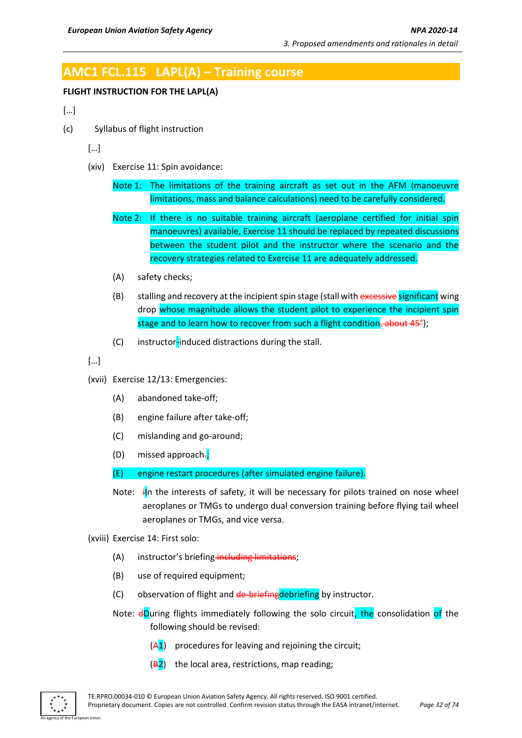## **AMC1 FCL.115 LAPL(A) – Training course**

#### **FLIGHT INSTRUCTION FOR THE LAPL(A)**

[…]

(c) Syllabus of flight instruction

[…]

(xiv) Exercise 11: Spin avoidance:

Note 1: The limitations of the training aircraft as set out in the AFM (manoeuvre limitations, mass and balance calculations) need to be carefully considered.

- Note 2: If there is no suitable training aircraft (aeroplane certified for initial spin manoeuvres) available, Exercise 11 should be replaced by repeated discussions between the student pilot and the instructor where the scenario and the recovery strategies related to Exercise 11 are adequately addressed.
- (A) safety checks;
- (B) stalling and recovery at the incipient spin stage (stall with excessive significant wing drop whose magnitude allows the student pilot to experience the incipient spin stage and to learn how to recover from such a flight condition, about 45<sup>°</sup>);
- (C) instructor-induced distractions during the stall.

[…]

- (xvii) Exercise 12/13: Emergencies:
	- (A) abandoned take-off;
	- (B) engine failure after take-off;
	- (C) mislanding and go-around;
	- (D) missed approach-;

(E) engine restart procedures (after simulated engine failure).

Note:  $\mathbf{i}$ In the interests of safety, it will be necessary for pilots trained on nose wheel aeroplanes or TMGs to undergo dual conversion training before flying tail wheel aeroplanes or TMGs, and vice versa.

(xviii) Exercise 14: First solo:

- (A) instructor's briefing including limitations;
- (B) use of required equipment;
- (C) observation of flight and de-briefingdebriefing by instructor.
- Note: dDuring flights immediately following the solo circuit, the consolidation of the following should be revised:
	- $(A1)$  procedures for leaving and rejoining the circuit;
	- $(B2)$  the local area, restrictions, map reading;

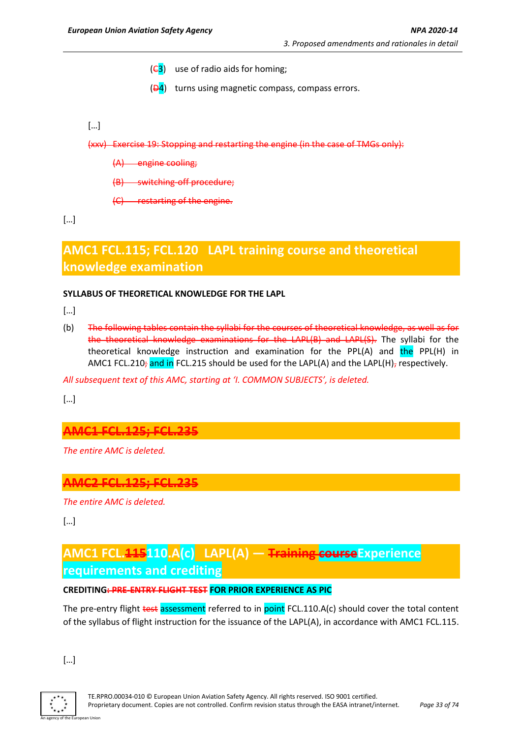- $(\epsilon_3)$  use of radio aids for homing;
- $(\overline{\mathsf{P4}})$  turns using magnetic compass, compass errors.
- […]

(xxv) Exercise 19: Stopping and restarting the engine (in the case of TMGs only):

- (A) engine cooling;
- (B) switching-off procedure;
- (C) restarting of the engine.

[…]

## **AMC1 FCL.115; FCL.120 LAPL training course and theoretical knowledge examination**

#### **SYLLABUS OF THEORETICAL KNOWLEDGE FOR THE LAPL**

[…]

(b) The following tables contain the syllabi for the courses of theoretical knowledge, as well as for the theoretical knowledge examinations for the LAPL(B) and LAPL(S). The syllabi for the theoretical knowledge instruction and examination for the PPL(A) and the PPL(H) in AMC1 FCL.210; and in FCL.215 should be used for the LAPL(A) and the LAPL(H), respectively.

*All subsequent text of this AMC, starting at 'I. COMMON SUBJECTS', is deleted.* 

[…]

**AMC1 FCL.125; FCL.235**

*The entire AMC is deleted.*

### **AMC2 FCL.125; FCL.235**

*The entire AMC is deleted.*

[…]

## **AMC1 FCL.115110.A(c) LAPL(A) — Training courseExperience requirements and crediting**

#### **CREDITING: PRE-ENTRY FLIGHT TEST FOR PRIOR EXPERIENCE AS PIC**

The pre-entry flight test assessment referred to in point FCL.110.A(c) should cover the total content of the syllabus of flight instruction for the issuance of the LAPL(A), in accordance with AMC1 FCL.115.

[…]

An agency of the European Union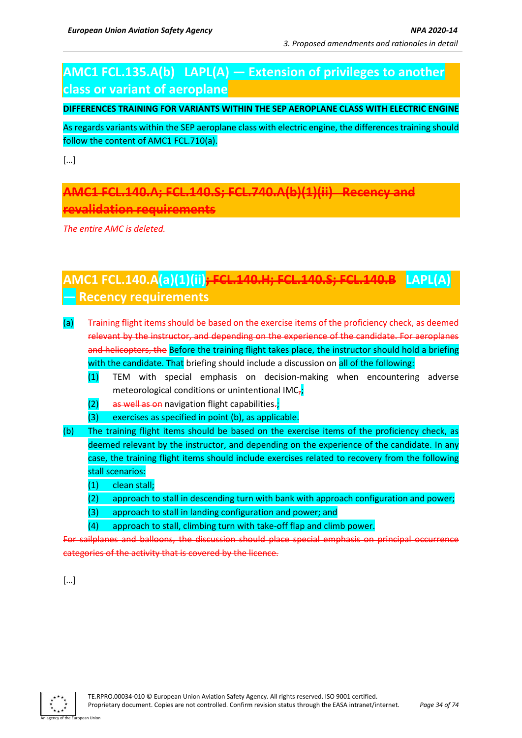## **AMC1 FCL.135.A(b) LAPL(A) — Extension of privileges to another class or variant of aeroplane**

#### **DIFFERENCES TRAINING FOR VARIANTS WITHIN THE SEP AEROPLANE CLASS WITH ELECTRIC ENGINE**

As regards variants within the SEP aeroplane class with electric engine, the differences training should follow the content of AMC1 FCL.710(a).

[…]

**AMC1 FCL.140.A; FCL.140.S; FCL.740.A(b)(1)(ii) Recency and revalidation requirements**

*The entire AMC is deleted.*

## **AMC1 FCL.140.A(a)(1)(ii); FCL.140.H; FCL.140.S; FCL.140.B LAPL(A) — Recency requirements**

- (a) Training flight items should be based on the exercise items of the proficiency check, as deemed relevant by the instructor, and depending on the experience of the candidate. For aeroplanes and helicopters, the Before the training flight takes place, the instructor should hold a briefing with the candidate. That briefing should include a discussion on all of the following:
	- (1) TEM with special emphasis on decision-making when encountering adverse meteorological conditions or unintentional IMC<sub>7</sub>;
	- $(2)$  as well as on navigation flight capabilities.;
	- (3) exercises as specified in point (b), as applicable.
- (b) The training flight items should be based on the exercise items of the proficiency check, as deemed relevant by the instructor, and depending on the experience of the candidate. In any case, the training flight items should include exercises related to recovery from the following stall scenarios:
	- (1) clean stall;
	- (2) approach to stall in descending turn with bank with approach configuration and power;
	- (3) approach to stall in landing configuration and power; and
	- (4) approach to stall, climbing turn with take-off flap and climb power.

For sailplanes and balloons, the discussion should place special emphasis on principal occurrence categories of the activity that is covered by the licence.

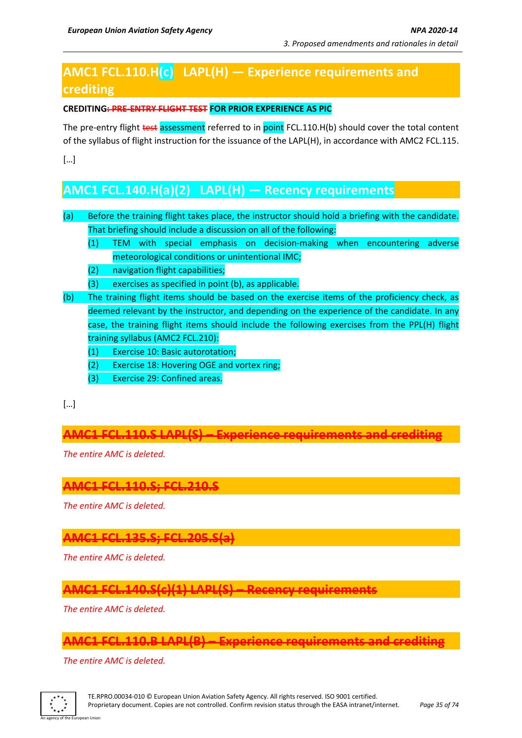## **AMC1 FCL.110.H(c) LAPL(H) — Experience requirements and crediting**

#### **CREDITING: PRE-ENTRY FLIGHT TEST FOR PRIOR EXPERIENCE AS PIC**

The pre-entry flight test assessment referred to in point FCL.110.H(b) should cover the total content of the syllabus of flight instruction for the issuance of the LAPL(H), in accordance with AMC2 FCL.115.

[…]

## **AMC1 FCL.140.H(a)(2) LAPL(H) — Recency requirements**

- (a) Before the training flight takes place, the instructor should hold a briefing with the candidate. That briefing should include a discussion on all of the following:
	- (1) TEM with special emphasis on decision-making when encountering adverse meteorological conditions or unintentional IMC;
	- (2) navigation flight capabilities;
	- (3) exercises as specified in point (b), as applicable.
- (b) The training flight items should be based on the exercise items of the proficiency check, as deemed relevant by the instructor, and depending on the experience of the candidate. In any case, the training flight items should include the following exercises from the PPL(H) flight training syllabus (AMC2 FCL.210):
	- (1) Exercise 10: Basic autorotation;
	- (2) Exercise 18: Hovering OGE and vortex ring;
	- (3) Exercise 29: Confined areas.

[…]

**AMC1 FCL.110.S LAPL(S) – Experience requirements and crediting**

*The entire AMC is deleted.*

### **AMC1 FCL.110.S; FCL.210.S**

*The entire AMC is deleted.*

### **AMC1 FCL.135.S; FCL.205.S(a)**

*The entire AMC is deleted.*

## **AMC1 FCL.140.S(c)(1) LAPL(S) – Recency requirements**

*The entire AMC is deleted.*

### **AMC1 FCL.110.B LAPL(B) – Experience requirements and crediting**

*The entire AMC is deleted.*

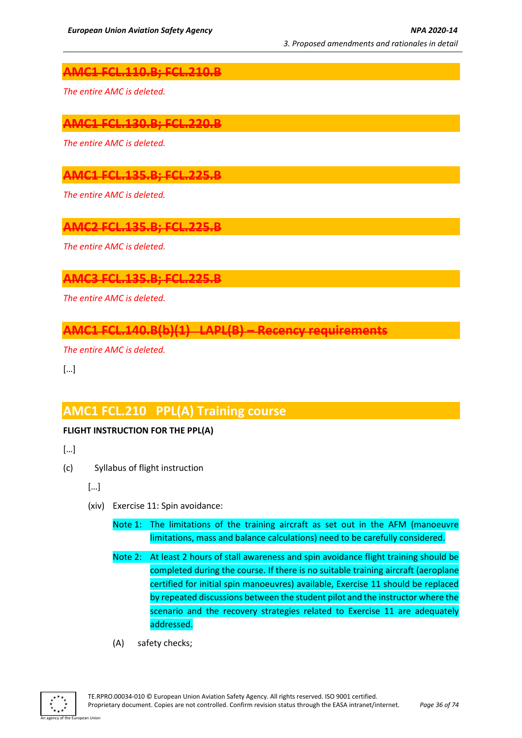### **AMC1 FCL.110.B; FCL.210.B**

*The entire AMC is deleted.*

### **AMC1 FCL.130.B; FCL.220.B**

*The entire AMC is deleted.*

## **AMC1 FCL.135.B; FCL.225.B**

*The entire AMC is deleted.*

### **AMC2 FCL.135.B; FCL.225.B**

*The entire AMC is deleted.*

#### **AMC3 FCL.135.B; FCL.225.B**

*The entire AMC is deleted.*

## **AMC1 FCL.140.B(b)(1) LAPL(B) – Recency requirements**

*The entire AMC is deleted.*

[…]

## **AMC1 FCL.210 PPL(A) Training course**

#### **FLIGHT INSTRUCTION FOR THE PPL(A)**

- […]
- (c) Syllabus of flight instruction
	- […]
	- (xiv) Exercise 11: Spin avoidance:
		- Note 1: The limitations of the training aircraft as set out in the AFM (manoeuvre limitations, mass and balance calculations) need to be carefully considered.
		- Note 2: At least 2 hours of stall awareness and spin avoidance flight training should be completed during the course. If there is no suitable training aircraft (aeroplane certified for initial spin manoeuvres) available, Exercise 11 should be replaced by repeated discussions between the student pilot and the instructor where the scenario and the recovery strategies related to Exercise 11 are adequately addressed.
		- (A) safety checks;

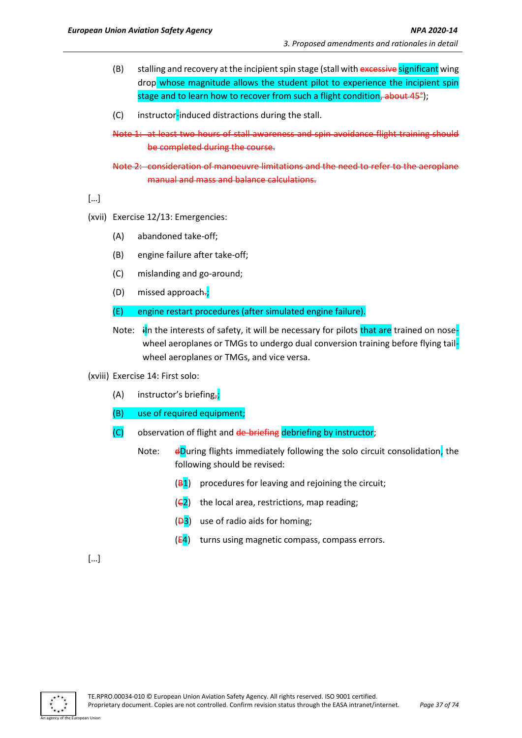- (B) stalling and recovery at the incipient spin stage (stall with excessive significant wing drop whose magnitude allows the student pilot to experience the incipient spin stage and to learn how to recover from such a flight condition, about 45<sup>°</sup>);
- (C) instructor-induced distractions during the stall.

Note 1: at least two hours of stall awareness and spin avoidance flight training should be completed during the course.

Note 2: consideration of manoeuvre limitations and the need to refer to the aeroplane manual and mass and balance calculations.

[…]

- (xvii) Exercise 12/13: Emergencies:
	- (A) abandoned take-off;
	- (B) engine failure after take-off;
	- (C) mislanding and go-around;
	- $(D)$  missed approach-;
	- (E) engine restart procedures (after simulated engine failure).
	- Note:  $\frac{1}{2}$  in the interests of safety, it will be necessary for pilots that are trained on nosewheel aeroplanes or TMGs to undergo dual conversion training before flying tailwheel aeroplanes or TMGs, and vice versa.
- (xviii) Exercise 14: First solo:
	- (A) instructor's briefing<sub>7</sub>;
	- (B) use of required equipment;
	- $(C)$  observation of flight and  $de-briefing$  debriefing by instructor;
		- Note:  $\frac{d}{dx}$  dDuring flights immediately following the solo circuit consolidation, the following should be revised:
			- $(B1)$  procedures for leaving and rejoining the circuit;
			- $(\epsilon_2)$  the local area, restrictions, map reading;
			- $(\frac{D3}{})$  use of radio aids for homing;
			- $(E4)$  turns using magnetic compass, compass errors.

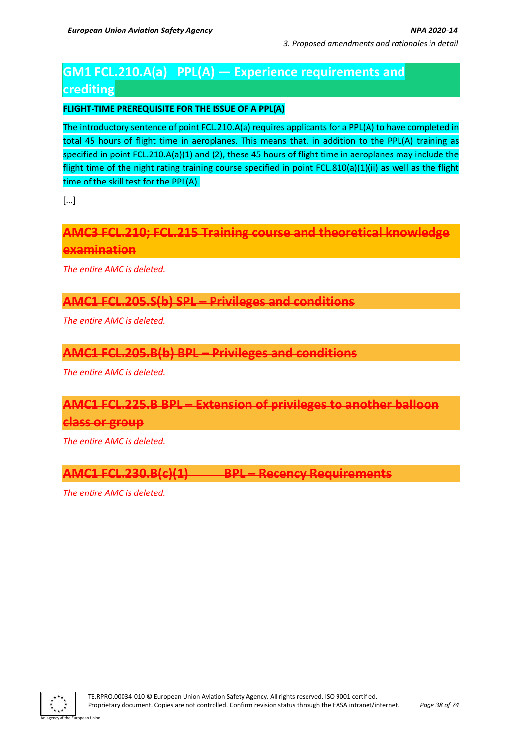# **GM1 FCL.210.A(a) PPL(A) — Experience requirements and crediting**

## **FLIGHT-TIME PREREQUISITE FOR THE ISSUE OF A PPL(A)**

The introductory sentence of point FCL.210.A(a) requires applicants for a PPL(A) to have completed in total 45 hours of flight time in aeroplanes. This means that, in addition to the PPL(A) training as specified in point FCL.210.A(a)(1) and (2), these 45 hours of flight time in aeroplanes may include the flight time of the night rating training course specified in point FCL.810(a)(1)(ii) as well as the flight time of the skill test for the PPL(A).

[…]

**AMC3 FCL.210; FCL.215 Training course and theoretical knowledge examination**

*The entire AMC is deleted.*

## **AMC1 FCL.205.S(b) SPL – Privileges and conditions**

*The entire AMC is deleted.*

## **AMC1 FCL.205.B(b) BPL – Privileges and conditions**

*The entire AMC is deleted.*

# **AMC1 FCL.225.B BPL – Extension of privileges to another balloon**

### **class or group**

*The entire AMC is deleted.*

**AMC1 FCL.230.B(c)(1) BPL – Recency Requirements**

*The entire AMC is deleted.*

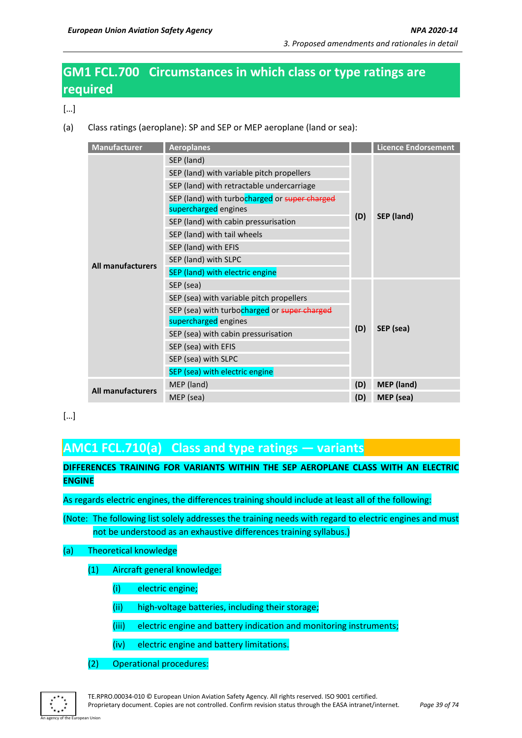# **GM1 FCL.700 Circumstances in which class or type ratings are required**

[…]

(a) Class ratings (aeroplane): SP and SEP or MEP aeroplane (land or sea):

| <b>Manufacturer</b>      | <b>Aeroplanes</b>                                     |     | <b>Licence Endorsement</b> |  |
|--------------------------|-------------------------------------------------------|-----|----------------------------|--|
|                          | SEP (land)                                            |     |                            |  |
|                          | SEP (land) with variable pitch propellers             |     |                            |  |
|                          | SEP (land) with retractable undercarriage             |     |                            |  |
|                          | SEP (land) with turbocharged or super charged         |     |                            |  |
|                          | supercharged engines                                  | (D) | SEP (land)                 |  |
|                          | SEP (land) with cabin pressurisation                  |     |                            |  |
|                          | SEP (land) with tail wheels                           |     |                            |  |
|                          | SEP (land) with EFIS                                  |     |                            |  |
|                          | SEP (land) with SLPC                                  |     |                            |  |
| <b>All manufacturers</b> | SEP (land) with electric engine                       |     |                            |  |
|                          | SEP (sea)<br>SEP (sea) with variable pitch propellers |     |                            |  |
|                          |                                                       |     |                            |  |
|                          | SEP (sea) with turbocharged or super charged          |     | SEP (sea)                  |  |
|                          | supercharged engines                                  |     |                            |  |
|                          | SEP (sea) with cabin pressurisation                   | (D) |                            |  |
|                          | SEP (sea) with EFIS                                   |     |                            |  |
|                          | SEP (sea) with SLPC                                   |     |                            |  |
|                          | SEP (sea) with electric engine                        |     |                            |  |
| <b>All manufacturers</b> | MEP (land)                                            | (D) | <b>MEP</b> (land)          |  |
|                          | MEP (sea)                                             | (D) | MEP (sea)                  |  |

## […]

# **AMC1 FCL.710(a) Class and type ratings — variants**

## **DIFFERENCES TRAINING FOR VARIANTS WITHIN THE SEP AEROPLANE CLASS WITH AN ELECTRIC ENGINE**

As regards electric engines, the differences training should include at least all of the following:

(Note: The following list solely addresses the training needs with regard to electric engines and must not be understood as an exhaustive differences training syllabus.)

### (a) Theoretical knowledge

### (1) Aircraft general knowledge:

- (i) electric engine;
- (ii) high-voltage batteries, including their storage;
- (iii) electric engine and battery indication and monitoring instruments;
- (iv) electric engine and battery limitations.
- (2) Operational procedures:

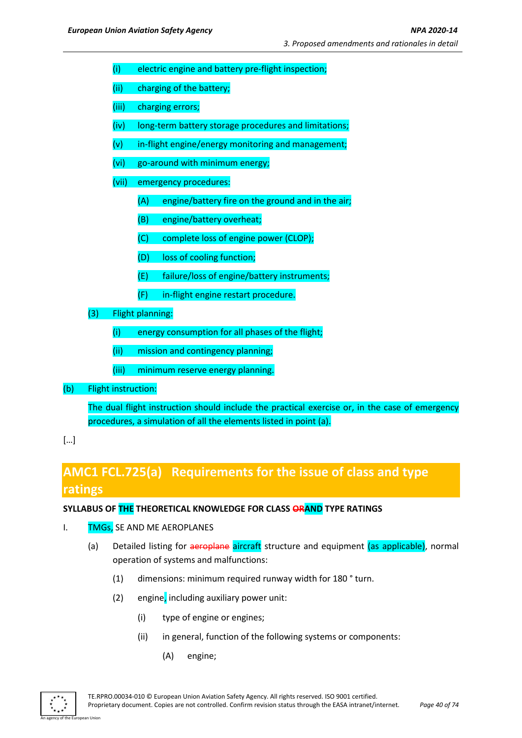- (i) electric engine and battery pre-flight inspection;
- (ii) charging of the battery;
- (iii) charging errors;
- (iv) long-term battery storage procedures and limitations;
- $(v)$  in-flight engine/energy monitoring and management;
- (vi) go-around with minimum energy;
- (vii) emergency procedures:
	- (A) engine/battery fire on the ground and in the air;
	- (B) engine/battery overheat;
	- (C) complete loss of engine power (CLOP);
	- (D) loss of cooling function;
	- (E) failure/loss of engine/battery instruments;
	- (F) in-flight engine restart procedure.
- (3) Flight planning:
	- (i) energy consumption for all phases of the flight;
	- (ii) mission and contingency planning;
	- (iii) minimum reserve energy planning.
- (b) Flight instruction:

The dual flight instruction should include the practical exercise or, in the case of emergency procedures, a simulation of all the elements listed in point (a).

# **AMC1 FCL.725(a) Requirements for the issue of class and type ratings**

#### **SYLLABUS OF THE THEORETICAL KNOWLEDGE FOR CLASS ORAND TYPE RATINGS**

- I. TMGs, SE AND ME AEROPLANES
	- (a) Detailed listing for aeroplane aircraft structure and equipment (as applicable), normal operation of systems and malfunctions:
		- (1) dimensions: minimum required runway width for 180 ° turn.
		- (2) engine, including auxiliary power unit:
			- (i) type of engine or engines;
			- (ii) in general, function of the following systems or components:
				- (A) engine;



<sup>[…]</sup>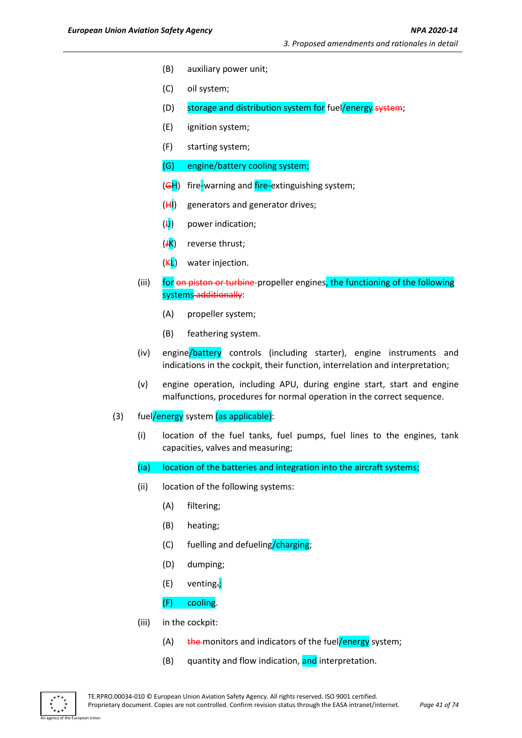- (B) auxiliary power unit;
- (C) oil system;
- (D) storage and distribution system for fuel/energy system;
- (E) ignition system;
- (F) starting system;
- (G) engine/battery cooling system;
- (GH) fire-warning and fire-extinguishing system;
- $(HI)$  generators and generator drives;
- $(H)$  power indication;
- $(\frac{JK}{J})$  reverse thrust;
- $(KL)$  water injection.
- (iii) for on piston or turbine-propeller engines, the functioning of the following systems-additionally:
	- (A) propeller system;
	- (B) feathering system.
- (iv) engine/battery controls (including starter), engine instruments and indications in the cockpit, their function, interrelation and interpretation;
- (v) engine operation, including APU, during engine start, start and engine malfunctions, procedures for normal operation in the correct sequence.
- (3) fuel/energy system (as applicable):
	- (i) location of the fuel tanks, fuel pumps, fuel lines to the engines, tank capacities, valves and measuring;
	- (ia) location of the batteries and integration into the aircraft systems;
	- (ii) location of the following systems:
		- (A) filtering;
		- (B) heating;
		- (C) fuelling and defueling/charging;
		- (D) dumping;
		- (E) venting.;

#### (F) cooling.

- (iii) in the cockpit:
	- (A)  $t$  the monitors and indicators of the fuel/energy system;
	- (B) quantity and flow indication, and interpretation.

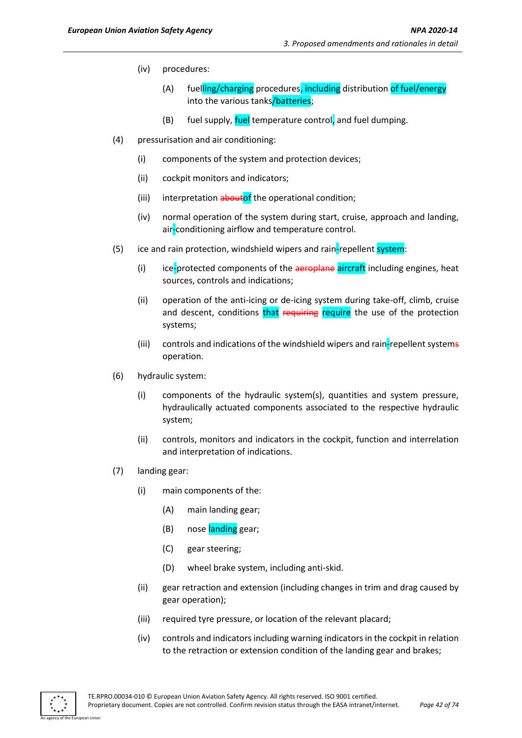- (iv) procedures:
	- (A) fuelling/charging procedures, including distribution of fuel/energy into the various tanks/batteries;
	- (B) fuel supply, fuel temperature control, and fuel dumping.
- (4) pressurisation and air conditioning:
	- (i) components of the system and protection devices;
	- (ii) cockpit monitors and indicators;
	- (iii) interpretation aboutof the operational condition;
	- (iv) normal operation of the system during start, cruise, approach and landing, air-conditioning airflow and temperature control.
- (5) ice and rain protection, windshield wipers and rain-repellent system:
	- (i) ice-protected components of the aeroplane aircraft including engines, heat sources, controls and indications;
	- (ii) operation of the anti-icing or de-icing system during take-off, climb, cruise and descent, conditions that requiring require the use of the protection systems;
	- (iii) controls and indications of the windshield wipers and rain-repellent systems operation.
- (6) hydraulic system:
	- (i) components of the hydraulic system(s), quantities and system pressure, hydraulically actuated components associated to the respective hydraulic system;
	- (ii) controls, monitors and indicators in the cockpit, function and interrelation and interpretation of indications.
- (7) landing gear:
	- (i) main components of the:
		- (A) main landing gear;
		- (B) nose landing gear;
		- (C) gear steering;
		- (D) wheel brake system, including anti-skid.
	- (ii) gear retraction and extension (including changes in trim and drag caused by gear operation);
	- (iii) required tyre pressure, or location of the relevant placard;
	- (iv) controls and indicators including warning indicators in the cockpit in relation to the retraction or extension condition of the landing gear and brakes;

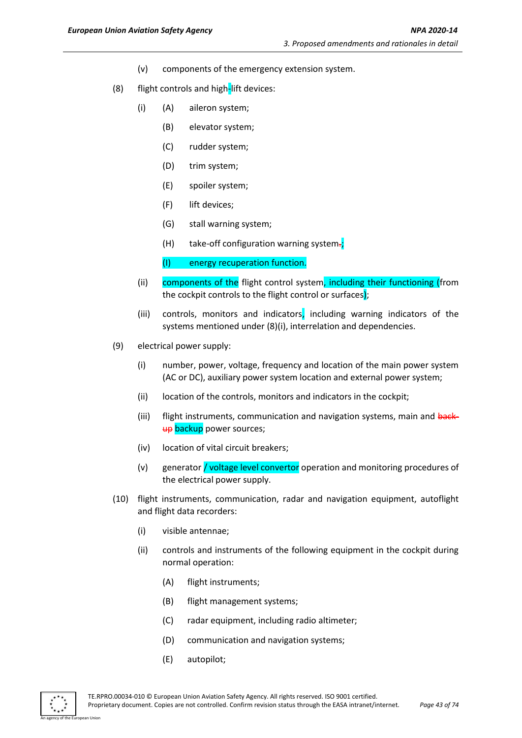- (v) components of the emergency extension system.
- (8) flight controls and high-lift devices:
	- (i) (A) aileron system;
		- (B) elevator system;
		- (C) rudder system;
		- (D) trim system;
		- (E) spoiler system;
		- (F) lift devices;
		- (G) stall warning system;
		- (H) take-off configuration warning system.;
		- (I) energy recuperation function.
	- (ii) components of the flight control system, including their functioning (from the cockpit controls to the flight control or surfaces);
	- (iii) controls, monitors and indicators, including warning indicators of the systems mentioned under (8)(i), interrelation and dependencies.
- (9) electrical power supply:
	- (i) number, power, voltage, frequency and location of the main power system (AC or DC), auxiliary power system location and external power system;
	- (ii) location of the controls, monitors and indicators in the cockpit;
	- (iii) flight instruments, communication and navigation systems, main and backup backup power sources;
	- (iv) location of vital circuit breakers;
	- (v) generator **/ voltage level convertor** operation and monitoring procedures of the electrical power supply.
- (10) flight instruments, communication, radar and navigation equipment, autoflight and flight data recorders:
	- (i) visible antennae;
	- (ii) controls and instruments of the following equipment in the cockpit during normal operation:
		- (A) flight instruments;
		- (B) flight management systems;
		- (C) radar equipment, including radio altimeter;
		- (D) communication and navigation systems;
		- (E) autopilot;

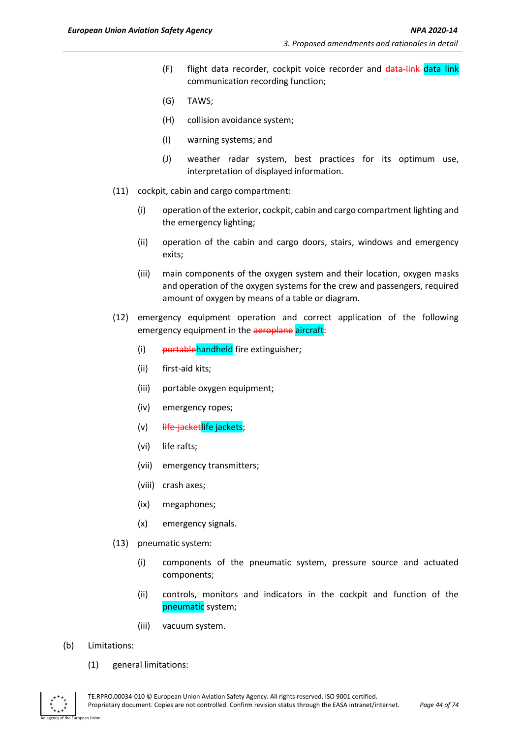- (F) flight data recorder, cockpit voice recorder and data-link data link communication recording function;
- (G) TAWS;
- (H) collision avoidance system;
- (I) warning systems; and
- (J) weather radar system, best practices for its optimum use, interpretation of displayed information.
- (11) cockpit, cabin and cargo compartment:
	- (i) operation of the exterior, cockpit, cabin and cargo compartment lighting and the emergency lighting;
	- (ii) operation of the cabin and cargo doors, stairs, windows and emergency exits;
	- (iii) main components of the oxygen system and their location, oxygen masks and operation of the oxygen systems for the crew and passengers, required amount of oxygen by means of a table or diagram.
- (12) emergency equipment operation and correct application of the following emergency equipment in the aeroplane aircraft:
	- (i) portablehandheld fire extinguisher;
	- (ii) first-aid kits;
	- (iii) portable oxygen equipment;
	- (iv) emergency ropes;
	- (v) <del>life-jacket</del>life jackets;
	- (vi) life rafts;
	- (vii) emergency transmitters;
	- (viii) crash axes;
	- (ix) megaphones;
	- (x) emergency signals.
- (13) pneumatic system:
	- (i) components of the pneumatic system, pressure source and actuated components;
	- (ii) controls, monitors and indicators in the cockpit and function of the pneumatic system;
	- (iii) vacuum system.
- (b) Limitations:
	- (1) general limitations:

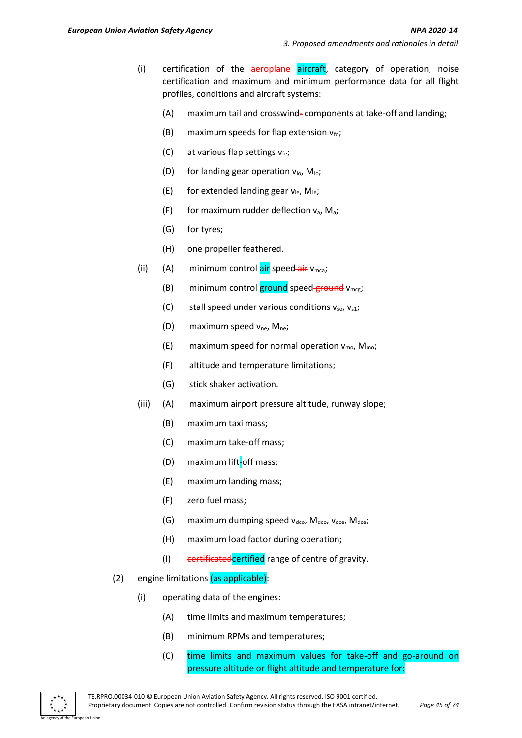- (i) certification of the aeroplane aircraft, category of operation, noise certification and maximum and minimum performance data for all flight profiles, conditions and aircraft systems:
	- (A) maximum tail and crosswind- components at take-off and landing;
	- (B) maximum speeds for flap extension  $v_{\text{fo}}$ ;
	- (C) at various flap settings  $v_{fe}$ ;
	- (D) for landing gear operation  $v_{\text{lo}}$ ,  $M_{\text{lo}}$ ;
	- (E) for extended landing gear  $v_{\text{le}}$ ,  $M_{\text{le}}$ ;
	- (F) for maximum rudder deflection  $v_a$ , M<sub>a</sub>;
	- (G) for tyres;
	- (H) one propeller feathered.
- (ii) (A) minimum control  $\frac{air}{air}$  speed- $\frac{air}{air}$  v<sub>mca</sub>;
	- (B) minimum control ground speed ground  $v_{\text{mce}}$ ;
	- (C) stall speed under various conditions  $v_{so}$ ,  $v_{s1}$ ;
	- (D) maximum speed  $v_{ne}$ , M<sub>ne</sub>;
	- (E) maximum speed for normal operation  $v_{\text{mo}}$ ,  $M_{\text{mo}}$ ;
	- (F) altitude and temperature limitations;
	- (G) stick shaker activation.
- (iii) (A) maximum airport pressure altitude, runway slope;
	- (B) maximum taxi mass;
	- (C) maximum take-off mass;
	- (D) maximum lift-off mass;
	- (E) maximum landing mass;
	- (F) zero fuel mass;
	- (G) maximum dumping speed  $v_{\text{dco}}$ , M<sub>dco</sub>,  $v_{\text{dce}}$ , M<sub>dce</sub>;
	- (H) maximum load factor during operation;
	- (I) eertificated certified range of centre of gravity.
- (2) engine limitations (as applicable):
	- (i) operating data of the engines:
		- (A) time limits and maximum temperatures;
		- (B) minimum RPMs and temperatures;
		- (C) time limits and maximum values for take-off and go-around on pressure altitude or flight altitude and temperature for:

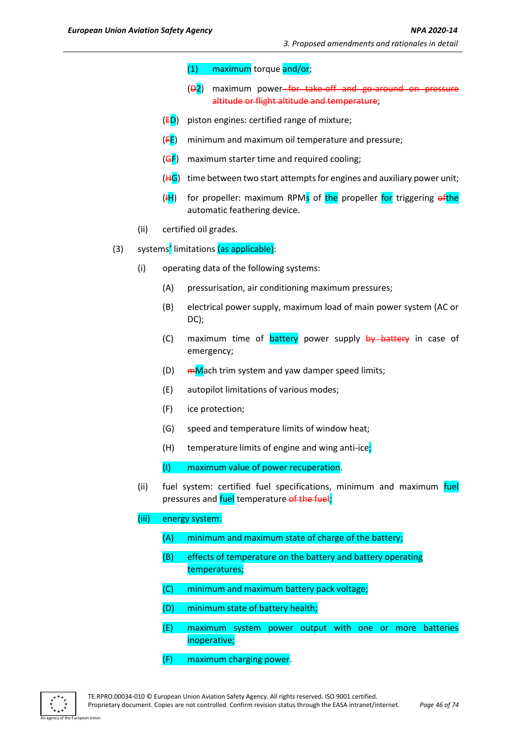- (1) maximum torque and/or;
- $(\overline{D2})$  maximum power<del> for take-off and go-around on pressure</del> altitude or flight altitude and temperature;
- $(ED)$  piston engines: certified range of mixture;
- $(FE)$  minimum and maximum oil temperature and pressure;
- $(GF)$  maximum starter time and required cooling;
- $(HG)$  time between two start attempts for engines and auxiliary power unit;
- $(H)$  for propeller: maximum RPMs of the propeller for triggering  $e^{ft}$ he automatic feathering device.
- (ii) certified oil grades.
- (3) systems' limitations (as applicable):
	- (i) operating data of the following systems:
		- (A) pressurisation, air conditioning maximum pressures;
		- (B) electrical power supply, maximum load of main power system (AC or DC);
		- (C) maximum time of **battery** power supply by battery in case of emergency;
		- (D)  $mN$ ach trim system and yaw damper speed limits;
		- (E) autopilot limitations of various modes;
		- (F) ice protection;
		- (G) speed and temperature limits of window heat;
		- (H) temperature limits of engine and wing anti-ice:

(I) maximum value of power recuperation.

(ii) fuel system: certified fuel specifications, minimum and maximum fuel pressures and fuel temperature of the fuel;

#### (iii) energy system:

- (A) minimum and maximum state of charge of the battery;
- (B) effects of temperature on the battery and battery operating temperatures;
- (C) minimum and maximum battery pack voltage;
- (D) minimum state of battery health;
- (E) maximum system power output with one or more batteries inoperative;
- (F) maximum charging power.

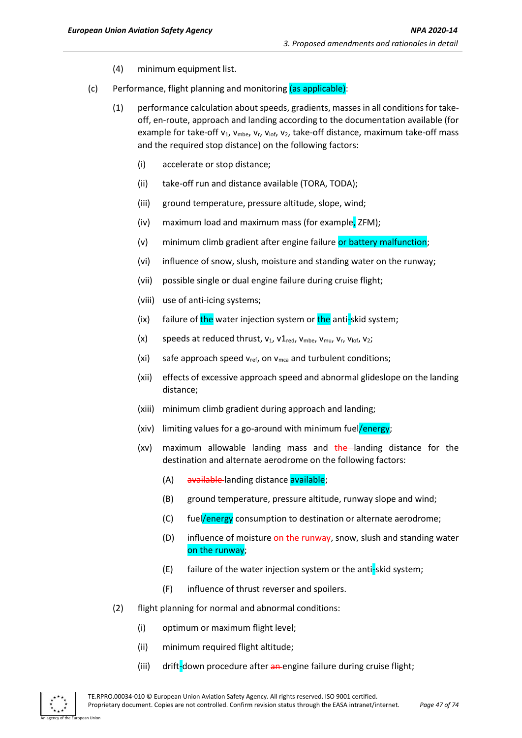- (4) minimum equipment list.
- (c) Performance, flight planning and monitoring (as applicable):
	- (1) performance calculation about speeds, gradients, masses in all conditions for takeoff, en-route, approach and landing according to the documentation available (for example for take-off  $v_1$ ,  $v_{mbe}$ ,  $v_r$ ,  $v_{\text{lof}}$ ,  $v_2$ , take-off distance, maximum take-off mass and the required stop distance) on the following factors:
		- (i) accelerate or stop distance;
		- (ii) take-off run and distance available (TORA, TODA);
		- (iii) ground temperature, pressure altitude, slope, wind;
		- (iv) maximum load and maximum mass (for example, ZFM);
		- (v) minimum climb gradient after engine failure or battery malfunction;
		- (vi) influence of snow, slush, moisture and standing water on the runway;
		- (vii) possible single or dual engine failure during cruise flight;
		- (viii) use of anti-icing systems;
		- (ix) failure of the water injection system or the anti-skid system;
		- (x) speeds at reduced thrust,  $v_1$ ,  $v_1$ <sub>red</sub>,  $v_{mbe}$ ,  $v_{mu}$ ,  $v_r$ ,  $v_{\text{lof}}$ ,  $v_2$ ;
		- (xi) safe approach speed  $v_{ref}$ , on  $v_{mca}$  and turbulent conditions;
		- (xii) effects of excessive approach speed and abnormal glideslope on the landing distance;
		- (xiii) minimum climb gradient during approach and landing;
		- (xiv) limiting values for a go-around with minimum fuel/energy;
		- (xy) maximum allowable landing mass and  $\frac{1}{2}$  the landing distance for the destination and alternate aerodrome on the following factors:
			- (A) available landing distance available;
			- (B) ground temperature, pressure altitude, runway slope and wind;
			- (C) fuel/energy consumption to destination or alternate aerodrome;
			- (D) influence of moisture-on the runway, snow, slush and standing water on the runway;
			- (E) failure of the water injection system or the anti-skid system;
			- (F) influence of thrust reverser and spoilers.
	- (2) flight planning for normal and abnormal conditions:
		- (i) optimum or maximum flight level;
		- (ii) minimum required flight altitude;
		- (iii) drift-down procedure after an engine failure during cruise flight;

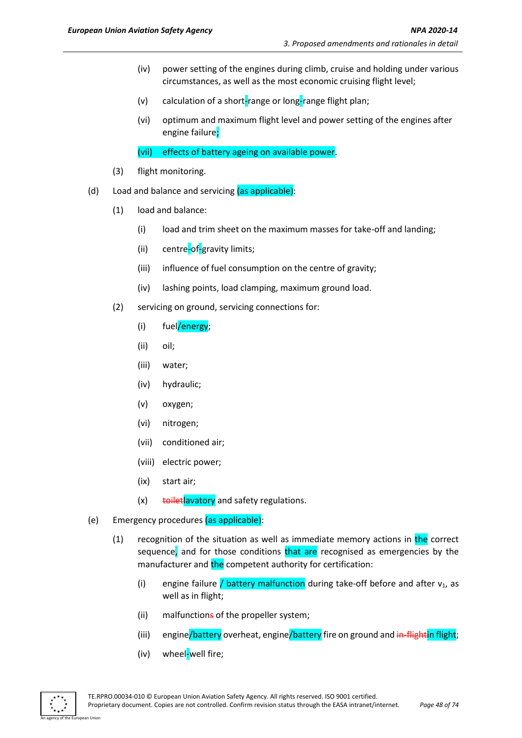- (iv) power setting of the engines during climb, cruise and holding under various circumstances, as well as the most economic cruising flight level;
- (v) calculation of a short-range or long-range flight plan;
- (vi) optimum and maximum flight level and power setting of the engines after engine failure;
- (vii) effects of battery ageing on available power.
- (3) flight monitoring.
- (d) Load and balance and servicing (as applicable):
	- (1) load and balance:
		- (i) load and trim sheet on the maximum masses for take-off and landing;
		- (ii) centre-of-gravity limits;
		- (iii) influence of fuel consumption on the centre of gravity;
		- (iv) lashing points, load clamping, maximum ground load.
	- (2) servicing on ground, servicing connections for:
		- (i) fuel/energy;
		- (ii) oil;
		- (iii) water;
		- (iv) hydraulic;
		- (v) oxygen;
		- (vi) nitrogen;
		- (vii) conditioned air;
		- (viii) electric power;
		- (ix) start air;
		- $(x)$  toilet avatory and safety regulations.
- (e) Emergency procedures (as applicable):
	- $(1)$  recognition of the situation as well as immediate memory actions in the correct sequence, and for those conditions that are recognised as emergencies by the manufacturer and the competent authority for certification:
		- (i) engine failure / battery malfunction during take-off before and after  $v_1$ , as well as in flight;
		- (ii) malfunctions of the propeller system;
		- (iii) engine/battery overheat, engine/battery fire on ground and in-flightin flight;
		- (iv) wheel-well fire;

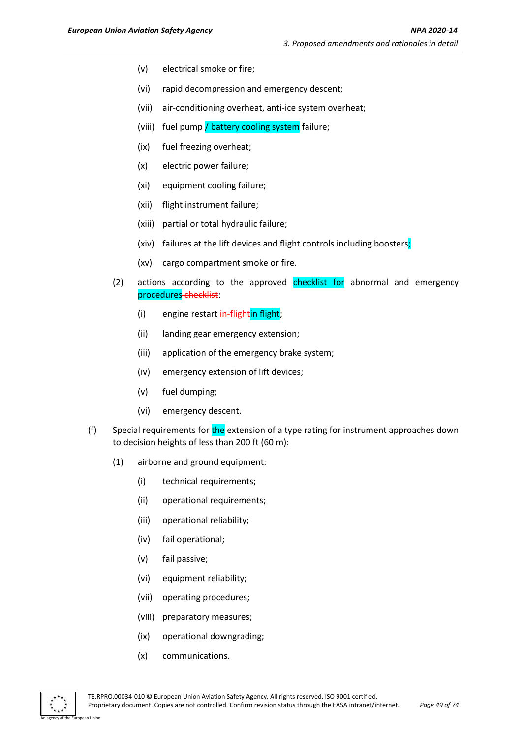- (v) electrical smoke or fire;
- (vi) rapid decompression and emergency descent;
- (vii) air-conditioning overheat, anti-ice system overheat;
- (viii) fuel pump / battery cooling system failure;
- (ix) fuel freezing overheat;
- (x) electric power failure;
- (xi) equipment cooling failure;
- (xii) flight instrument failure;
- (xiii) partial or total hydraulic failure;
- (xiv) failures at the lift devices and flight controls including boosters;
- (xv) cargo compartment smoke or fire.
- (2) actions according to the approved checklist for abnormal and emergency procedures checklist:
	- (i) engine restart in-flightin flight;
	- (ii) landing gear emergency extension;
	- (iii) application of the emergency brake system;
	- (iv) emergency extension of lift devices;
	- (v) fuel dumping;
	- (vi) emergency descent.
- (f) Special requirements for the extension of a type rating for instrument approaches down to decision heights of less than 200 ft (60 m):
	- (1) airborne and ground equipment:
		- (i) technical requirements;
		- (ii) operational requirements;
		- (iii) operational reliability;
		- (iv) fail operational;
		- (v) fail passive;
		- (vi) equipment reliability;
		- (vii) operating procedures;
		- (viii) preparatory measures;
		- (ix) operational downgrading;
		- (x) communications.

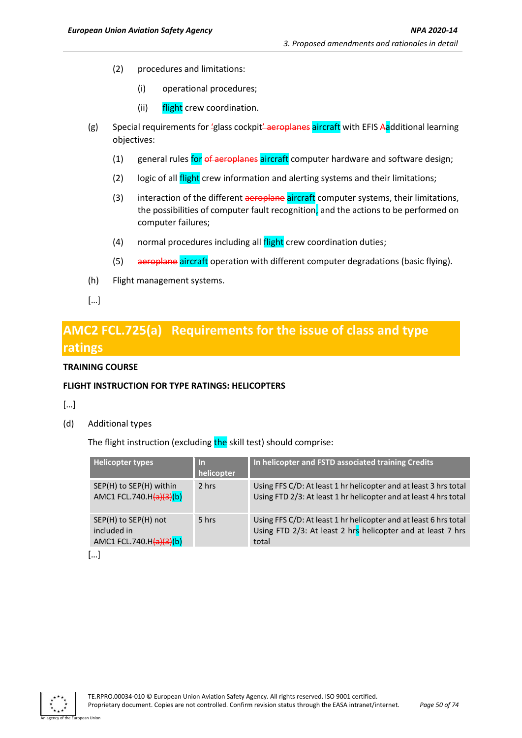- (2) procedures and limitations:
	- (i) operational procedures;
	- (ii) flight crew coordination.
- (g) Special requirements for 'glass cockpit' aeroplanes aircraft with EFIS Aadditional learning objectives:
	- (1) general rules for of aeroplanes aircraft computer hardware and software design;
	- (2) logic of all *flight* crew information and alerting systems and their limitations;
	- (3) interaction of the different aeroplane aircraft computer systems, their limitations, the possibilities of computer fault recognition, and the actions to be performed on computer failures;
	- (4) normal procedures including all flight crew coordination duties;
	- (5) aeroplane aircraft operation with different computer degradations (basic flying).
- (h) Flight management systems.
- […]

# **AMC2 FCL.725(a) Requirements for the issue of class and type ratings**

#### **TRAINING COURSE**

### **FLIGHT INSTRUCTION FOR TYPE RATINGS: HELICOPTERS**

[…]

(d) Additional types

The flight instruction (excluding the skill test) should comprise:

| <b>Helicopter types</b>                                           | ln.<br>helicopter | In helicopter and FSTD associated training Credits                                                                                       |
|-------------------------------------------------------------------|-------------------|------------------------------------------------------------------------------------------------------------------------------------------|
| SEP(H) to SEP(H) within<br>AMC1 FCL.740.H $(a)(3)(b)$             | 2 hrs             | Using FFS C/D: At least 1 hr helicopter and at least 3 hrs total<br>Using FTD 2/3: At least 1 hr helicopter and at least 4 hrs total     |
| SEP(H) to SEP(H) not<br>included in<br>AMC1 FCL.740.H $(a)(3)(b)$ | 5 hrs             | Using FFS C/D: At least 1 hr helicopter and at least 6 hrs total<br>Using FTD 2/3: At least 2 hrs helicopter and at least 7 hrs<br>total |

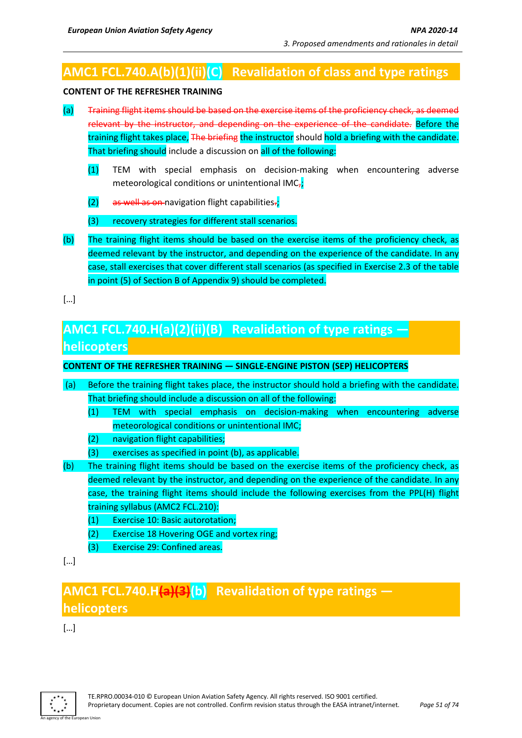# **AMC1 FCL.740.A(b)(1)(ii)(C) Revalidation of class and type ratings**

#### **CONTENT OF THE REFRESHER TRAINING**

- (a) Training flight items should be based on the exercise items of the proficiency check, as deemed relevant by the instructor, and depending on the experience of the candidate. Before the training flight takes place, The briefing the instructor should hold a briefing with the candidate. That briefing should include a discussion on all of the following:
	- (1) TEM with special emphasis on decision-making when encountering adverse meteorological conditions or unintentional IMC $<sub>7</sub>$ ;</sub>
	- $(2)$  as well as on-navigation flight capabilities.;
	- (3) recovery strategies for different stall scenarios.
- (b) The training flight items should be based on the exercise items of the proficiency check, as deemed relevant by the instructor, and depending on the experience of the candidate. In any case, stall exercises that cover different stall scenarios (as specified in Exercise 2.3 of the table in point (5) of Section B of Appendix 9) should be completed.

[…]

# **AMC1 FCL.740.H(a)(2)(ii)(B) Revalidation of type ratings helicopters**

## **CONTENT OF THE REFRESHER TRAINING — SINGLE-ENGINE PISTON (SEP) HELICOPTERS**

- (a) Before the training flight takes place, the instructor should hold a briefing with the candidate. That briefing should include a discussion on all of the following:
	- (1) TEM with special emphasis on decision-making when encountering adverse meteorological conditions or unintentional IMC;
	- (2) navigation flight capabilities;
	- (3) exercises as specified in point (b), as applicable.
- (b) The training flight items should be based on the exercise items of the proficiency check, as deemed relevant by the instructor, and depending on the experience of the candidate. In any case, the training flight items should include the following exercises from the PPL(H) flight training syllabus (AMC2 FCL.210):
	- (1) Exercise 10: Basic autorotation;
	- (2) Exercise 18 Hovering OGE and vortex ring;
	- (3) Exercise 29: Confined areas.

[…]

# **AMC1 FCL.740.H(a)(3)(b) Revalidation of type ratings helicopters**

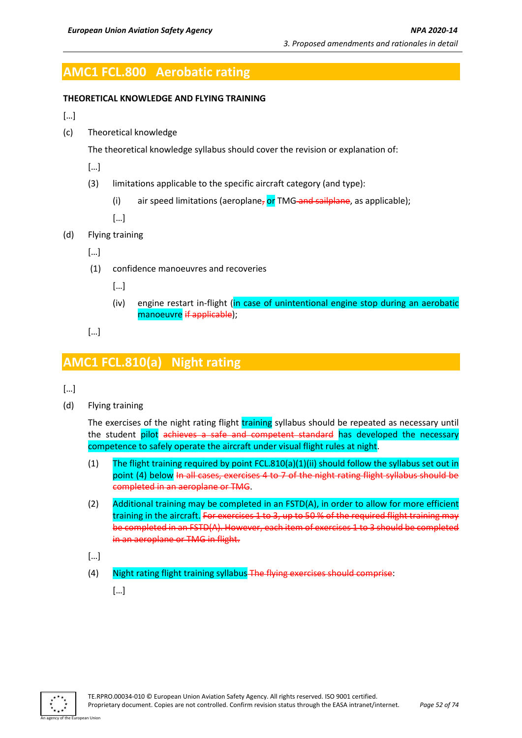# **AMC1 FCL.800 Aerobatic rating**

#### **THEORETICAL KNOWLEDGE AND FLYING TRAINING**

[…]

(c) Theoretical knowledge

The theoretical knowledge syllabus should cover the revision or explanation of:

- […]
- (3) limitations applicable to the specific aircraft category (and type):
	- (i) air speed limitations (aeroplane, or TMG and sailplane, as applicable);

[…]

- (d) Flying training
	- […]
	- (1) confidence manoeuvres and recoveries
		- […]
		- (iv) engine restart in-flight (in case of unintentional engine stop during an aerobatic manoeuvre if applicable);
	- […]

# **AMC1 FCL.810(a) Night rating**

- […]
- (d) Flying training

The exercises of the night rating flight training syllabus should be repeated as necessary until the student pilot achieves a safe and competent standard has developed the necessary competence to safely operate the aircraft under visual flight rules at night.

- (1) The flight training required by point FCL.810(a)(1)(ii) should follow the syllabus set out in point (4) below In all cases, exercises 4 to 7 of the night rating flight syllabus should be completed in an aeroplane or TMG.
- (2) Additional training may be completed in an FSTD(A), in order to allow for more efficient training in the aircraft. For exercises 1 to 3, up to 50 % of the required flight training may be completed in an FSTD(A). However, each item of exercises 1 to 3 should be completed in an aeroplane or TMG in flight.
- […]
- (4) Night rating flight training syllabus The flying exercises should comprise:

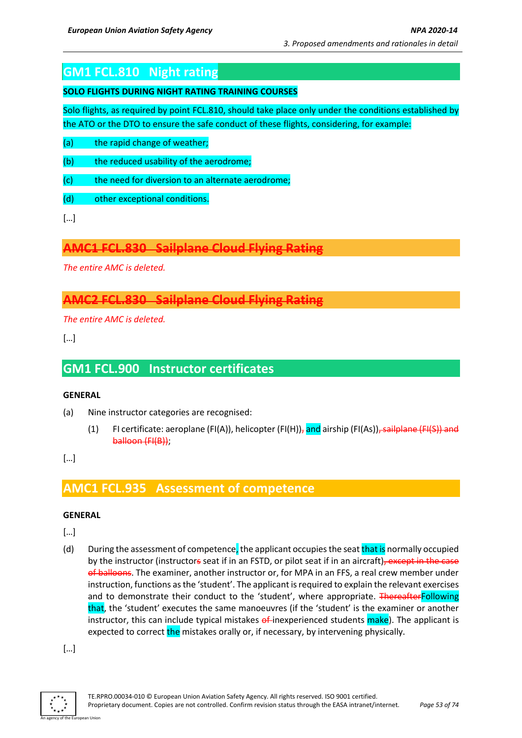# **GM1 FCL.810 Night rating**

### **SOLO FLIGHTS DURING NIGHT RATING TRAINING COURSES**

Solo flights, as required by point FCL.810, should take place only under the conditions established by the ATO or the DTO to ensure the safe conduct of these flights, considering, for example:

- (a) the rapid change of weather;
- (b) the reduced usability of the aerodrome;
- (c) the need for diversion to an alternate aerodrome;
- (d) other exceptional conditions.

[…]

## **AMC1 FCL.830 Sailplane Cloud Flying Rating**

*The entire AMC is deleted.*

# **AMC2 FCL.830 Sailplane Cloud Flying Rating**

*The entire AMC is deleted.*

[…]

# **GM1 FCL.900 Instructor certificates**

#### **GENERAL**

- (a) Nine instructor categories are recognised:
	- (1) FI certificate: aeroplane (FI(A)), helicopter (FI(H))<sub>7</sub> and airship (FI(As))<del>, sailplane (FI(S)) and</del> balloon (FI(B));

[…]

## **AMC1 FCL.935 Assessment of competence**

### **GENERAL**

[…]

(d) During the assessment of competence, the applicant occupies the seat that is normally occupied by the instructor (instructors seat if in an FSTD, or pilot seat if in an aircraft), except in the case of balloons. The examiner, another instructor or, for MPA in an FFS, a real crew member under instruction, functions as the 'student'. The applicant is required to explain the relevant exercises and to demonstrate their conduct to the 'student', where appropriate. ThereafterFollowing that, the 'student' executes the same manoeuvres (if the 'student' is the examiner or another instructor, this can include typical mistakes  $\theta^{\text{f}}$ inexperienced students make). The applicant is expected to correct the mistakes orally or, if necessary, by intervening physically.

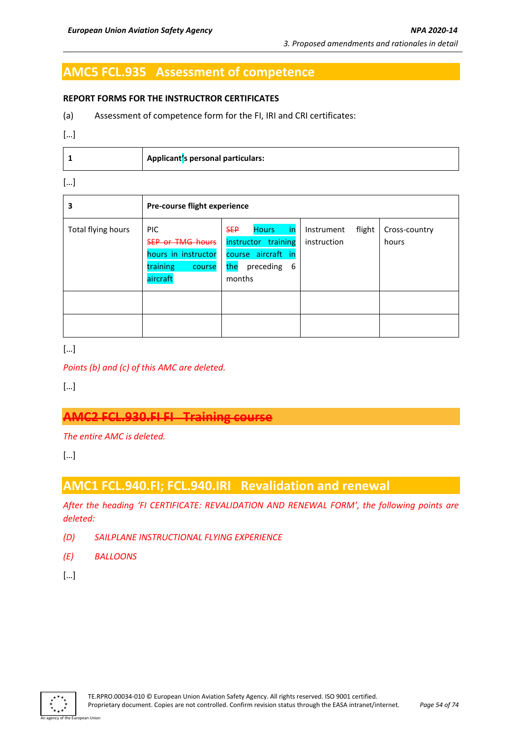# **AMC5 FCL.935 Assessment of competence**

#### **REPORT FORMS FOR THE INSTRUCTROR CERTIFICATES**

(a) Assessment of competence form for the FI, IRI and CRI certificates:

[…]

|  | Applicant's personal particulars: |
|--|-----------------------------------|
|--|-----------------------------------|

[…]

| 3                  | Pre-course flight experience                                                                   |                                                                                                                   |                                     |                        |
|--------------------|------------------------------------------------------------------------------------------------|-------------------------------------------------------------------------------------------------------------------|-------------------------------------|------------------------|
| Total flying hours | <b>PIC</b><br><b>SEP or TMG hours</b><br>hours in instructor<br>training<br>course<br>aircraft | <b>SEP</b><br><b>Hours</b><br>in<br>instructor training<br>course aircraft in<br>the<br>preceding<br>-6<br>months | flight<br>Instrument<br>instruction | Cross-country<br>hours |
|                    |                                                                                                |                                                                                                                   |                                     |                        |

[…]

*Points (b) and (c) of this AMC are deleted.*

[…]

## **AMC2 FCL.930.FI FI Training course**

*The entire AMC is deleted.*

[…]

# **AMC1 FCL.940.FI; FCL.940.IRI Revalidation and renewal**

*After the heading 'FI CERTIFICATE: REVALIDATION AND RENEWAL FORM', the following points are deleted:*

- *(D) SAILPLANE INSTRUCTIONAL FLYING EXPERIENCE*
- *(E) BALLOONS*

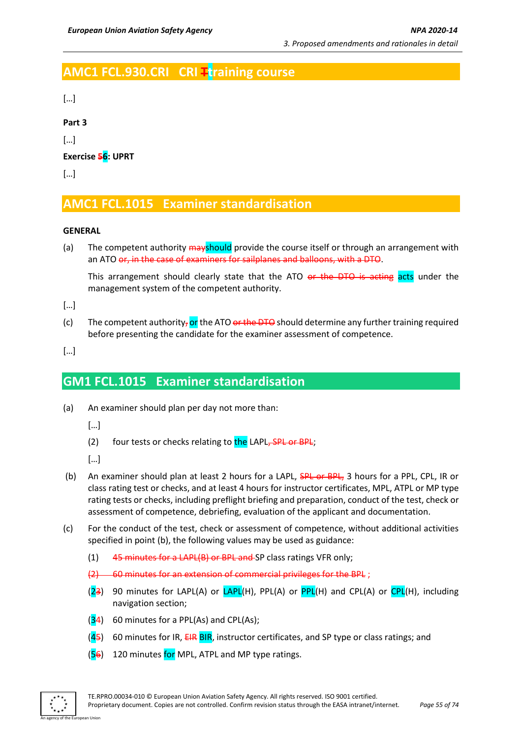# **AMC1 FCL.930.CRI CRI Ttraining course**

[…]

**Part 3**

[…]

**Exercise 56: UPRT**

[…]

# **AMC1 FCL.1015 Examiner standardisation**

### **GENERAL**

(a) The competent authority mayshould provide the course itself or through an arrangement with an ATO or, in the case of examiners for sailplanes and balloons, with a DTO.

This arrangement should clearly state that the ATO or the DTO is acting acts under the management system of the competent authority.

[…]

(c) The competent authority, or the ATO or the DTO should determine any further training required before presenting the candidate for the examiner assessment of competence.

[…]

## **GM1 FCL.1015 Examiner standardisation**

(a) An examiner should plan per day not more than:

- (2) four tests or checks relating to the LAPL, SPL or BPL;
- […]
- (b) An examiner should plan at least 2 hours for a LAPL, **SPL or BPL**, 3 hours for a PPL, CPL, IR or class rating test or checks, and at least 4 hours for instructor certificates, MPL, ATPL or MP type rating tests or checks, including preflight briefing and preparation, conduct of the test, check or assessment of competence, debriefing, evaluation of the applicant and documentation.
- (c) For the conduct of the test, check or assessment of competence, without additional activities specified in point (b), the following values may be used as guidance:
	- $(1)$  45 minutes for a LAPL(B) or BPL and SP class ratings VFR only;
	- (2) 60 minutes for an extension of commercial privileges for the BPL ;
	- $(23)$  90 minutes for LAPL(A) or  $LAPL(H)$ , PPL(A) or  $PPL(H)$  and CPL(A) or  $CPL(H)$ , including navigation section;
	- $(34)$  60 minutes for a PPL(As) and CPL(As);
	- $(45)$  60 minutes for IR, EIR BIR, instructor certificates, and SP type or class ratings; and
	- $(56)$  120 minutes for MPL, ATPL and MP type ratings.

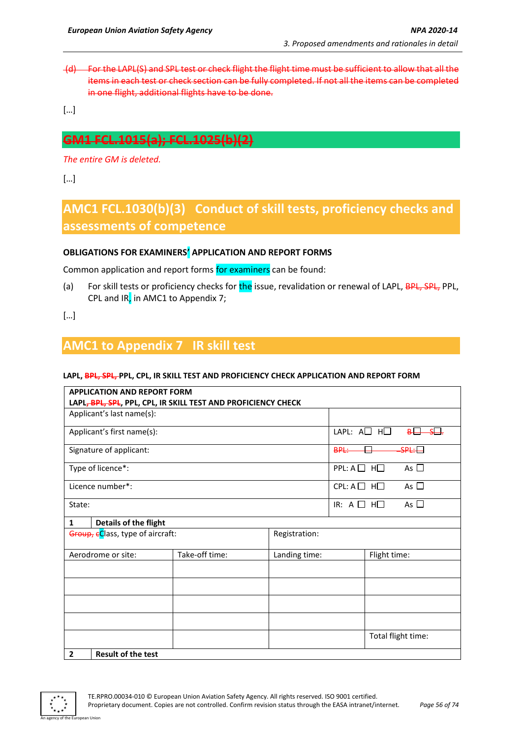(d) For the LAPL(S) and SPL test or check flight the flight time must be sufficient to allow that all the items in each test or check section can be fully completed. If not all the items can be completed in one flight, additional flights have to be done.

[…]

# **GM1 FCL.1015(a); FCL.1025(b)(2)**

*The entire GM is deleted.*

 $[...]$ 

# **AMC1 FCL.1030(b)(3) Conduct of skill tests, proficiency checks and assessments of competence**

#### **OBLIGATIONS FOR EXAMINERS' APPLICATION AND REPORT FORMS**

Common application and report forms for examiners can be found:

(a) For skill tests or proficiency checks for the issue, revalidation or renewal of LAPL, **BPL, SPL,** PPL, CPL and IR, in AMC1 to Appendix 7;

[…]

# **AMC1 to Appendix 7 IR skill test**

#### **LAPL, BPL, SPL, PPL, CPL, IR SKILL TEST AND PROFICIENCY CHECK APPLICATION AND REPORT FORM**

| <b>APPLICATION AND REPORT FORM</b>                                                         |                                                   |               |                               |                               |                     |
|--------------------------------------------------------------------------------------------|---------------------------------------------------|---------------|-------------------------------|-------------------------------|---------------------|
| LAPL, BPL, SPL, PPL, CPL, IR SKILL TEST AND PROFICIENCY CHECK<br>Applicant's last name(s): |                                                   |               |                               |                               |                     |
|                                                                                            |                                                   |               |                               |                               |                     |
| Applicant's first name(s):                                                                 |                                                   |               | LAPL: $A \square$ $H \square$ |                               | لتنك<br>$B_{\perp}$ |
| Signature of applicant:                                                                    |                                                   |               | <b>BPL:</b>                   |                               | $SPL: \Box$         |
| Type of licence*:                                                                          |                                                   |               | $PPL: A \square H \square$    |                               | As $\Box$           |
| Licence number*:                                                                           |                                                   |               | $CPL: A \square H \square$    |                               | As $\Box$           |
| State:                                                                                     |                                                   |               |                               | IR: A <sub>1</sub><br>$H\Box$ | As $\Box$           |
| Details of the flight<br>$\mathbf{1}$                                                      |                                                   |               |                               |                               |                     |
|                                                                                            | Group, eClass, type of aircraft:<br>Registration: |               |                               |                               |                     |
| Aerodrome or site:                                                                         | Take-off time:                                    | Landing time: |                               | Flight time:                  |                     |
|                                                                                            |                                                   |               |                               |                               |                     |
|                                                                                            |                                                   |               |                               |                               |                     |
|                                                                                            |                                                   |               |                               |                               |                     |
|                                                                                            |                                                   |               |                               |                               |                     |
|                                                                                            |                                                   |               |                               |                               | Total flight time:  |
| <b>Result of the test</b><br>$\overline{2}$                                                |                                                   |               |                               |                               |                     |

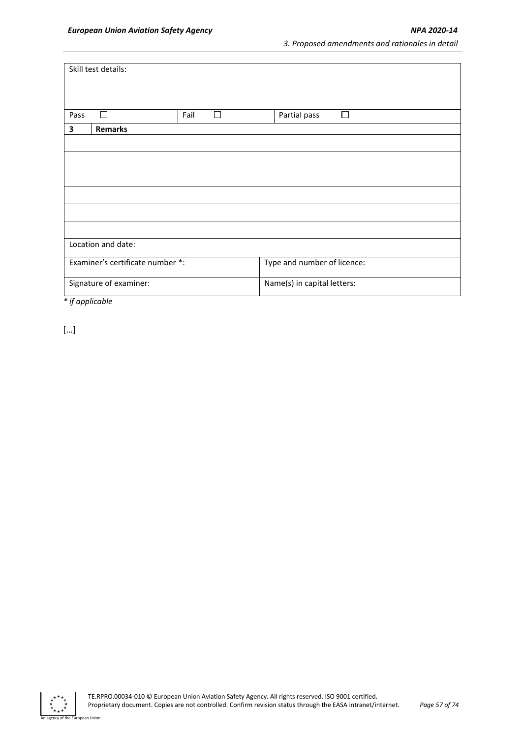|      | Skill test details:              |      |   |                             |  |
|------|----------------------------------|------|---|-----------------------------|--|
|      |                                  |      |   |                             |  |
|      |                                  |      |   |                             |  |
|      |                                  |      |   |                             |  |
|      |                                  |      |   |                             |  |
| Pass |                                  | Fail | П | Partial pass<br>П           |  |
| 3    | <b>Remarks</b>                   |      |   |                             |  |
|      |                                  |      |   |                             |  |
|      |                                  |      |   |                             |  |
|      |                                  |      |   |                             |  |
|      |                                  |      |   |                             |  |
|      |                                  |      |   |                             |  |
|      |                                  |      |   |                             |  |
|      |                                  |      |   |                             |  |
|      |                                  |      |   |                             |  |
|      |                                  |      |   |                             |  |
|      |                                  |      |   |                             |  |
|      | Location and date:               |      |   |                             |  |
|      |                                  |      |   |                             |  |
|      | Examiner's certificate number *: |      |   | Type and number of licence: |  |
|      |                                  |      |   |                             |  |
|      | Signature of examiner:           |      |   | Name(s) in capital letters: |  |
|      |                                  |      |   |                             |  |

*\* if applicable*

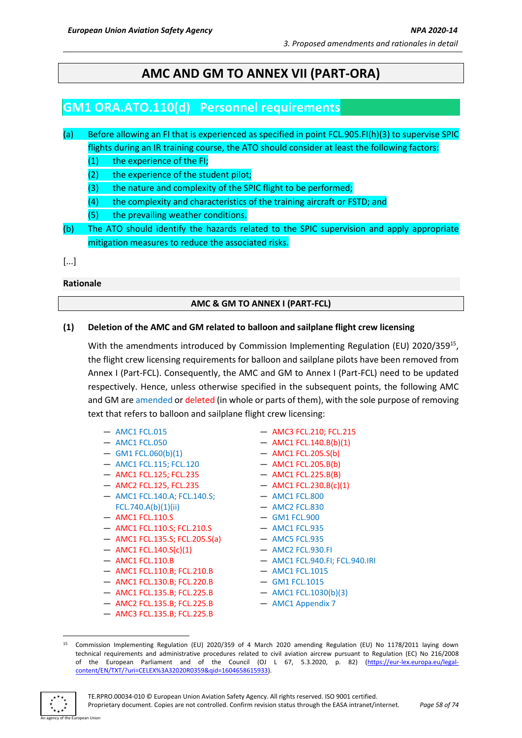# **AMC AND GM TO ANNEX VII (PART-ORA)**

# **GM1 ORA.ATO.110(d) Personnel requirements**

(a) Before allowing an FI that is experienced as specified in point FCL.905.FI(h)(3) to supervise SPIC flights during an IR training course, the ATO should consider at least the following factors:

(1) the experience of the FI;

- (2) the experience of the student pilot;
- (3) the nature and complexity of the SPIC flight to be performed;
- (4) the complexity and characteristics of the training aircraft or FSTD; and
- (5) the prevailing weather conditions.
- (b) The ATO should identify the hazards related to the SPIC supervision and apply appropriate mitigation measures to reduce the associated risks.

[...]

**Rationale** 

#### **AMC & GM TO ANNEX I (PART-FCL)**

#### **(1) Deletion of the AMC and GM related to balloon and sailplane flight crew licensing**

With the amendments introduced by Commission Implementing Regulation (EU) 2020/359<sup>15</sup>, the flight crew licensing requirements for balloon and sailplane pilots have been removed from Annex I (Part-FCL). Consequently, the AMC and GM to Annex I (Part-FCL) need to be updated respectively. Hence, unless otherwise specified in the subsequent points, the following AMC and GM are amended or deleted (in whole or parts of them), with the sole purpose of removing text that refers to balloon and sailplane flight crew licensing:

- AMC1 FCL.015
- AMC1 FCL.050
- $-$  GM1 FCL.060(b)(1)
- AMC1 FCL.115; FCL.120
- AMC1 FCL.125; FCL.235
- AMC2 FCL.125, FCL.235
- AMC1 FCL.140.A; FCL.140.S; FCL.740.A(b)(1)(ii)
- AMC1 FCL.110.S
- AMC1 FCL.110.S; FCL.210.S
- AMC1 FCL.135.S; FCL.205.S(a)
- $-$  AMC1 FCL.140.S(c)(1)
- AMC1 FCL.110.B
- AMC1 FCL.110.B; FCL.210.B
- AMC1 FCL.130.B; FCL.220.B
- AMC1 FCL.135.B; FCL.225.B
- AMC2 FCL.135.B; FCL.225.B
- AMC3 FCL.135.B; FCL.225.B

— AMC3 FCL.210; FCL.215

- $-$  AMC1 FCL.140.B(b)(1)
- AMC1 FCL.205.S(b)
- AMC1 FCL.205.B(b)
- AMC1 FCL.225.B(B)
- AMC1 FCL.230.B(c)(1)
- AMC1 FCL.800
- AMC2 FCL.830
- GM1 FCL.900
- AMC1 FCL.935
- AMC5 FCL.935
- AMC2 FCL.930.FI
- AMC1 FCL.940.FI; FCL.940.IRI
- AMC1 FCL.1015
- GM1 FCL.1015
- AMC1 FCL.1030(b)(3)
- AMC1 Appendix 7

An agency of the European Union

<sup>15</sup> Commission Implementing Regulation (EU) 2020/359 of 4 March 2020 amending Regulation (EU) No 1178/2011 laying down technical requirements and administrative procedures related to civil aviation aircrew pursuant to Regulation (EC) No 216/2008 of the European Parliament and of the Council (OJ L 67, 5.3.2020, p. 82) [\(https://eur-lex.europa.eu/legal](https://eur-lex.europa.eu/legal-content/EN/TXT/?uri=CELEX%3A32020R0359&qid=1604658615933)[content/EN/TXT/?uri=CELEX%3A32020R0359&qid=1604658615933\)](https://eur-lex.europa.eu/legal-content/EN/TXT/?uri=CELEX%3A32020R0359&qid=1604658615933).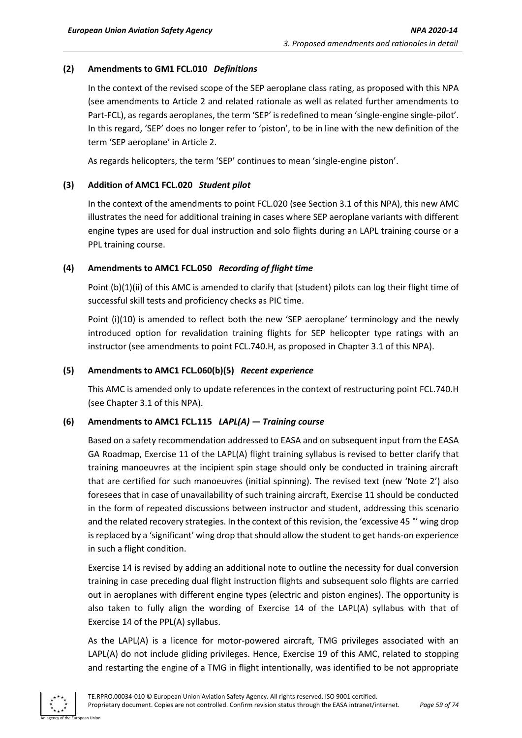### **(2) Amendments to GM1 FCL.010** *Definitions*

In the context of the revised scope of the SEP aeroplane class rating, as proposed with this NPA (see amendments to Article 2 and related rationale as well as related further amendments to Part-FCL), as regards aeroplanes, the term 'SEP' is redefined to mean 'single-engine single-pilot'. In this regard, 'SEP' does no longer refer to 'piston', to be in line with the new definition of the term 'SEP aeroplane' in Article 2.

As regards helicopters, the term 'SEP' continues to mean 'single-engine piston'.

### **(3) Addition of AMC1 FCL.020** *Student pilot*

In the context of the amendments to point FCL.020 (see Section 3.1 of this NPA), this new AMC illustrates the need for additional training in cases where SEP aeroplane variants with different engine types are used for dual instruction and solo flights during an LAPL training course or a PPL training course.

## **(4) Amendments to AMC1 FCL.050** *Recording of flight time*

Point (b)(1)(ii) of this AMC is amended to clarify that (student) pilots can log their flight time of successful skill tests and proficiency checks as PIC time.

Point (i)(10) is amended to reflect both the new 'SEP aeroplane' terminology and the newly introduced option for revalidation training flights for SEP helicopter type ratings with an instructor (see amendments to point FCL.740.H, as proposed in Chapter 3.1 of this NPA).

## **(5) Amendments to AMC1 FCL.060(b)(5)** *Recent experience*

This AMC is amended only to update references in the context of restructuring point FCL.740.H (see Chapter 3.1 of this NPA).

### **(6) Amendments to AMC1 FCL.115** *LAPL(A) — Training course*

Based on a safety recommendation addressed to EASA and on subsequent input from the EASA GA Roadmap, Exercise 11 of the LAPL(A) flight training syllabus is revised to better clarify that training manoeuvres at the incipient spin stage should only be conducted in training aircraft that are certified for such manoeuvres (initial spinning). The revised text (new 'Note 2') also foresees that in case of unavailability of such training aircraft, Exercise 11 should be conducted in the form of repeated discussions between instructor and student, addressing this scenario and the related recovery strategies. In the context of this revision, the 'excessive 45 °' wing drop is replaced by a 'significant' wing drop that should allow the student to get hands-on experience in such a flight condition.

Exercise 14 is revised by adding an additional note to outline the necessity for dual conversion training in case preceding dual flight instruction flights and subsequent solo flights are carried out in aeroplanes with different engine types (electric and piston engines). The opportunity is also taken to fully align the wording of Exercise 14 of the LAPL(A) syllabus with that of Exercise 14 of the PPL(A) syllabus.

As the LAPL(A) is a licence for motor-powered aircraft, TMG privileges associated with an LAPL(A) do not include gliding privileges. Hence, Exercise 19 of this AMC, related to stopping and restarting the engine of a TMG in flight intentionally, was identified to be not appropriate

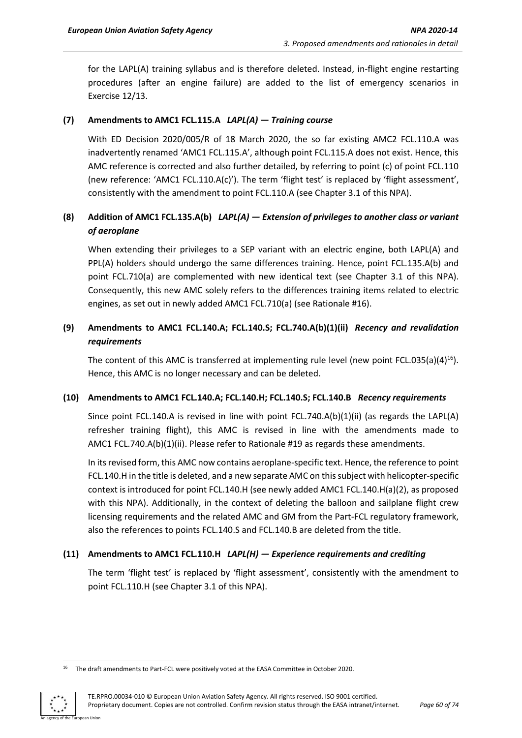for the LAPL(A) training syllabus and is therefore deleted. Instead, in-flight engine restarting procedures (after an engine failure) are added to the list of emergency scenarios in Exercise 12/13.

#### **(7) Amendments to AMC1 FCL.115.A** *LAPL(A) — Training course*

With ED Decision 2020/005/R of 18 March 2020, the so far existing AMC2 FCL.110.A was inadvertently renamed 'AMC1 FCL.115.A', although point FCL.115.A does not exist. Hence, this AMC reference is corrected and also further detailed, by referring to point (c) of point FCL.110 (new reference: 'AMC1 FCL.110.A(c)'). The term 'flight test' is replaced by 'flight assessment', consistently with the amendment to point FCL.110.A (see Chapter 3.1 of this NPA).

## **(8) Addition of AMC1 FCL.135.A(b)** *LAPL(A) — Extension of privileges to another class or variant of aeroplane*

When extending their privileges to a SEP variant with an electric engine, both LAPL(A) and PPL(A) holders should undergo the same differences training. Hence, point FCL.135.A(b) and point FCL.710(a) are complemented with new identical text (see Chapter 3.1 of this NPA). Consequently, this new AMC solely refers to the differences training items related to electric engines, as set out in newly added AMC1 FCL.710(a) (see Rationale #16).

## **(9) Amendments to AMC1 FCL.140.A; FCL.140.S; FCL.740.A(b)(1)(ii)** *Recency and revalidation requirements*

The content of this AMC is transferred at implementing rule level (new point FCL.035(a)(4)<sup>16</sup>). Hence, this AMC is no longer necessary and can be deleted.

#### **(10) Amendments to AMC1 FCL.140.A; FCL.140.H; FCL.140.S; FCL.140.B** *Recency requirements*

Since point FCL.140.A is revised in line with point FCL.740.A(b)(1)(ii) (as regards the LAPL(A) refresher training flight), this AMC is revised in line with the amendments made to AMC1 FCL.740.A(b)(1)(ii). Please refer to Rationale #19 as regards these amendments.

In itsrevised form, this AMC now contains aeroplane-specific text. Hence, the reference to point FCL.140.H in the title is deleted, and a new separate AMC on this subject with helicopter-specific context is introduced for point FCL.140.H (see newly added AMC1 FCL.140.H(a)(2), as proposed with this NPA). Additionally, in the context of deleting the balloon and sailplane flight crew licensing requirements and the related AMC and GM from the Part-FCL regulatory framework, also the references to points FCL.140.S and FCL.140.B are deleted from the title.

#### **(11) Amendments to AMC1 FCL.110.H** *LAPL(H) — Experience requirements and crediting*

The term 'flight test' is replaced by 'flight assessment', consistently with the amendment to point FCL.110.H (see Chapter 3.1 of this NPA).

<sup>&</sup>lt;sup>16</sup> The draft amendments to Part-FCL were positively voted at the EASA Committee in October 2020.

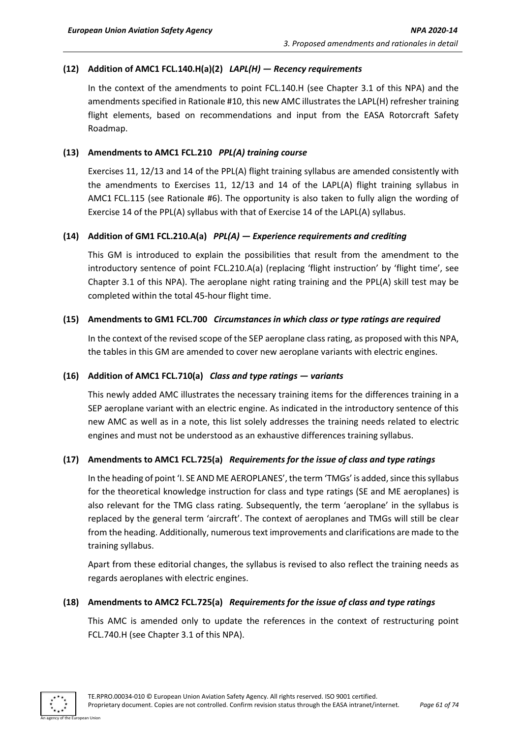## **(12) Addition of AMC1 FCL.140.H(a)(2)** *LAPL(H) — Recency requirements*

In the context of the amendments to point FCL.140.H (see Chapter 3.1 of this NPA) and the amendments specified in Rationale #10, this new AMC illustrates the LAPL(H) refresher training flight elements, based on recommendations and input from the EASA Rotorcraft Safety Roadmap.

#### **(13) Amendments to AMC1 FCL.210** *PPL(A) training course*

Exercises 11, 12/13 and 14 of the PPL(A) flight training syllabus are amended consistently with the amendments to Exercises 11, 12/13 and 14 of the LAPL(A) flight training syllabus in AMC1 FCL.115 (see Rationale #6). The opportunity is also taken to fully align the wording of Exercise 14 of the PPL(A) syllabus with that of Exercise 14 of the LAPL(A) syllabus.

#### **(14) Addition of GM1 FCL.210.A(a)** *PPL(A) — Experience requirements and crediting*

This GM is introduced to explain the possibilities that result from the amendment to the introductory sentence of point FCL.210.A(a) (replacing 'flight instruction' by 'flight time', see Chapter 3.1 of this NPA). The aeroplane night rating training and the PPL(A) skill test may be completed within the total 45-hour flight time.

#### **(15) Amendments to GM1 FCL.700** *Circumstances in which class or type ratings are required*

In the context of the revised scope of the SEP aeroplane class rating, as proposed with this NPA, the tables in this GM are amended to cover new aeroplane variants with electric engines.

### **(16) Addition of AMC1 FCL.710(a)** *Class and type ratings — variants*

This newly added AMC illustrates the necessary training items for the differences training in a SEP aeroplane variant with an electric engine. As indicated in the introductory sentence of this new AMC as well as in a note, this list solely addresses the training needs related to electric engines and must not be understood as an exhaustive differences training syllabus.

### **(17) Amendments to AMC1 FCL.725(a)** *Requirements for the issue of class and type ratings*

In the heading of point 'I. SE AND ME AEROPLANES', the term 'TMGs' is added, since this syllabus for the theoretical knowledge instruction for class and type ratings (SE and ME aeroplanes) is also relevant for the TMG class rating. Subsequently, the term 'aeroplane' in the syllabus is replaced by the general term 'aircraft'. The context of aeroplanes and TMGs will still be clear from the heading. Additionally, numerous text improvements and clarifications are made to the training syllabus.

Apart from these editorial changes, the syllabus is revised to also reflect the training needs as regards aeroplanes with electric engines.

#### **(18) Amendments to AMC2 FCL.725(a)** *Requirements for the issue of class and type ratings*

This AMC is amended only to update the references in the context of restructuring point FCL.740.H (see Chapter 3.1 of this NPA).

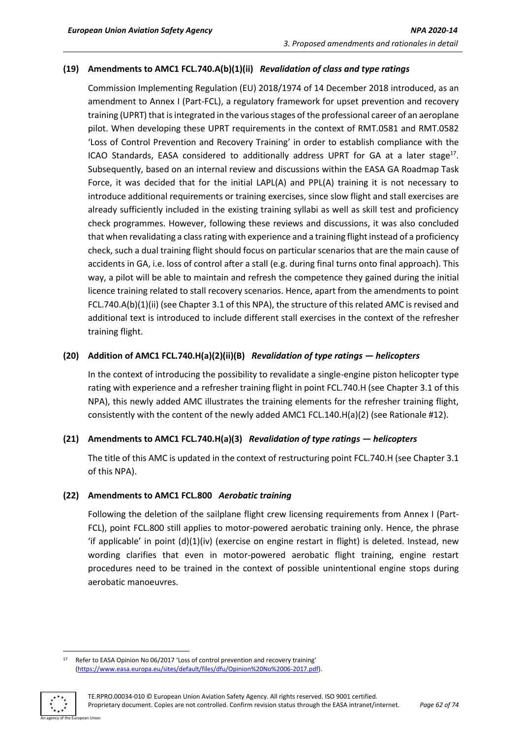## **(19) Amendments to AMC1 FCL.740.A(b)(1)(ii)** *Revalidation of class and type ratings*

Commission Implementing Regulation (EU) 2018/1974 of 14 December 2018 introduced, as an amendment to Annex I (Part-FCL), a regulatory framework for upset prevention and recovery training (UPRT) that is integrated in the various stages of the professional career of an aeroplane pilot. When developing these UPRT requirements in the context of RMT.0581 and RMT.0582 'Loss of Control Prevention and Recovery Training' in order to establish compliance with the ICAO Standards, EASA considered to additionally address UPRT for GA at a later stage<sup>17</sup>. Subsequently, based on an internal review and discussions within the EASA GA Roadmap Task Force, it was decided that for the initial LAPL(A) and PPL(A) training it is not necessary to introduce additional requirements or training exercises, since slow flight and stall exercises are already sufficiently included in the existing training syllabi as well as skill test and proficiency check programmes. However, following these reviews and discussions, it was also concluded that when revalidating a class rating with experience and a training flight instead of a proficiency check, such a dual training flight should focus on particular scenarios that are the main cause of accidents in GA, i.e. loss of control after a stall (e.g. during final turns onto final approach). This way, a pilot will be able to maintain and refresh the competence they gained during the initial licence training related to stall recovery scenarios. Hence, apart from the amendments to point FCL.740.A(b)(1)(ii) (see Chapter 3.1 of this NPA), the structure of this related AMC is revised and additional text is introduced to include different stall exercises in the context of the refresher training flight.

### **(20) Addition of AMC1 FCL.740.H(a)(2)(ii)(B)** *Revalidation of type ratings — helicopters*

In the context of introducing the possibility to revalidate a single-engine piston helicopter type rating with experience and a refresher training flight in point FCL.740.H (see Chapter 3.1 of this NPA), this newly added AMC illustrates the training elements for the refresher training flight, consistently with the content of the newly added AMC1 FCL.140.H(a)(2) (see Rationale #12).

### **(21) Amendments to AMC1 FCL.740.H(a)(3)** *Revalidation of type ratings — helicopters*

The title of this AMC is updated in the context of restructuring point FCL.740.H (see Chapter 3.1 of this NPA).

### **(22) Amendments to AMC1 FCL.800** *Aerobatic training*

Following the deletion of the sailplane flight crew licensing requirements from Annex I (Part-FCL), point FCL.800 still applies to motor-powered aerobatic training only. Hence, the phrase 'if applicable' in point (d)(1)(iv) (exercise on engine restart in flight) is deleted. Instead, new wording clarifies that even in motor-powered aerobatic flight training, engine restart procedures need to be trained in the context of possible unintentional engine stops during aerobatic manoeuvres.

<sup>17</sup> Refer to EASA Opinion No 06/2017 'Loss of control prevention and recovery training' [\(https://www.easa.europa.eu/sites/default/files/dfu/Opinion%20No%2006-2017.pdf\)](https://www.easa.europa.eu/sites/default/files/dfu/Opinion%20No%2006-2017.pdf).

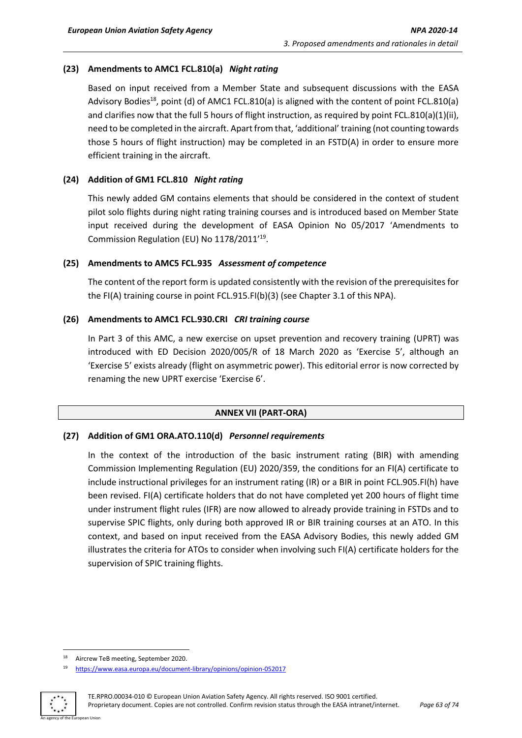## **(23) Amendments to AMC1 FCL.810(a)** *Night rating*

Based on input received from a Member State and subsequent discussions with the EASA Advisory Bodies<sup>18</sup>, point (d) of AMC1 FCL.810(a) is aligned with the content of point FCL.810(a) and clarifies now that the full 5 hours of flight instruction, as required by point FCL.810(a)(1)(ii), need to be completed in the aircraft. Apart from that, 'additional' training (not counting towards those 5 hours of flight instruction) may be completed in an FSTD(A) in order to ensure more efficient training in the aircraft.

### **(24) Addition of GM1 FCL.810** *Night rating*

This newly added GM contains elements that should be considered in the context of student pilot solo flights during night rating training courses and is introduced based on Member State input received during the development of EASA Opinion No 05/2017 'Amendments to Commission Regulation (EU) No 1178/2011'<sup>19</sup>.

#### **(25) Amendments to AMC5 FCL.935** *Assessment of competence*

The content of the report form is updated consistently with the revision of the prerequisites for the FI(A) training course in point FCL.915.FI(b)(3) (see Chapter 3.1 of this NPA).

#### **(26) Amendments to AMC1 FCL.930.CRI** *CRI training course*

In Part 3 of this AMC, a new exercise on upset prevention and recovery training (UPRT) was introduced with ED Decision 2020/005/R of 18 March 2020 as 'Exercise 5', although an 'Exercise 5' exists already (flight on asymmetric power). This editorial error is now corrected by renaming the new UPRT exercise 'Exercise 6'.

### **ANNEX VII (PART-ORA)**

### **(27) Addition of GM1 ORA.ATO.110(d)** *Personnel requirements*

In the context of the introduction of the basic instrument rating (BIR) with amending Commission Implementing Regulation (EU) 2020/359, the conditions for an FI(A) certificate to include instructional privileges for an instrument rating (IR) or a BIR in point FCL.905.FI(h) have been revised. FI(A) certificate holders that do not have completed yet 200 hours of flight time under instrument flight rules (IFR) are now allowed to already provide training in FSTDs and to supervise SPIC flights, only during both approved IR or BIR training courses at an ATO. In this context, and based on input received from the EASA Advisory Bodies, this newly added GM illustrates the criteria for ATOs to consider when involving such FI(A) certificate holders for the supervision of SPIC training flights.

<sup>19</sup> <https://www.easa.europa.eu/document-library/opinions/opinion-052017>



<sup>18</sup> Aircrew TeB meeting, September 2020.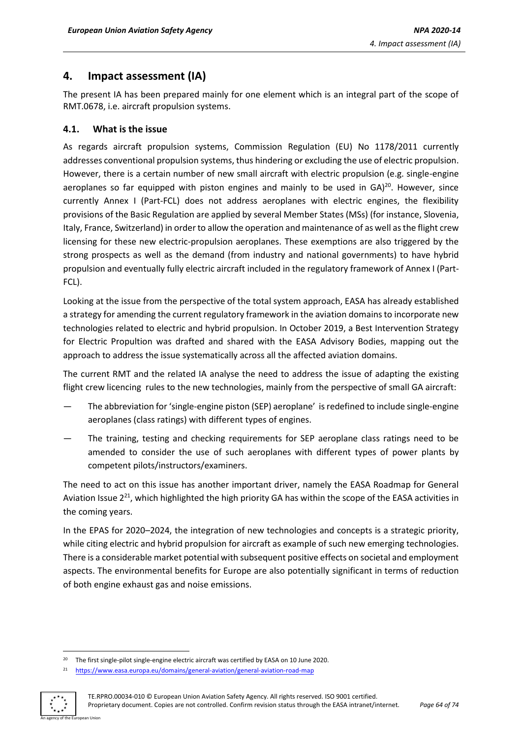## <span id="page-63-0"></span>**4. Impact assessment (IA)**

The present IA has been prepared mainly for one element which is an integral part of the scope of RMT.0678, i.e. aircraft propulsion systems.

## **4.1. What is the issue**

As regards aircraft propulsion systems, Commission Regulation (EU) No 1178/2011 currently addresses conventional propulsion systems, thus hindering or excluding the use of electric propulsion. However, there is a certain number of new small aircraft with electric propulsion (e.g. single-engine aeroplanes so far equipped with piston engines and mainly to be used in  $GA)^{20}$ . However, since currently Annex I (Part-FCL) does not address aeroplanes with electric engines, the flexibility provisions of the Basic Regulation are applied by several Member States (MSs) (for instance, Slovenia, Italy, France, Switzerland) in order to allow the operation and maintenance of as well as the flight crew licensing for these new electric-propulsion aeroplanes. These exemptions are also triggered by the strong prospects as well as the demand (from industry and national governments) to have hybrid propulsion and eventually fully electric aircraft included in the regulatory framework of Annex I (Part-FCL).

Looking at the issue from the perspective of the total system approach, EASA has already established a strategy for amending the current regulatory framework in the aviation domains to incorporate new technologies related to electric and hybrid propulsion. In October 2019, a Best Intervention Strategy for Electric Propultion was drafted and shared with the EASA Advisory Bodies, mapping out the approach to address the issue systematically across all the affected aviation domains.

The current RMT and the related IA analyse the need to address the issue of adapting the existing flight crew licencing rules to the new technologies, mainly from the perspective of small GA aircraft:

- The abbreviation for 'single-engine piston (SEP) aeroplane' isredefined to include single-engine aeroplanes (class ratings) with different types of engines.
- The training, testing and checking requirements for SEP aeroplane class ratings need to be amended to consider the use of such aeroplanes with different types of power plants by competent pilots/instructors/examiners.

The need to act on this issue has another important driver, namely the EASA Roadmap for General Aviation Issue 2<sup>21</sup>, which highlighted the high priority GA has within the scope of the EASA activities in the coming years.

In the EPAS for 2020–2024, the integration of new technologies and concepts is a strategic priority, while citing electric and hybrid propulsion for aircraft as example of such new emerging technologies. There is a considerable market potential with subsequent positive effects on societal and employment aspects. The environmental benefits for Europe are also potentially significant in terms of reduction of both engine exhaust gas and noise emissions.

<sup>21</sup> <https://www.easa.europa.eu/domains/general-aviation/general-aviation-road-map>



<sup>&</sup>lt;sup>20</sup> The first single-pilot single-engine electric aircraft was certified by EASA on 10 June 2020.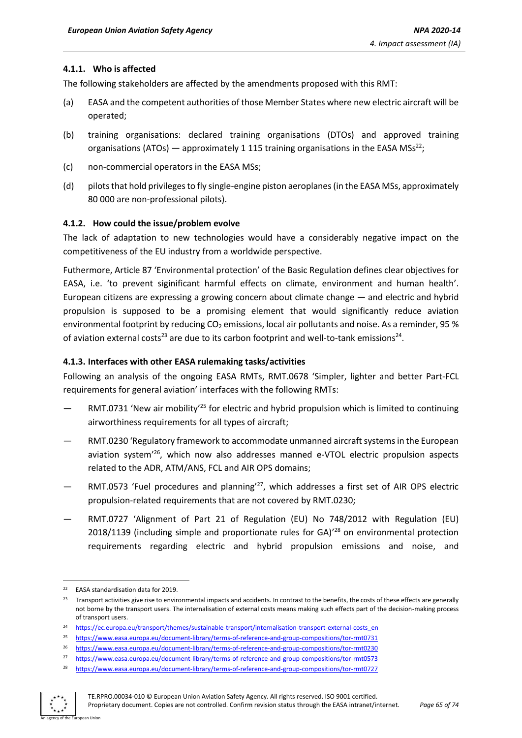#### **4.1.1. Who is affected**

The following stakeholders are affected by the amendments proposed with this RMT:

- (a) EASA and the competent authorities of those Member States where new electric aircraft will be operated;
- (b) training organisations: declared training organisations (DTOs) and approved training organisations (ATOs) — approximately 1 115 training organisations in the EASA MSs<sup>22</sup>;
- (c) non-commercial operators in the EASA MSs;
- (d) pilots that hold privileges to fly single-engine piston aeroplanes (in the EASA MSs, approximately 80 000 are non-professional pilots).

#### **4.1.2. How could the issue/problem evolve**

The lack of adaptation to new technologies would have a considerably negative impact on the competitiveness of the EU industry from a worldwide perspective.

Futhermore, Article 87 'Environmental protection' of the Basic Regulation defines clear objectives for EASA, i.e. 'to prevent siginificant harmful effects on climate, environment and human health'. European citizens are expressing a growing concern about climate change — and electric and hybrid propulsion is supposed to be a promising element that would significantly reduce aviation environmental footprint by reducing  $CO<sub>2</sub>$  emissions, local air pollutants and noise. As a reminder, 95 % of aviation external costs<sup>23</sup> are due to its carbon footprint and well-to-tank emissions<sup>24</sup>.

#### **4.1.3. Interfaces with other EASA rulemaking tasks/activities**

Following an analysis of the ongoing EASA RMTs, RMT.0678 'Simpler, lighter and better Part-FCL requirements for general aviation' interfaces with the following RMTs:

- RMT.0731 'New air mobility<sup>'25</sup> for electric and hybrid propulsion which is limited to continuing airworthiness requirements for all types of aircraft;
- RMT.0230 'Regulatory framework to accommodate unmanned aircraft systems in the European aviation system' <sup>26</sup>, which now also addresses manned e-VTOL electric propulsion aspects related to the ADR, ATM/ANS, FCL and AIR OPS domains;
- RMT.0573 'Fuel procedures and planning' <sup>27</sup>, which addresses a first set of AIR OPS electric propulsion-related requirements that are not covered by RMT.0230;
- RMT.0727 'Alignment of Part 21 of Regulation (EU) No 748/2012 with Regulation (EU) 2018/1139 (including simple and proportionate rules for GA)<sup>'28</sup> on environmental protection requirements regarding electric and hybrid propulsion emissions and noise, and

<sup>28</sup> <https://www.easa.europa.eu/document-library/terms-of-reference-and-group-compositions/tor-rmt0727>



<sup>22</sup> EASA standardisation data for 2019.

<sup>&</sup>lt;sup>23</sup> Transport activities give rise to environmental impacts and accidents. In contrast to the benefits, the costs of these effects are generally not borne by the transport users. The internalisation of external costs means making such effects part of the decision-making process of transport users.

<sup>24</sup> [https://ec.europa.eu/transport/themes/sustainable-transport/internalisation-transport-external-costs\\_en](https://ec.europa.eu/transport/themes/sustainable-transport/internalisation-transport-external-costs_en)

<sup>25</sup> <https://www.easa.europa.eu/document-library/terms-of-reference-and-group-compositions/tor-rmt0731>

<sup>26</sup> <https://www.easa.europa.eu/document-library/terms-of-reference-and-group-compositions/tor-rmt0230>

<sup>27</sup> <https://www.easa.europa.eu/document-library/terms-of-reference-and-group-compositions/tor-rmt0573>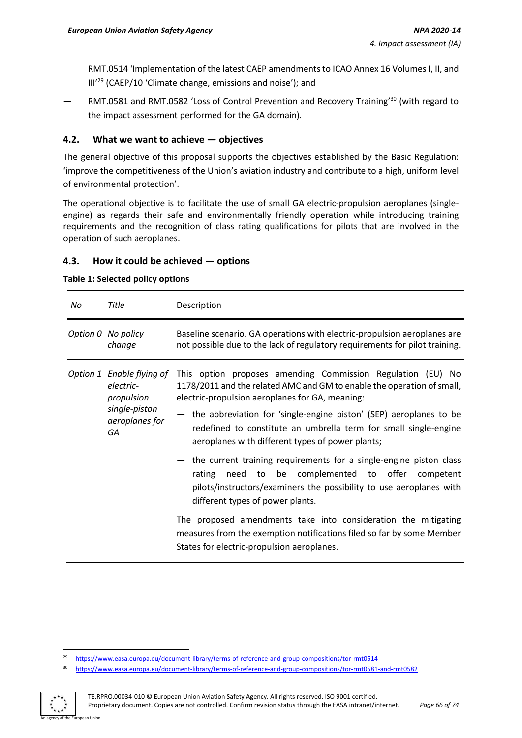RMT.0514 'Implementation of the latest CAEP amendmentsto ICAO Annex 16 Volumes I, II, and III<sup>'29</sup> (CAEP/10 'Climate change, emissions and noise'); and

 $-$  RMT.0581 and RMT.0582 'Loss of Control Prevention and Recovery Training<sup>'30</sup> (with regard to the impact assessment performed for the GA domain).

## **4.2. What we want to achieve — objectives**

The general objective of this proposal supports the objectives established by the Basic Regulation: 'improve the competitiveness of the Union's aviation industry and contribute to a high, uniform level of environmental protection'.

The operational objective is to facilitate the use of small GA electric-propulsion aeroplanes (singleengine) as regards their safe and environmentally friendly operation while introducing training requirements and the recognition of class rating qualifications for pilots that are involved in the operation of such aeroplanes.

### **4.3. How it could be achieved — options**

#### **Table 1: Selected policy options**

| Title<br>No                                                                                      | Description                                                                                                                                                                                                                                                                                                                                                                                                                                                                                                                                                                                                                                                                                                                                                                                                                        |
|--------------------------------------------------------------------------------------------------|------------------------------------------------------------------------------------------------------------------------------------------------------------------------------------------------------------------------------------------------------------------------------------------------------------------------------------------------------------------------------------------------------------------------------------------------------------------------------------------------------------------------------------------------------------------------------------------------------------------------------------------------------------------------------------------------------------------------------------------------------------------------------------------------------------------------------------|
| Option 0 No policy<br>change                                                                     | Baseline scenario. GA operations with electric-propulsion aeroplanes are<br>not possible due to the lack of regulatory requirements for pilot training.                                                                                                                                                                                                                                                                                                                                                                                                                                                                                                                                                                                                                                                                            |
| Enable flying of<br>Option 1<br>electric-<br>propulsion<br>single-piston<br>aeroplanes for<br>GA | This option proposes amending Commission Regulation (EU) No<br>1178/2011 and the related AMC and GM to enable the operation of small,<br>electric-propulsion aeroplanes for GA, meaning:<br>- the abbreviation for 'single-engine piston' (SEP) aeroplanes to be<br>redefined to constitute an umbrella term for small single-engine<br>aeroplanes with different types of power plants;<br>- the current training requirements for a single-engine piston class<br>to be complemented to offer<br>need<br>rating<br>competent<br>pilots/instructors/examiners the possibility to use aeroplanes with<br>different types of power plants.<br>The proposed amendments take into consideration the mitigating<br>measures from the exemption notifications filed so far by some Member<br>States for electric-propulsion aeroplanes. |

<sup>30</sup> <https://www.easa.europa.eu/document-library/terms-of-reference-and-group-compositions/tor-rmt0581-and-rmt0582>



<sup>29</sup> <https://www.easa.europa.eu/document-library/terms-of-reference-and-group-compositions/tor-rmt0514>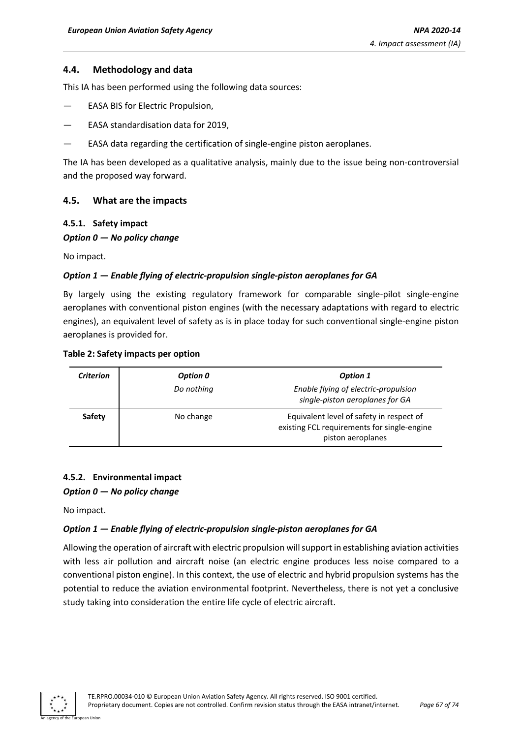### **4.4. Methodology and data**

This IA has been performed using the following data sources:

- EASA BIS for Electric Propulsion,
- EASA standardisation data for 2019,
- EASA data regarding the certification of single-engine piston aeroplanes.

The IA has been developed as a qualitative analysis, mainly due to the issue being non-controversial and the proposed way forward.

#### **4.5. What are the impacts**

#### **4.5.1. Safety impact**

#### *Option 0 — No policy change*

No impact.

#### *Option 1 — Enable flying of electric-propulsion single-piston aeroplanes for GA*

By largely using the existing regulatory framework for comparable single-pilot single-engine aeroplanes with conventional piston engines (with the necessary adaptations with regard to electric engines), an equivalent level of safety as is in place today for such conventional single-engine piston aeroplanes is provided for.

#### **Table 2: Safety impacts per option**

| <b>Criterion</b> | Option 0   | Option 1                                                                                                     |
|------------------|------------|--------------------------------------------------------------------------------------------------------------|
|                  | Do nothing | Enable flying of electric-propulsion<br>single-piston aeroplanes for GA                                      |
| Safety           | No change  | Equivalent level of safety in respect of<br>existing FCL requirements for single-engine<br>piston aeroplanes |

#### **4.5.2. Environmental impact**

#### *Option 0 — No policy change*

No impact.

#### *Option 1 — Enable flying of electric-propulsion single-piston aeroplanes for GA*

Allowing the operation of aircraft with electric propulsion will support in establishing aviation activities with less air pollution and aircraft noise (an electric engine produces less noise compared to a conventional piston engine). In this context, the use of electric and hybrid propulsion systems has the potential to reduce the aviation environmental footprint. Nevertheless, there is not yet a conclusive study taking into consideration the entire life cycle of electric aircraft.

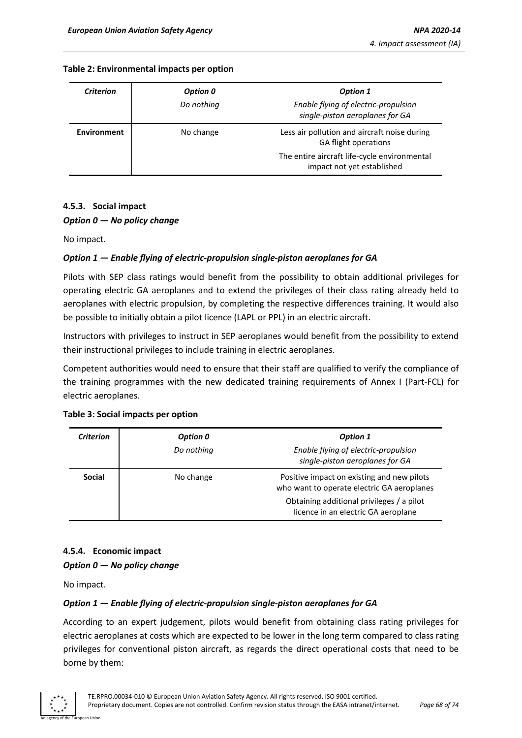#### **Table 2: Environmental impacts per option**

| Criterion          | Option 0   | <b>Option 1</b>                                                             |
|--------------------|------------|-----------------------------------------------------------------------------|
|                    | Do nothing | Enable flying of electric-propulsion<br>single-piston aeroplanes for GA     |
| <b>Environment</b> | No change  | Less air pollution and aircraft noise during<br><b>GA flight operations</b> |
|                    |            | The entire aircraft life-cycle environmental<br>impact not yet established  |

## **4.5.3. Social impact**

#### *Option 0 — No policy change*

No impact.

### *Option 1 — Enable flying of electric-propulsion single-piston aeroplanes for GA*

Pilots with SEP class ratings would benefit from the possibility to obtain additional privileges for operating electric GA aeroplanes and to extend the privileges of their class rating already held to aeroplanes with electric propulsion, by completing the respective differences training. It would also be possible to initially obtain a pilot licence (LAPL or PPL) in an electric aircraft.

Instructors with privileges to instruct in SEP aeroplanes would benefit from the possibility to extend their instructional privileges to include training in electric aeroplanes.

Competent authorities would need to ensure that their staff are qualified to verify the compliance of the training programmes with the new dedicated training requirements of Annex I (Part-FCL) for electric aeroplanes.

| <b>Criterion</b> | Option 0   | <b>Option 1</b>                                                                          |
|------------------|------------|------------------------------------------------------------------------------------------|
|                  | Do nothing | Enable flying of electric-propulsion<br>single-piston aeroplanes for GA                  |
| <b>Social</b>    | No change  | Positive impact on existing and new pilots<br>who want to operate electric GA aeroplanes |
|                  |            | Obtaining additional privileges / a pilot<br>licence in an electric GA aeroplane         |

#### **Table 3: Social impacts per option**

## **4.5.4. Economic impact** *Option 0 — No policy change*

No impact.

### *Option 1 — Enable flying of electric-propulsion single-piston aeroplanes for GA*

According to an expert judgement, pilots would benefit from obtaining class rating privileges for electric aeroplanes at costs which are expected to be lower in the long term compared to class rating privileges for conventional piston aircraft, as regards the direct operational costs that need to be borne by them:

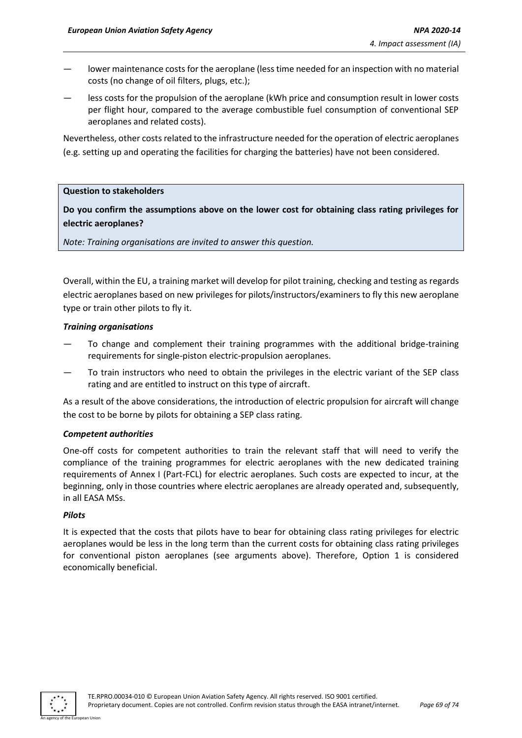- lower maintenance costs for the aeroplane (less time needed for an inspection with no material costs (no change of oil filters, plugs, etc.);
- less costs for the propulsion of the aeroplane (kWh price and consumption result in lower costs per flight hour, compared to the average combustible fuel consumption of conventional SEP aeroplanes and related costs).

Nevertheless, other costs related to the infrastructure needed for the operation of electric aeroplanes (e.g. setting up and operating the facilities for charging the batteries) have not been considered.

#### **Question to stakeholders**

## **Do you confirm the assumptions above on the lower cost for obtaining class rating privileges for electric aeroplanes?**

*Note: Training organisations are invited to answer this question.*

Overall, within the EU, a training market will develop for pilot training, checking and testing as regards electric aeroplanes based on new privileges for pilots/instructors/examiners to fly this new aeroplane type or train other pilots to fly it.

#### *Training organisations*

- To change and complement their training programmes with the additional bridge-training requirements for single-piston electric-propulsion aeroplanes.
- To train instructors who need to obtain the privileges in the electric variant of the SEP class rating and are entitled to instruct on this type of aircraft.

As a result of the above considerations, the introduction of electric propulsion for aircraft will change the cost to be borne by pilots for obtaining a SEP class rating.

#### *Competent authorities*

One-off costs for competent authorities to train the relevant staff that will need to verify the compliance of the training programmes for electric aeroplanes with the new dedicated training requirements of Annex I (Part-FCL) for electric aeroplanes. Such costs are expected to incur, at the beginning, only in those countries where electric aeroplanes are already operated and, subsequently, in all EASA MSs.

#### *Pilots*

It is expected that the costs that pilots have to bear for obtaining class rating privileges for electric aeroplanes would be less in the long term than the current costs for obtaining class rating privileges for conventional piston aeroplanes (see arguments above). Therefore, Option 1 is considered economically beneficial.

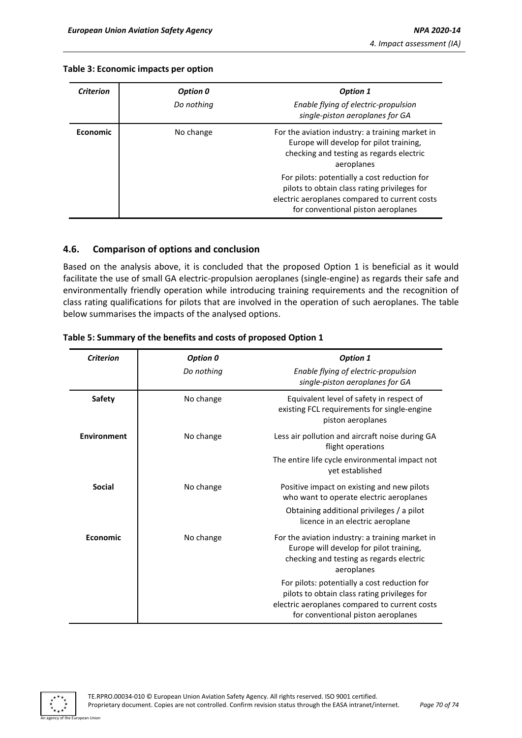#### **Table 3: Economic impacts per option**

| <b>Criterion</b> | Option 0   | <b>Option 1</b>                                                                                                                                                                     |
|------------------|------------|-------------------------------------------------------------------------------------------------------------------------------------------------------------------------------------|
|                  | Do nothing | Enable flying of electric-propulsion<br>single-piston aeroplanes for GA                                                                                                             |
| <b>Economic</b>  | No change  | For the aviation industry: a training market in<br>Europe will develop for pilot training,<br>checking and testing as regards electric<br>aeroplanes                                |
|                  |            | For pilots: potentially a cost reduction for<br>pilots to obtain class rating privileges for<br>electric aeroplanes compared to current costs<br>for conventional piston aeroplanes |

### **4.6. Comparison of options and conclusion**

Based on the analysis above, it is concluded that the proposed Option 1 is beneficial as it would facilitate the use of small GA electric-propulsion aeroplanes (single-engine) as regards their safe and environmentally friendly operation while introducing training requirements and the recognition of class rating qualifications for pilots that are involved in the operation of such aeroplanes. The table below summarises the impacts of the analysed options.

| <b>Criterion</b>   | Option 0   | <b>Option 1</b>                                                                                                                                                                     |
|--------------------|------------|-------------------------------------------------------------------------------------------------------------------------------------------------------------------------------------|
|                    | Do nothing | Enable flying of electric-propulsion<br>single-piston aeroplanes for GA                                                                                                             |
| <b>Safety</b>      | No change  | Equivalent level of safety in respect of<br>existing FCL requirements for single-engine<br>piston aeroplanes                                                                        |
| <b>Environment</b> | No change  | Less air pollution and aircraft noise during GA<br>flight operations                                                                                                                |
|                    |            | The entire life cycle environmental impact not<br>yet established                                                                                                                   |
| Social             | No change  | Positive impact on existing and new pilots<br>who want to operate electric aeroplanes                                                                                               |
|                    |            | Obtaining additional privileges / a pilot<br>licence in an electric aeroplane                                                                                                       |
| Economic           | No change  | For the aviation industry: a training market in<br>Europe will develop for pilot training,<br>checking and testing as regards electric<br>aeroplanes                                |
|                    |            | For pilots: potentially a cost reduction for<br>pilots to obtain class rating privileges for<br>electric aeroplanes compared to current costs<br>for conventional piston aeroplanes |

#### **Table 5: Summary of the benefits and costs of proposed Option 1**

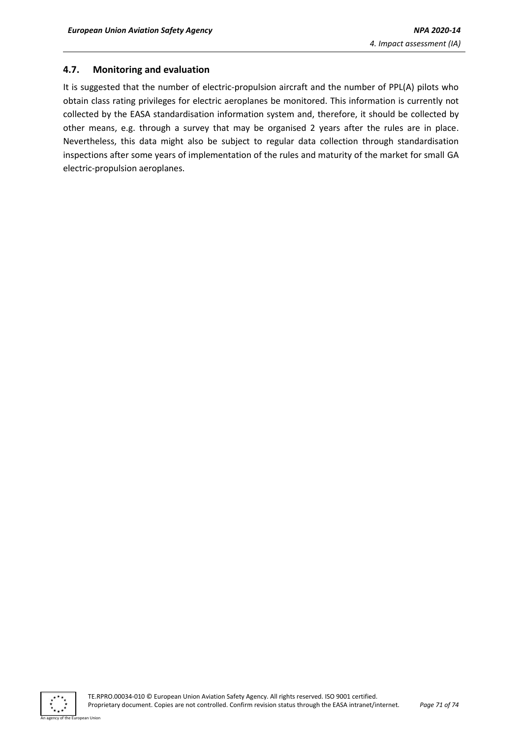## **4.7. Monitoring and evaluation**

It is suggested that the number of electric-propulsion aircraft and the number of PPL(A) pilots who obtain class rating privileges for electric aeroplanes be monitored. This information is currently not collected by the EASA standardisation information system and, therefore, it should be collected by other means, e.g. through a survey that may be organised 2 years after the rules are in place. Nevertheless, this data might also be subject to regular data collection through standardisation inspections after some years of implementation of the rules and maturity of the market for small GA electric-propulsion aeroplanes.

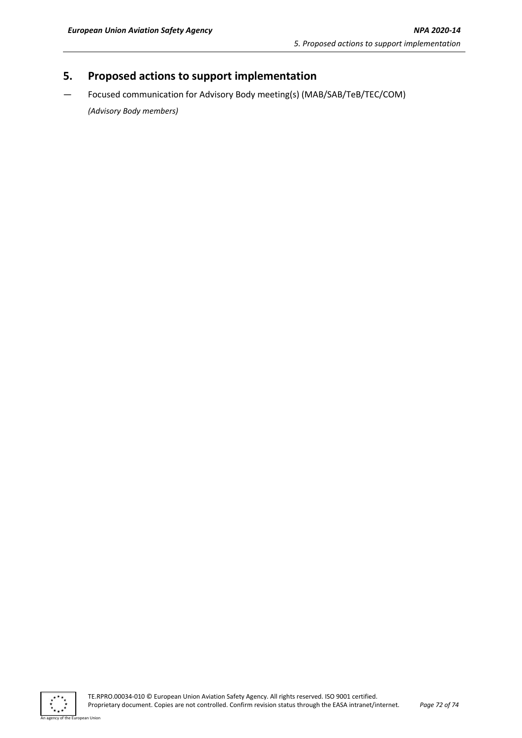# **5. Proposed actions to support implementation**

— Focused communication for Advisory Body meeting(s) (MAB/SAB/TeB/TEC/COM)

*(Advisory Body members)*



an Union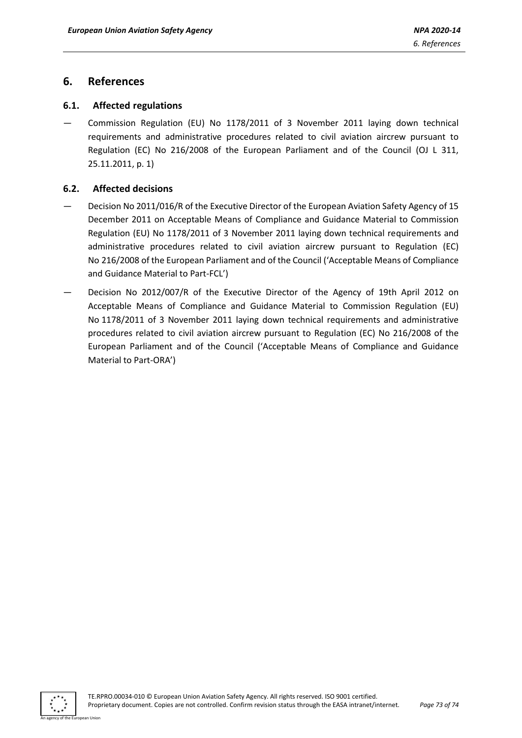## **6. References**

## **6.1. Affected regulations**

— Commission Regulation (EU) No 1178/2011 of 3 November 2011 laying down technical requirements and administrative procedures related to civil aviation aircrew pursuant to Regulation (EC) No 216/2008 of the European Parliament and of the Council (OJ L 311, 25.11.2011, p. 1)

## **6.2. Affected decisions**

- Decision No 2011/016/R of the Executive Director of the European Aviation Safety Agency of 15 December 2011 on Acceptable Means of Compliance and Guidance Material to Commission Regulation (EU) No 1178/2011 of 3 November 2011 laying down technical requirements and administrative procedures related to civil aviation aircrew pursuant to Regulation (EC) No 216/2008 of the European Parliament and of the Council ('Acceptable Means of Compliance and Guidance Material to Part-FCL')
- Decision No 2012/007/R of the Executive Director of the Agency of 19th April 2012 on Acceptable Means of Compliance and Guidance Material to Commission Regulation (EU) No 1178/2011 of 3 November 2011 laying down technical requirements and administrative procedures related to civil aviation aircrew pursuant to Regulation (EC) No 216/2008 of the European Parliament and of the Council ('Acceptable Means of Compliance and Guidance Material to Part-ORA')